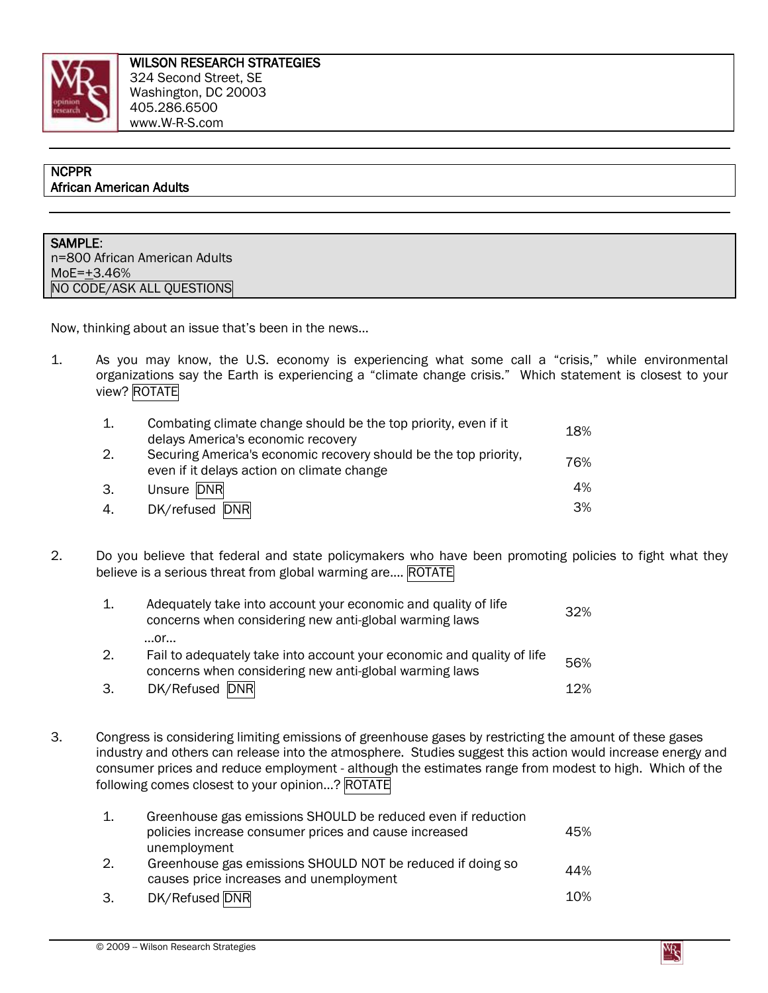

## **NCPPR** African American Adults

SAMPLE: n=800 African American Adults MoE=+3.46% NO CODE/ASK ALL QUESTIONS

Now, thinking about an issue that's been in the news…

1. As you may know, the U.S. economy is experiencing what some call a "crisis," while environmental organizations say the Earth is experiencing a "climate change crisis." Which statement is closest to your view? ROTATE

|    | Combating climate change should be the top priority, even if it<br>delays America's economic recovery          | 18% |
|----|----------------------------------------------------------------------------------------------------------------|-----|
| 2. | Securing America's economic recovery should be the top priority,<br>even if it delays action on climate change | 76% |
| 3. | Unsure DNR                                                                                                     | 4%  |
| 4. | DK/refused DNR                                                                                                 | 3%  |

2. Do you believe that federal and state policymakers who have been promoting policies to fight what they believe is a serious threat from global warming are.... ROTATE

| $\mathbf{1}$ . | Adequately take into account your economic and quality of life<br>concerns when considering new anti-global warming laws         | 32% |
|----------------|----------------------------------------------------------------------------------------------------------------------------------|-----|
|                | $$ Or $$                                                                                                                         |     |
| 2.             | Fail to adequately take into account your economic and quality of life<br>concerns when considering new anti-global warming laws | 56% |
| 3.             | DK/Refused DNR                                                                                                                   | 12% |

3. Congress is considering limiting emissions of greenhouse gases by restricting the amount of these gases industry and others can release into the atmosphere. Studies suggest this action would increase energy and consumer prices and reduce employment - although the estimates range from modest to high. Which of the following comes closest to your opinion…? ROTATE

| 1. | Greenhouse gas emissions SHOULD be reduced even if reduction                                          |     |
|----|-------------------------------------------------------------------------------------------------------|-----|
|    | policies increase consumer prices and cause increased<br>unemployment                                 | 45% |
| 2. | Greenhouse gas emissions SHOULD NOT be reduced if doing so<br>causes price increases and unemployment | 44% |
| 3. | DK/Refused DNR                                                                                        | 10% |

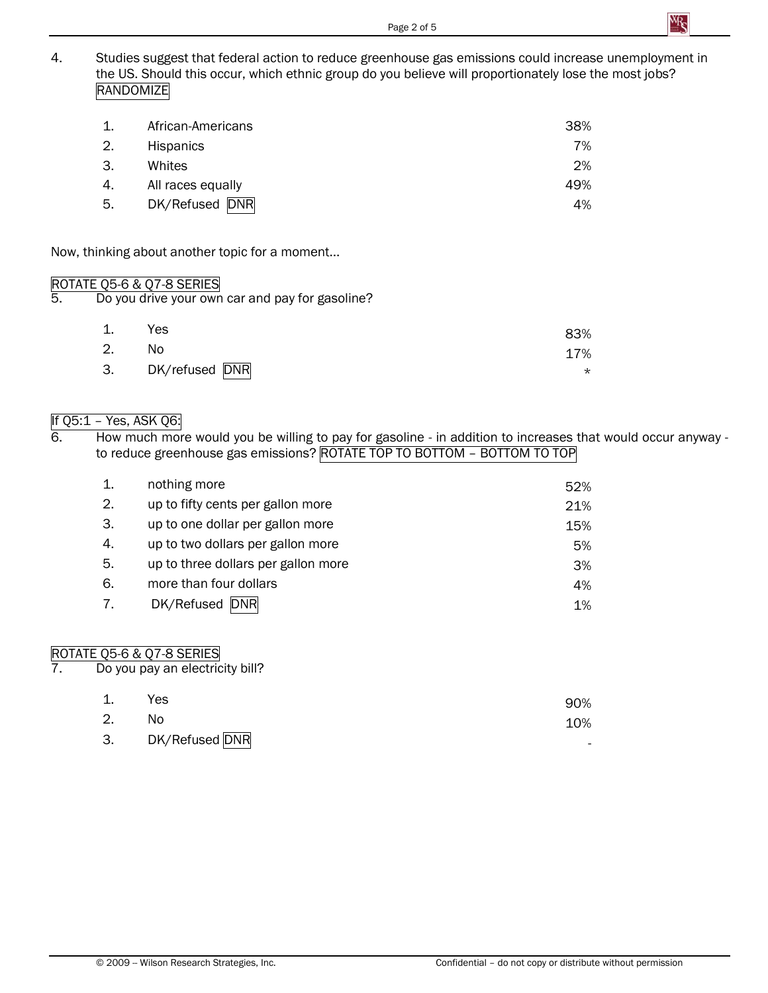

4. Studies suggest that federal action to reduce greenhouse gas emissions could increase unemployment in the US. Should this occur, which ethnic group do you believe will proportionately lose the most jobs? RANDOMIZE

| 1. | African-Americans | 38% |
|----|-------------------|-----|
| 2. | <b>Hispanics</b>  | 7%  |
| 3. | Whites            | 2%  |
| 4. | All races equally | 49% |
| 5. | DK/Refused DNR    | 4%  |

Now, thinking about another topic for a moment...

# ROTATE Q5-6 & Q7-8 SERIES<br>5. Do you drive your own

Do you drive your own car and pay for gasoline?

| 1. | Yes               | 83%     |
|----|-------------------|---------|
| 2. | No.               | 17%     |
|    | 3. DK/refused DNR | $\star$ |

# If  $Q5:1$  – Yes, ASK  $Q6:$

6. How much more would you be willing to pay for gasoline - in addition to increases that would occur anyway to reduce greenhouse gas emissions? ROTATE TOP TO BOTTOM – BOTTOM TO TOP

| 1. | nothing more                        | 52% |
|----|-------------------------------------|-----|
| 2. | up to fifty cents per gallon more   | 21% |
| 3. | up to one dollar per gallon more    | 15% |
| 4. | up to two dollars per gallon more   | 5%  |
| 5. | up to three dollars per gallon more | 3%  |
| 6. | more than four dollars              | 4%  |
| 7. | DK/Refused<br><b>DNR</b>            | 1%  |

# ROTATE Q5-6 & Q7-8 SERIES<br>7. Do you pay an electric

Do you pay an electricity bill?

| 1. | Yes               | 90%                      |
|----|-------------------|--------------------------|
| 2. | No.               | 10%                      |
|    | 3. DK/Refused DNR | $\overline{\phantom{0}}$ |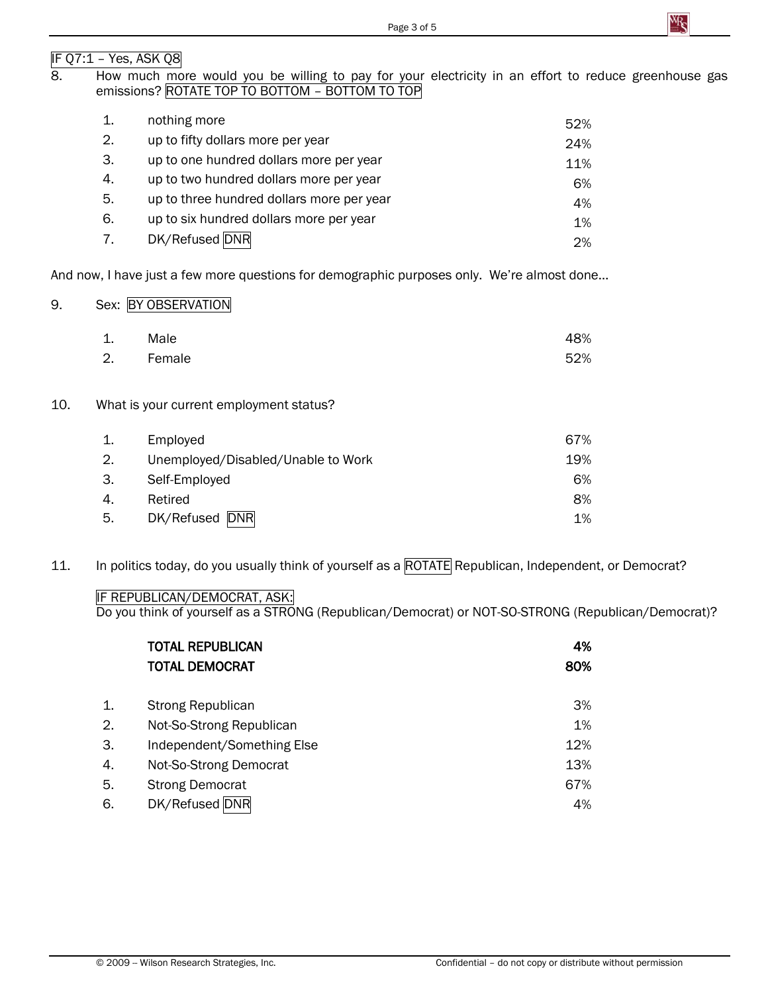# IF Q7:1 – Yes, ASK Q8

## 8. How much more would you be willing to pay for your electricity in an effort to reduce greenhouse gas emissions? ROTATE TOP TO BOTTOM – BOTTOM TO TOP

| 1. | nothing more                              | 52% |
|----|-------------------------------------------|-----|
| 2. | up to fifty dollars more per year         | 24% |
| 3. | up to one hundred dollars more per year   | 11% |
| 4. | up to two hundred dollars more per year   | 6%  |
| 5. | up to three hundred dollars more per year | 4%  |
| 6. | up to six hundred dollars more per year   | 1%  |
| 7. | DK/Refused DNR                            | 2%  |

And now, I have just a few more questions for demographic purposes only. We're almost done…

## 9. Sex: BY OBSERVATION

| 1. | Male      | 48% |
|----|-----------|-----|
|    | 2. Female | 52% |

## 10. What is your current employment status?

| 1. | Employed                           | 67% |
|----|------------------------------------|-----|
| 2. | Unemployed/Disabled/Unable to Work | 19% |
| З. | Self-Employed                      | 6%  |
| 4. | Retired                            | 8%  |
| 5. | DK/Refused DNR                     | 1%  |

11. In politics today, do you usually think of yourself as a ROTATE Republican, Independent, or Democrat?

## IF REPUBLICAN/DEMOCRAT, ASK:

Do you think of yourself as a STRONG (Republican/Democrat) or NOT-SO-STRONG (Republican/Democrat)?

|    | <b>TOTAL REPUBLICAN</b>    | 4%  |
|----|----------------------------|-----|
|    | <b>TOTAL DEMOCRAT</b>      | 80% |
| 1. | <b>Strong Republican</b>   | 3%  |
| 2. | Not-So-Strong Republican   | 1%  |
| 3. | Independent/Something Else | 12% |
| 4. | Not-So-Strong Democrat     | 13% |
| 5. | <b>Strong Democrat</b>     | 67% |
| 6. | DK/Refused DNR             | 4%  |

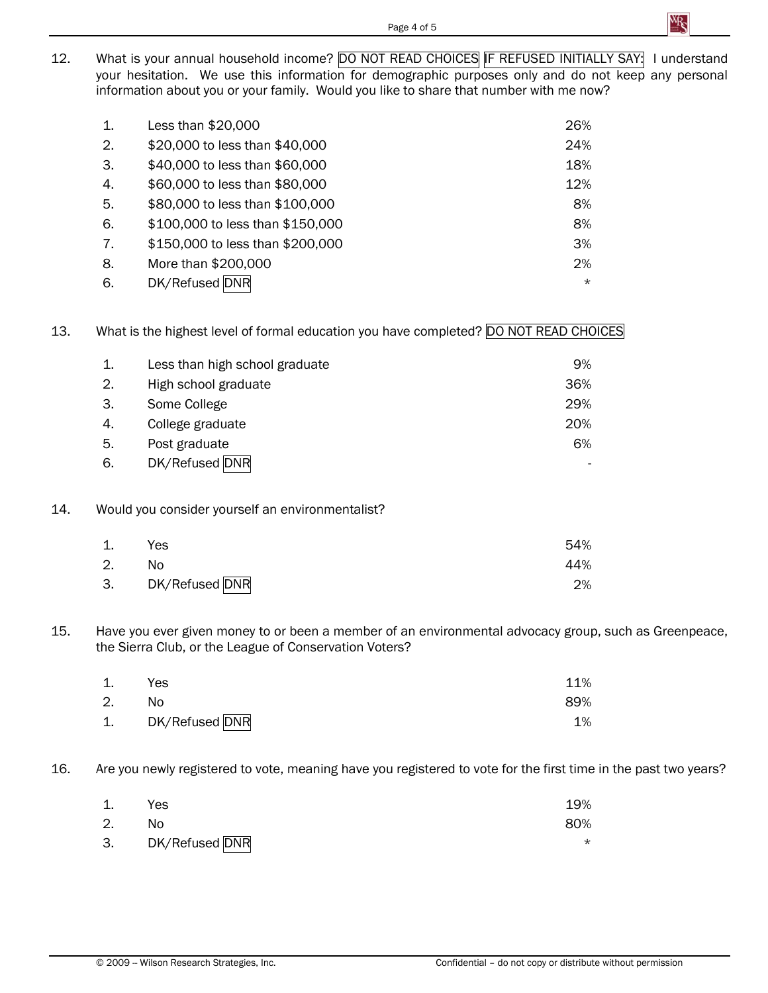12. What is your annual household income? DO NOT READ CHOICES IF REFUSED INITIALLY SAY: I understand your hesitation. We use this information for demographic purposes only and do not keep any personal information about you or your family. Would you like to share that number with me now?

| 1. | Less than \$20,000               | 26%     |
|----|----------------------------------|---------|
| 2. | \$20,000 to less than \$40,000   | 24%     |
| 3. | \$40,000 to less than \$60,000   | 18%     |
| 4. | \$60,000 to less than \$80,000   | 12%     |
| 5. | \$80,000 to less than \$100,000  | 8%      |
| 6. | \$100,000 to less than \$150,000 | 8%      |
| 7. | \$150,000 to less than \$200,000 | 3%      |
| 8. | More than \$200,000              | 2%      |
| 6. | DK/Refused DNR                   | $\star$ |

# 13. What is the highest level of formal education you have completed? DO NOT READ CHOICES

| 1. | Less than high school graduate | 9%  |
|----|--------------------------------|-----|
| 2. | High school graduate           | 36% |
| 3. | Some College                   | 29% |
| 4. | College graduate               | 20% |
| 5. | Post graduate                  | 6%  |
| 6. | DK/Refused DNR                 |     |

### 14. Would you consider yourself an environmentalist?

| 1. | Yes               | 54% |
|----|-------------------|-----|
| 2. | No.               | 44% |
|    | 3. DK/Refused DNR | 2%  |

15. Have you ever given money to or been a member of an environmental advocacy group, such as Greenpeace, the Sierra Club, or the League of Conservation Voters?

| 1. | Yes               | 11% |
|----|-------------------|-----|
| 2. | No.               | 89% |
|    | 1. DK/Refused DNR | 1%  |

16. Are you newly registered to vote, meaning have you registered to vote for the first time in the past two years?

| 1. | Yes               | 19% |
|----|-------------------|-----|
| 2. | No                | 80% |
|    | 3. DK/Refused DNR | ∼   |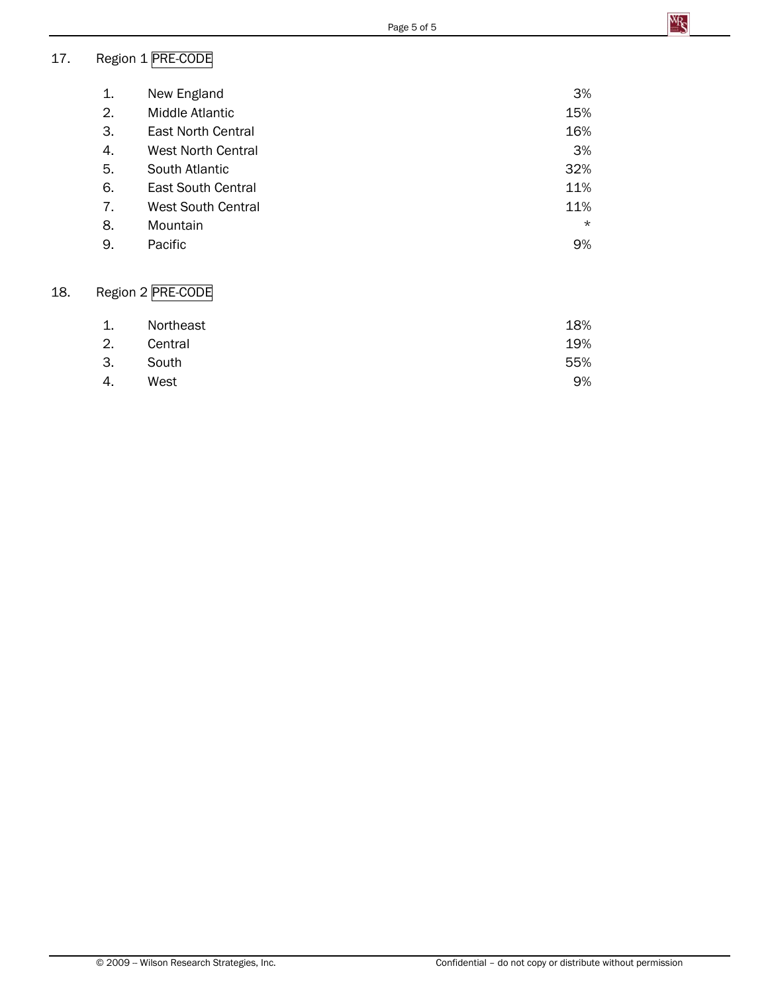# 17. Region 1 PRE-CODE

| New England               | 3%      |
|---------------------------|---------|
| Middle Atlantic           | 15%     |
| East North Central        | 16%     |
| <b>West North Central</b> | 3%      |
| South Atlantic            | 32%     |
| East South Central        | 11%     |
| <b>West South Central</b> | 11%     |
| Mountain                  | $\star$ |
| Pacific                   | 9%      |
|                           |         |

# 18. Region 2 PRE-CODE

| 1. | Northeast | 18% |
|----|-----------|-----|
| 2. | Central   | 19% |
| 3. | South     | 55% |
| 4. | West      | 9%  |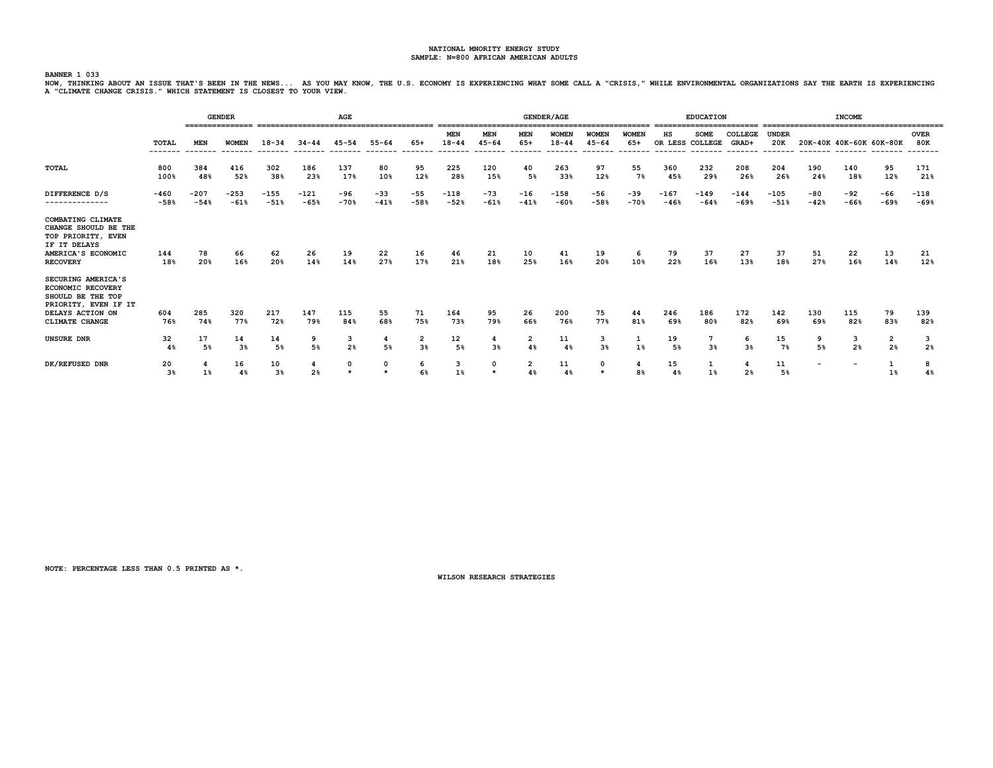BANNER 1 033<br>NOW, THINKING ABOUT AN ISSUE THAT'S BEEN IN THE NEWS... AS YOU MAY KNOW, THE U.S. ECONOMY IS EXPERIENCING WHAT SOME CALL A "CRISIS," WHILE ENVIRONMENTAL ORGANIZATIONS SAY THE EARTH IS EXPERIENCING<br>A "CLIMATE C

|                                                                                                                                   |                   |                  | <b>GENDER</b><br>=============== |                      |                     | AGE             |                 |                 |                         |                        |                       | <b>GENDER/AGE</b>         |                                     |                                  |                                   | <b>EDUCATION</b>        |                              |                     |                          | <b>INCOME</b>            |                     |                     |
|-----------------------------------------------------------------------------------------------------------------------------------|-------------------|------------------|----------------------------------|----------------------|---------------------|-----------------|-----------------|-----------------|-------------------------|------------------------|-----------------------|---------------------------|-------------------------------------|----------------------------------|-----------------------------------|-------------------------|------------------------------|---------------------|--------------------------|--------------------------|---------------------|---------------------|
|                                                                                                                                   | TOTAL<br>-------- | <b>MEN</b>       | <b>WOMEN</b>                     | $18 - 34$            | $34 - 44$           | $45 - 54$       | $55 - 64$       | 65+             | <b>MEN</b><br>$18 - 44$ | <b>MEN</b><br>45-64    | MEN<br>$65+$<br>----- | <b>WOMEN</b><br>$18 - 44$ | <b>WOMEN</b><br>$45 - 64$<br>------ | <b>WOMEN</b><br>$65+$<br>------- | ΗS<br>OR LESS COLLEGE<br>-------- | <b>SOME</b><br>-------- | COLLEGE<br>GRAD+<br>-------- | <b>UNDER</b><br>20K | 20K-40K 40K-60K 60K-80K  |                          |                     | <b>OVER</b><br>80K  |
| <b>TOTAL</b>                                                                                                                      | 800<br>100%       | 384<br>48%       | 416<br>52%                       | 302<br>38%           | 186<br>23%          | 137<br>17%      | 80<br>10%       | 95<br>12%       | 225<br>28%              | 120<br>15%             | 40<br>5%              | 263<br>33%                | 97<br>12%                           | 55<br>7%                         | 360<br>45%                        | 232<br>29%              | 208<br>26%                   | 204<br>26%          | 190<br>24%               | 140<br>18%               | 95<br>12%           | 171<br>21%          |
| DIFFERENCE D/S<br>--------------                                                                                                  | $-460$<br>$-58%$  | $-207$<br>$-54%$ | $-253$<br>$-61%$                 | $-155$<br>$-51%$     | $-121$<br>$-65%$    | $-96$<br>$-70%$ | $-33$<br>$-41%$ | $-55$<br>$-58%$ | $-118$<br>$-52%$        | $-73$<br>$-61%$        | $-16$<br>$-41%$       | $-158$<br>$-60%$          | $-56$<br>$-58%$                     | $-39$<br>$-70%$                  | $-167$<br>$-46%$                  | $-149$<br>$-64%$        | $-144$<br>$-69%$             | $-105$<br>$-51%$    | -80<br>$-42%$            | $-92$<br>$-66%$          | -66<br>$-69%$       | $-118$<br>$-69%$    |
| COMBATING CLIMATE<br>CHANGE SHOULD BE THE<br>TOP PRIORITY, EVEN<br>IF IT DELAYS<br>AMERICA'S ECONOMIC<br><b>RECOVERY</b>          | 144<br>18%        | 78<br>20%        | 66<br>16%                        | 62<br>20%            | 26<br>14%           | 19<br>14%       | 22<br>27%       | 16<br>17%       | 46<br>21%               | 21<br>18%              | 10<br>25%             | 41<br>16%                 | 19<br>20%                           | 6<br>10%                         | 79<br>22%                         | 37<br>16%               | 27<br>13%                    | 37<br>18%           | 51<br>27%                | 22<br>16%                | 13<br>14%           | 21<br>12%           |
| SECURING AMERICA'S<br><b>ECONOMIC RECOVERY</b><br>SHOULD BE THE TOP<br>PRIORITY, EVEN IF IT<br>DELAYS ACTION ON<br>CLIMATE CHANGE | 604<br>76%        | 285<br>74%       | 320<br>77%                       | 217<br>72%           | 147<br>79%          | 115<br>84%      | 55<br>68%       | 71<br>75%       | 164<br>73%              | 95<br>79%              | 26<br>66%             | 200<br>76%                | 75<br>77%                           | 44<br>81%                        | 246<br>69%                        | 186<br>80%              | 172<br>82%                   | 142<br>69%          | 130<br>69%               | 115<br>82%               | 79<br>83%           | 139<br>82%          |
| UNSURE DNR                                                                                                                        | 32<br>4%          | 17<br>5%         | 14<br>3 <sup>8</sup>             | 14<br>5%             | 9<br>5%             | 3<br>2%         | 4<br>5%         | 2<br>3%         | 12<br>5%                | 4<br>3 <sup>8</sup>    | 2<br>4%               | 11<br>4%                  | 3<br>3 <sup>8</sup>                 | 1%                               | 19<br>5%                          | 7<br>3 <sup>8</sup>     | 6<br>3 <sup>8</sup>          | 15<br>7%            | 9<br>5%                  | 3<br>2%                  | 2<br>2 <sup>8</sup> | 3<br>2 <sup>8</sup> |
| DK/REFUSED DNR                                                                                                                    | 20<br>3%          | $1\%$            | 16<br>4%                         | 10<br>3 <sup>8</sup> | 4<br>2 <sup>8</sup> | 0<br>$\star$    | 0<br>$\star$    | 6<br>6%         | 3<br>1%                 | $\mathbf 0$<br>$\star$ | 2<br>4%               | 11<br>4%                  | $\mathbf 0$<br>$\star$              | 4<br>8%                          | 15<br>4%                          | 1<br>1%                 | 4<br>2 <sup>8</sup>          | 11<br>5%            | $\overline{\phantom{a}}$ | $\overline{\phantom{a}}$ | 1%                  | 8<br>4%             |

**NOTE: PERCENTAGE LESS THAN 0.5 PRINTED AS \*.**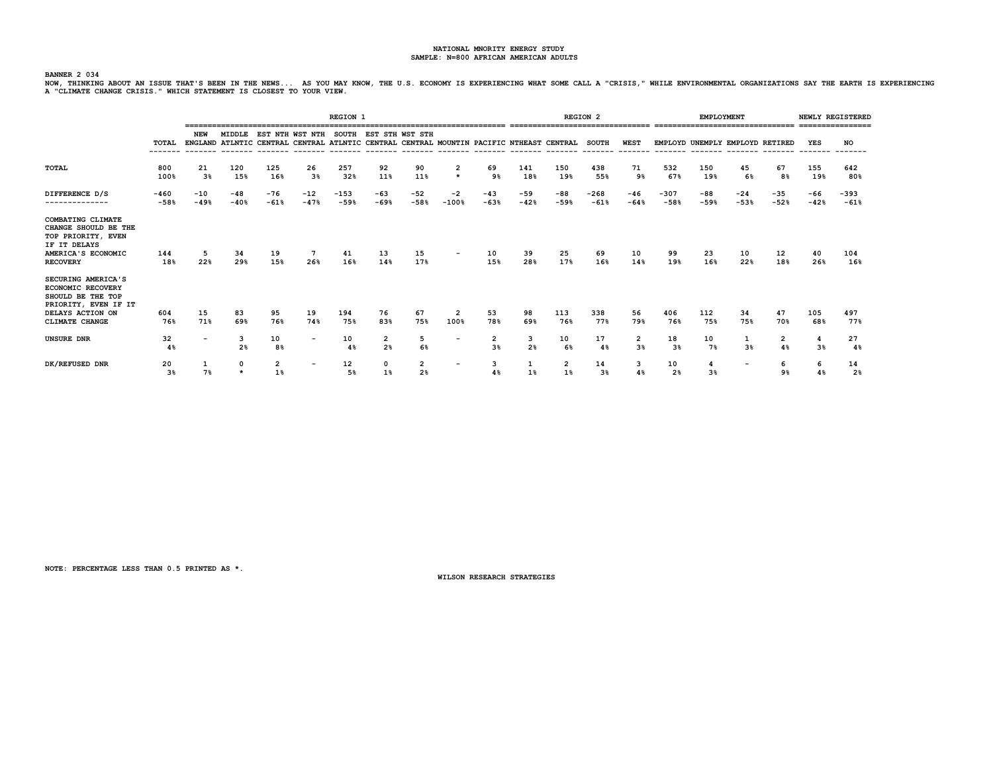BANNER 2034<br>NOW, THINKING ABOUT AN ISSUE THAT'S BEEN IN THE NEWS... AS YOU MAY KNOW, THE U.S. ECONOMY IS EXPERIENCING WHAT SOME CALL A "CRISIS," WHILE ENVIRONMENTAL ORGANIZATIONS SAY THE EARTH IS EXPERIENCING<br>A "CLIMATE CH

|                                                                                                                                          |                   |                          |                     |                      |                                                                                                            | <b>REGION 1</b>  |                       |                     |                          |                      |                 | ================================ | <b>REGION 2</b>      |                        |                      | <b>EMPLOYMENT</b> |                                 | ================================ |                     | NEWLY REGISTERED<br>================ |
|------------------------------------------------------------------------------------------------------------------------------------------|-------------------|--------------------------|---------------------|----------------------|------------------------------------------------------------------------------------------------------------|------------------|-----------------------|---------------------|--------------------------|----------------------|-----------------|----------------------------------|----------------------|------------------------|----------------------|-------------------|---------------------------------|----------------------------------|---------------------|--------------------------------------|
|                                                                                                                                          | TOTAL<br>-------- | NEW                      | MIDDLE              |                      | EST NTH WST NTH<br>ENGLAND ATLNTIC CENTRAL CENTRAL ATLNTIC CENTRAL CENTRAL MOUNTIN PACIFIC NTHEAST CENTRAL |                  | SOUTH EST STH WST STH |                     |                          |                      |                 |                                  | <b>SOUTH</b>         | <b>WEST</b><br>------- |                      |                   | EMPLOYD UNEMPLY EMPLOYD RETIRED |                                  | YES                 | NO                                   |
| TOTAL                                                                                                                                    | 800<br>100%       | 21<br>3 <sup>8</sup>     | 120<br>15%          | 125<br>16%           | 26<br>3%                                                                                                   | 257<br>32%       | 92<br>11%             | 90<br>11%           | 2<br>$\star$             | 69<br>9%             | 141<br>18%      | 150<br>19%                       | 438<br>55%           | 71<br>9%               | 532<br>67%           | 150<br>19%        | 45<br>6%                        | 67<br>8%                         | 155<br>19%          | 642<br>80%                           |
| DIFFERENCE D/S<br>--------------                                                                                                         | -460<br>$-58%$    | $-10$<br>$-49%$          | -48<br>$-40%$       | -76<br>$-61%$        | $-12$<br>$-47%$                                                                                            | $-153$<br>$-59%$ | -63<br>$-69%$         | $-52$<br>$-58%$     | $-2$<br>$-100%$          | $-43$<br>$-63%$      | $-59$<br>$-42%$ | -88<br>$-59%$                    | $-268$<br>$-61%$     | $-46$<br>$-64%$        | $-307$<br>$-58%$     | -88<br>$-59%$     | $-24$<br>$-53%$                 | $-35$<br>$-52%$                  | -66<br>$-42%$       | $-393$<br>$-61%$                     |
| <b>COMBATING CLIMATE</b><br>CHANGE SHOULD BE THE<br>TOP PRIORITY, EVEN<br>IF IT DELAYS<br>AMERICA'S ECONOMIC<br><b>RECOVERY</b>          | 144<br>18%        | 5<br>22%                 | 34<br>29%           | 19<br>15%            | 7<br>26%                                                                                                   | 41<br>16%        | 13<br>14%             | 15<br>17%           | $\overline{\phantom{a}}$ | 10<br>15%            | 39<br>28%       | 25<br>17%                        | 69<br>16%            | 10<br>14%              | 99<br>19%            | 23<br>16%         | 10<br>22%                       | 12<br>18%                        | 40<br>26%           | 104<br>16%                           |
| SECURING AMERICA'S<br><b>ECONOMIC RECOVERY</b><br>SHOULD BE THE TOP<br>PRIORITY, EVEN IF IT<br>DELAYS ACTION ON<br><b>CLIMATE CHANGE</b> | 604<br>76%        | 15<br>71%                | 83<br>69%           | 95<br>76%            | 19<br>74%                                                                                                  | 194<br>75%       | 76<br>83%             | 67<br>75%           | 2<br>100%                | 53<br>78%            | 98<br>69%       | 113<br>76%                       | 338<br>77%           | 56<br>79%              | 406<br>76%           | 112<br>75%        | 34<br>75%                       | 47<br>70%                        | 105<br>68%          | 497<br>77%                           |
| <b>UNSURE DNR</b>                                                                                                                        | 32<br>4%          | $\overline{\phantom{0}}$ | 3<br>2 <sup>8</sup> | 10<br>8 <sup>°</sup> | $\overline{\phantom{0}}$                                                                                   | 10<br>4%         | 2<br>2 <sub>8</sub>   | 5<br>6%             | $\overline{\phantom{0}}$ | $\overline{2}$<br>3% | 3<br>2%         | 10<br>6%                         | 17<br>4%             | 2<br>3%                | 18<br>3%             | 10<br>7%          | 3%                              | $\overline{2}$<br>4%             | 4<br>3 <sup>8</sup> | 27<br>4%                             |
| DK/REFUSED DNR                                                                                                                           | 20<br>3%          | 7%                       |                     | 1%                   | $\overline{\phantom{0}}$                                                                                   | 12<br>5%         | $1\%$                 | 2<br>2 <sup>8</sup> | $\overline{\phantom{0}}$ | 3<br>4%              | 1%              | $1\%$                            | 14<br>3 <sup>8</sup> | 3<br>4%                | 10<br>2 <sub>8</sub> | 4<br>3%           | $\overline{\phantom{a}}$        | 6<br>9%                          | 6<br>4%             | 14<br>2 <sup>8</sup>                 |

**NOTE: PERCENTAGE LESS THAN 0.5 PRINTED AS \*.**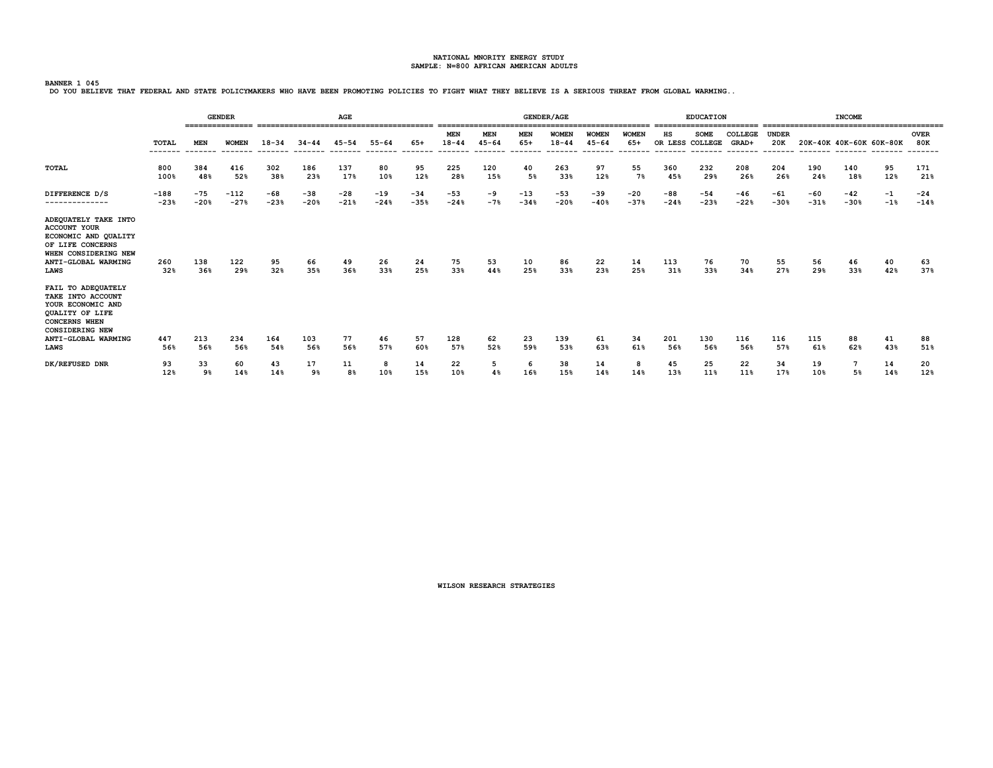**BANNER 1 045**<br>DO YOU BELIEVE THAT FEDERAL AND STATE POLICYMAKERS WHO HAVE BEEN PROMOTING POLICIES TO FIGHT WHAT THEY BELIEVE IS A SERIOUS THREAT FROM GLOBAL WARMING..

|                                                                                                                                                       | <b>GENDER</b>    |                 |                         |                 |                       | AGE                   |                      |                  |                                    | ==================          |                         | <b>GENDER/AGE</b>         | ----------------                     |                            | ---------------       | <b>EDUCATION</b> |                                                     |                     |                 | <b>INCOME</b>           | ------------------------- |                    |
|-------------------------------------------------------------------------------------------------------------------------------------------------------|------------------|-----------------|-------------------------|-----------------|-----------------------|-----------------------|----------------------|------------------|------------------------------------|-----------------------------|-------------------------|---------------------------|--------------------------------------|----------------------------|-----------------------|------------------|-----------------------------------------------------|---------------------|-----------------|-------------------------|---------------------------|--------------------|
|                                                                                                                                                       | <b>TOTAL</b>     | <b>MEN</b>      | <b>WOMEN</b><br>------- | $18 - 34$       | $34 - 44$<br>-------- | $45 - 54$<br>-------- | $55 - 64$<br>------- | $65+$<br>------- | <b>MEN</b><br>$18 - 44$<br>------- | MEN<br>$45 - 64$<br>------- | MEN<br>$65+$<br>------- | <b>WOMEN</b><br>$18 - 44$ | <b>WOMEN</b><br>$45 - 64$<br>------- | WOMEN<br>$65+$<br>-------- | нs<br>OR LESS COLLEGE | <b>SOME</b>      | COLLEGE<br>GRAD+<br>-------- ------- ------- ------ | <b>UNDER</b><br>20K |                 | 20K-40K 40K-60K 60K-80K |                           | <b>OVER</b><br>80K |
| TOTAL                                                                                                                                                 | 800<br>100%      | 384<br>48%      | 416<br>52%              | 302<br>38%      | 186<br>23%            | 137<br>17%            | 80<br>10%            | 95<br>12%        | 225<br>28%                         | 120<br>15%                  | 40<br>5%                | 263<br>33%                | 97<br>12%                            | 55<br>7%                   | 360<br>45%            | 232<br>29%       | 208<br>26%                                          | 204<br>26%          | 190<br>24%      | 140<br>18%              | 95<br>12%                 | 171<br>21%         |
| DIFFERENCE D/S<br>--------------                                                                                                                      | $-188$<br>$-23%$ | $-75$<br>$-20%$ | $-112$<br>$-27%$        | $-68$<br>$-23%$ | $-38$<br>$-20%$       | $-28$<br>$-21%$       | $-19$<br>$-24%$      | $-34$<br>$-35%$  | $-53$<br>$-24%$                    | -9<br>$-7%$                 | $-13$<br>$-34%$         | $-53$<br>$-20%$           | $-39$<br>$-40%$                      | $-20$<br>$-37%$            | $-88$<br>$-24%$       | $-54$<br>$-23%$  | $-46$<br>$-22%$                                     | $-61$<br>$-30%$     | $-60$<br>$-31%$ | $-42$<br>$-30%$         | $-1$<br>$-1$ <sup>8</sup> | $-24$<br>$-14%$    |
| ADEQUATELY TAKE INTO<br><b>ACCOUNT YOUR</b><br>ECONOMIC AND QUALITY<br>OF LIFE CONCERNS<br>WHEN CONSIDERING NEW<br>ANTI-GLOBAL WARMING<br><b>LAWS</b> | 260<br>32%       | 138<br>36%      | 122<br>29%              | 95<br>32%       | 66<br>35%             | 49<br>36%             | 26<br>33%            | 24<br>25%        | 75<br>33%                          | 53<br>44%                   | 10<br>25%               | 86<br>33%                 | 22<br>23%                            | 14<br>25%                  | 113<br>31%            | 76<br>33%        | 70<br>34%                                           | 55<br>27%           | 56<br>29%       | 46<br>33%               | 40<br>42%                 | 63<br>37%          |
| FAIL TO ADEQUATELY<br>TAKE INTO ACCOUNT<br>YOUR ECONOMIC AND<br>QUALITY OF LIFE<br><b>CONCERNS WHEN</b><br><b>CONSIDERING NEW</b>                     |                  |                 |                         |                 |                       |                       |                      |                  |                                    |                             |                         |                           |                                      |                            |                       |                  |                                                     |                     |                 |                         |                           |                    |
| ANTI-GLOBAL WARMING<br><b>LAWS</b>                                                                                                                    | 447<br>56%       | 213<br>56%      | 234<br>56%              | 164<br>54%      | 103<br>56%            | 77<br>56%             | 46<br>57%            | 57<br>60%        | 128<br>57%                         | 62<br>52%                   | 23<br>59%               | 139<br>53%                | 61<br>63%                            | 34<br>61%                  | 201<br>56%            | 130<br>56%       | 116<br>56%                                          | 116<br>57%          | 115<br>61%      | 88<br>62%               | 41<br>43%                 | 88<br>51%          |
| DK/REFUSED DNR                                                                                                                                        | 93<br>12%        | 33<br>9%        | 60<br>14%               | 43<br>14%       | 17<br>9%              | 11<br>8%              | 8<br>10%             | 14<br>15%        | 22<br>10%                          | 5<br>4%                     | 6<br>16%                | 38<br>15%                 | 14<br>14%                            | 8<br>14%                   | 45<br>13%             | 25<br>11%        | 22<br>11%                                           | 34<br>17%           | 19<br>10%       | 5%                      | 14<br>14%                 | 20<br>12%          |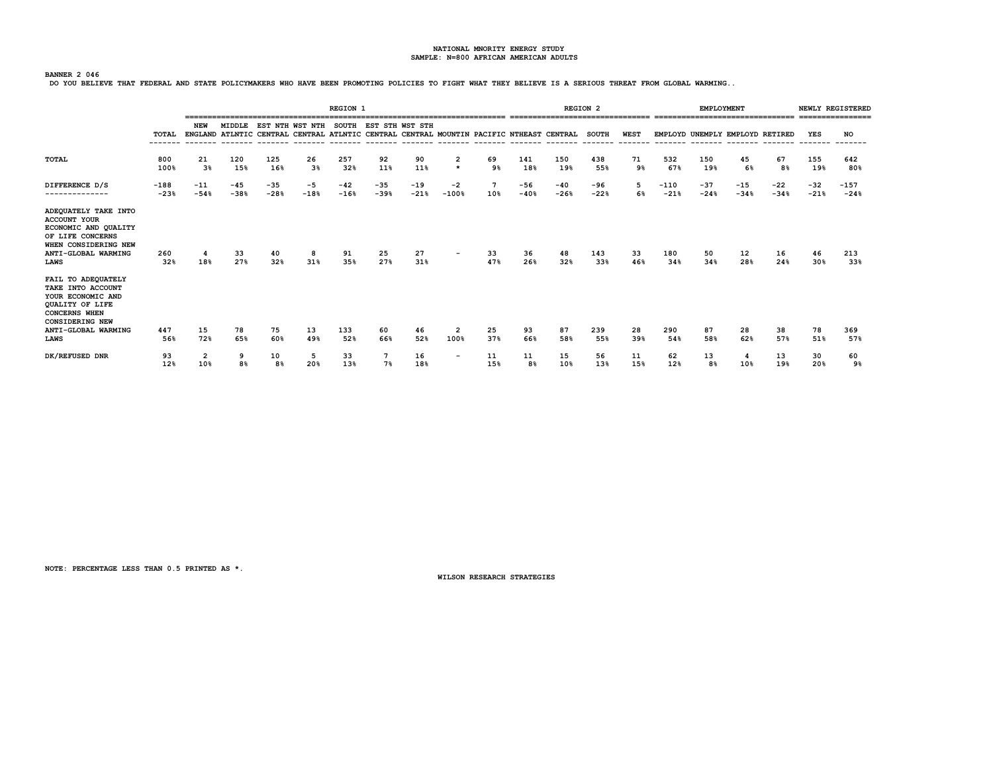**BANNER 2 046**<br>DO YOU BELIEVE THAT FEDERAL AND STATE POLICYMAKERS WHO HAVE BEEN PROMOTING POLICIES TO FIGHT WHAT THEY BELIEVE IS A SERIOUS THREAT FROM GLOBAL WARMING..

|                                                                                                                                                          |                  |                      |                 |               |                                                                                                                                              | <b>REGION 1</b> |                 |                 |                                    |           |                 | -------------------------------- | <b>REGION 2</b>         |                        |                  | <b>EMPLOYMENT</b> | -------------------------------- |                 |                       | NEWLY REGISTERED |
|----------------------------------------------------------------------------------------------------------------------------------------------------------|------------------|----------------------|-----------------|---------------|----------------------------------------------------------------------------------------------------------------------------------------------|-----------------|-----------------|-----------------|------------------------------------|-----------|-----------------|----------------------------------|-------------------------|------------------------|------------------|-------------------|----------------------------------|-----------------|-----------------------|------------------|
|                                                                                                                                                          | TOTAL            | <b>NEW</b>           | MIDDLE          |               | EST NTH WST NTH SOUTH EST STH WST STH<br>ENGLAND ATLNTIC CENTRAL CENTRAL ATLNTIC CENTRAL CENTRAL MOUNTIN PACIFIC NTHEAST CENTRAL<br>-------- |                 |                 |                 |                                    |           |                 |                                  | <b>SOUTH</b><br>------- | <b>WEST</b><br>------- |                  |                   | EMPLOYD UNEMPLY EMPLOYD RETIRED  |                 | YES                   | <b>NO</b>        |
| <b>TOTAL</b>                                                                                                                                             | 800<br>100%      | 21<br>3 <sup>8</sup> | 120<br>15%      | 125<br>16%    | 26<br>3%                                                                                                                                     | 257<br>32%      | 92<br>11%       | 90<br>11%       | $\overline{\mathbf{2}}$<br>$\star$ | 69<br>9%  | 141<br>18%      | 150<br>19%                       | 438<br>55%              | 71<br>9%               | 532<br>67%       | 150<br>19%        | 45<br>6%                         | 67<br>8%        | 155<br>19%            | 642<br>80%       |
| DIFFERENCE D/S<br>--------------                                                                                                                         | $-188$<br>$-23%$ | $-11$<br>$-54%$      | $-45$<br>$-38%$ | -35<br>$-28%$ | $-5$<br>$-18%$                                                                                                                               | $-42$<br>$-16%$ | $-35$<br>$-39%$ | $-19$<br>$-21%$ | $-2$<br>$-100%$                    | -7<br>10% | $-56$<br>$-40%$ | $-40$<br>$-26%$                  | -96<br>$-22%$           | 5<br>6%                | $-110$<br>$-21%$ | $-37$<br>$-24%$   | $-15$<br>$-34%$                  | $-22$<br>$-34%$ | $-32$<br>$-21%$       | $-157$<br>$-24%$ |
| ADEQUATELY TAKE INTO<br><b>ACCOUNT YOUR</b><br>ECONOMIC AND QUALITY<br>OF LIFE CONCERNS<br>WHEN CONSIDERING NEW<br>ANTI-GLOBAL WARMING<br><b>LAWS</b>    | 260<br>32%       | 4<br>18%             | 33<br>27%       | 40<br>32%     | 8<br>31%                                                                                                                                     | 91<br>35%       | 25<br>27%       | 27<br>31%       | $\overline{\phantom{0}}$           | 33<br>47% | 36<br>26%       | 48<br>32%                        | 143<br>33%              | 33<br>46%              | 180<br>34%       | 50<br>34%         | 12<br>28%                        | 16<br>24%       | 46<br>30 <sub>8</sub> | 213<br>33%       |
| FAIL TO ADEQUATELY<br>TAKE INTO ACCOUNT<br>YOUR ECONOMIC AND<br>QUALITY OF LIFE<br><b>CONCERNS WHEN</b><br><b>CONSIDERING NEW</b><br>ANTI-GLOBAL WARMING | 447              | 15                   | 78              | 75            | 13                                                                                                                                           | 133             | 60              | 46              | $\overline{2}$                     | 25        | 93              | 87                               | 239                     | 28                     | 290              | 87                | 28                               | 38              | 78                    | 369              |
| <b>LAWS</b>                                                                                                                                              | 56%              | 72%                  | 65%             | 60%           | 49%                                                                                                                                          | 52%             | 66%             | 52%             | 100%                               | 37%       | 66%             | 58%                              | 55%                     | 39%                    | 54%              | 58%               | 62%                              | 57%             | 51%                   | 57%              |
| DK/REFUSED DNR                                                                                                                                           | 93<br>12%        | 2<br>10%             | 9<br>8%         | 10<br>8%      | 5<br>20%                                                                                                                                     | 33<br>13%       | 7%              | 16<br>18%       | $\overline{\phantom{0}}$           | 11<br>15% | 11<br>8%        | 15<br>10%                        | 56<br>13%               | 11<br>15%              | 62<br>12%        | 13<br>8%          | 4<br>10%                         | 13<br>19%       | 30<br>20%             | 60<br>9%         |

**NOTE: PERCENTAGE LESS THAN 0.5 PRINTED AS \*.**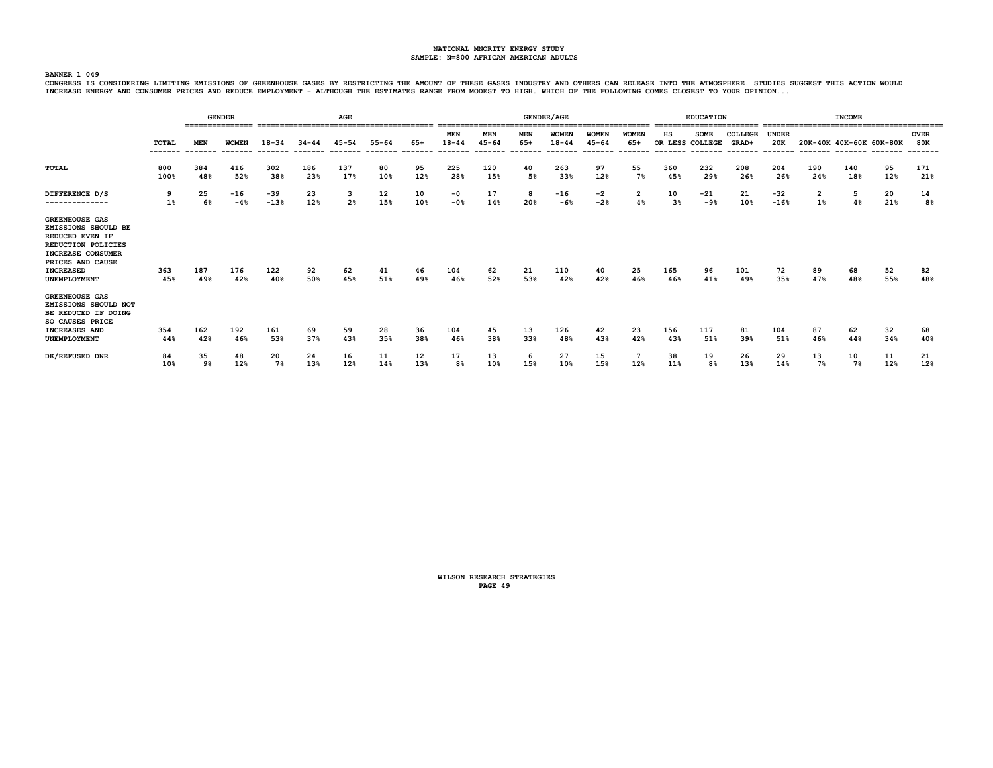#### **BANNER 1 049**

CONGRESS IS CONSIDERING LIMITING EMISSIONS OF GREENHOUSE GASES BY RESTRICTING THE A GASES INDUSTRY AND OTHERS CAN RELEASE INTO THE ATMOSPHERE. STUDIES SUGGEST THIS ACTION WOULD<br>INCREASE ENERGY AND CONSUMER PRICES AND REDUC

|                                                                                                                                                                           |                         |            | <b>GENDER</b><br>=============== |                 | ================== | AGE        |                     |                |                                     |                                   |                             | <b>GENDER/AGE</b>                     |                                     |                                 |                       | <b>EDUCATION</b> |                             |                                |                         | <b>INCOME</b>           |           |                    |
|---------------------------------------------------------------------------------------------------------------------------------------------------------------------------|-------------------------|------------|----------------------------------|-----------------|--------------------|------------|---------------------|----------------|-------------------------------------|-----------------------------------|-----------------------------|---------------------------------------|-------------------------------------|---------------------------------|-----------------------|------------------|-----------------------------|--------------------------------|-------------------------|-------------------------|-----------|--------------------|
|                                                                                                                                                                           | <b>TOTAL</b><br>------- | MEN        | <b>WOMEN</b>                     | $18 - 34$       | $34 - 44$          | $45 - 54$  | $55 - 64$<br>------ | 65+<br>------- | <b>MEN</b><br>$18 - 44$<br>-------- | <b>MEN</b><br>$45 - 64$<br>------ | <b>MEN</b><br>65+<br>------ | <b>WOMEN</b><br>$18 - 44$<br>-------- | <b>WOMEN</b><br>$45 - 64$<br>------ | <b>WOMEN</b><br>65+<br>-------- | нs<br>OR LESS COLLEGE | <b>SOME</b>      | COLLEGE<br>GRAD+<br>------- | <b>UNDER</b><br>20K<br>------- |                         | 20K-40K 40K-60K 60K-80K |           | <b>OVER</b><br>80K |
| TOTAL                                                                                                                                                                     | 800<br>100%             | 384<br>48% | 416<br>52%                       | 302<br>38%      | 186<br>23%         | 137<br>17% | 80<br>10%           | 95<br>12%      | 225<br>28%                          | 120<br>15%                        | 40<br>5%                    | 263<br>33%                            | 97<br>12%                           | 55<br>7%                        | 360<br>45%            | 232<br>29%       | 208<br>26%                  | 204<br>26%                     | 190<br>24%              | 140<br>18%              | 95<br>12% | 171<br>21%         |
| DIFFERENCE D/S<br>--------------                                                                                                                                          | 9<br>1%                 | 25<br>6%   | $-16$<br>$-4%$                   | $-39$<br>$-13%$ | 23<br>12%          | 3<br>2%    | 12<br>15%           | 10<br>10%      | $-0$<br>$-0.8$                      | 17<br>14%                         | 8<br>20%                    | $-16$<br>$-6%$                        | -2<br>$-2%$                         | $\overline{2}$<br>4%            | 10<br>$3\%$           | $-21$<br>$-9%$   | 21<br>10%                   | $-32$<br>$-16%$                | $\overline{2}$<br>$1\%$ | 5<br>4%                 | 20<br>21% | 14<br>8%           |
| <b>GREENHOUSE GAS</b><br><b>EMISSIONS SHOULD BE</b><br>REDUCED EVEN IF<br>REDUCTION POLICIES<br>INCREASE CONSUMER<br>PRICES AND CAUSE<br><b>INCREASED</b><br>UNEMPLOYMENT | 363<br>45%              | 187<br>49% | 176<br>42%                       | 122<br>40%      | 92<br>50%          | 62<br>45%  | 41<br>51%           | 46<br>49%      | 104<br>46%                          | 62<br>52%                         | 21<br>53%                   | 110<br>42%                            | 40<br>42%                           | 25<br>46%                       | 165<br>46%            | 96<br>41%        | 101<br>49%                  | 72<br>35%                      | 89<br>47%               | 68<br>48%               | 52<br>55% | 82<br>48%          |
| <b>GREENHOUSE GAS</b><br>EMISSIONS SHOULD NOT<br>BE REDUCED IF DOING<br>SO CAUSES PRICE<br><b>INCREASES AND</b>                                                           | 354                     | 162        | 192                              | 161             | 69                 | 59         | 28                  | 36             | 104                                 | 45                                | 13                          | 126                                   | 42                                  | 23                              | 156                   | 117              | 81                          | 104                            | 87                      | 62                      | 32        | 68                 |
| UNEMPLOYMENT                                                                                                                                                              | 44%                     | 42%        | 46%                              | 53%             | 37%                | 43%        | 35%                 | 38%            | 46%                                 | 38%                               | 33%                         | 48%                                   | 43%                                 | 42%                             | 43%                   | 51%              | 39%                         | 51%                            | 46%                     | 44%                     | 34%       | 40%                |
| DK/REFUSED DNR                                                                                                                                                            | 84<br>10%               | 35<br>9%   | 48<br>12%                        | 20<br>7%        | 24<br>13%          | 16<br>12%  | 11<br>14%           | 12<br>13%      | 17<br>8%                            | 13<br>10%                         | 6<br>15%                    | 27<br>10%                             | 15<br>15%                           | 12%                             | 38<br>11%             | 19<br>8%         | 26<br>13%                   | 29<br>14%                      | 13<br>7%                | 10<br>7%                | 11<br>12% | 21<br>12%          |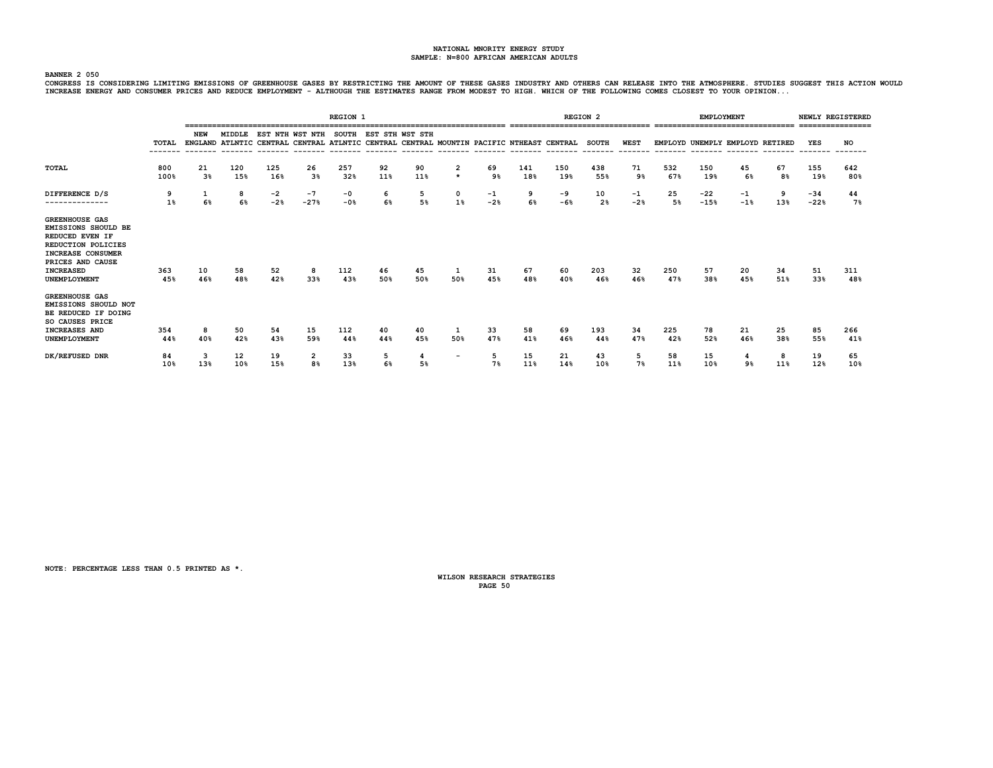#### **BANNER 2 050**

CONGRESS IS CONSIDERING LIMITING EMISSIONS OF GREENHOUSE GASES BY RESTRICTING THE A GASES INDUSTRY AND OTHERS CAN RELEASE INTO THE ATMOSPHERE. STUDIES SUGGEST THIS ACTION WOULD<br>INCREASE ENERGY AND CONSUMER PRICES AND REDUC

|                                                                                                                                                                                  |             |                      |            |             |                                                                                                            | <b>REGION 1</b> |                       |           |                          |             |            | ================================ | <b>REGION 2</b> |             |            | <b>EMPLOYMENT</b> | ================================ |           |                 | NEWLY REGISTERED<br>================ |
|----------------------------------------------------------------------------------------------------------------------------------------------------------------------------------|-------------|----------------------|------------|-------------|------------------------------------------------------------------------------------------------------------|-----------------|-----------------------|-----------|--------------------------|-------------|------------|----------------------------------|-----------------|-------------|------------|-------------------|----------------------------------|-----------|-----------------|--------------------------------------|
|                                                                                                                                                                                  | TOTAL       | NEW                  | MIDDLE     |             | EST NTH WST NTH<br>ENGLAND ATLNTIC CENTRAL CENTRAL ATLNTIC CENTRAL CENTRAL MOUNTIN PACIFIC NTHEAST CENTRAL |                 | SOUTH EST STH WST STH |           |                          |             |            |                                  | <b>SOUTH</b>    | <b>WEST</b> |            |                   | EMPLOYD UNEMPLY EMPLOYD RETIRED  |           | YES             | NO                                   |
| <b>TOTAL</b>                                                                                                                                                                     | 800<br>100% | 21<br>3 <sup>8</sup> | 120<br>15% | 125<br>16%  | 26<br>3 <sup>8</sup>                                                                                       | 257<br>32%      | 92<br>11%             | 90<br>11% | 2<br>$\star$             | 69<br>9%    | 141<br>18% | 150<br>19%                       | 438<br>55%      | 71<br>9%    | 532<br>67% | 150<br>19%        | 45<br>6%                         | 67<br>8%  | 155<br>19%      | 642<br>80%                           |
| DIFFERENCE D/S<br>--------------                                                                                                                                                 | 9<br>1%     | 1<br>6%              | 8<br>6%    | -2<br>$-2%$ | $-7$<br>$-27%$                                                                                             | $-0$<br>$-0.8$  | 6<br>6%               | 5<br>5%   | $\mathbf{o}$<br>1%       | -1<br>$-2%$ | 9<br>6%    | -9<br>$-6%$                      | 10<br>2%        | -1<br>$-2%$ | 25<br>5%   | $-22$<br>$-15%$   | $^{-1}$<br>$-1$ <sup>8</sup>     | 9<br>13%  | $-34$<br>$-22%$ | 44<br>$7\%$                          |
| <b>GREENHOUSE GAS</b><br>EMISSIONS SHOULD BE<br>REDUCED EVEN IF<br><b>REDUCTION POLICIES</b><br><b>INCREASE CONSUMER</b><br>PRICES AND CAUSE<br><b>INCREASED</b><br>UNEMPLOYMENT | 363<br>45%  | 10<br>46%            | 58<br>48%  | 52<br>42%   | 8<br>33%                                                                                                   | 112<br>43%      | 46<br>50%             | 45<br>50% | 1<br>50%                 | 31<br>45%   | 67<br>48%  | 60<br>40%                        | 203<br>46%      | 32<br>46%   | 250<br>47% | 57<br>38%         | 20<br>45%                        | 34<br>51% | 51<br>33%       | 311<br>48%                           |
| <b>GREENHOUSE GAS</b><br>EMISSIONS SHOULD NOT<br>BE REDUCED IF DOING<br><b>SO CAUSES PRICE</b><br><b>INCREASES AND</b><br>UNEMPLOYMENT                                           | 354<br>44%  | 8<br>40%             | 50<br>42%  | 54<br>43%   | 15<br>59%                                                                                                  | 112<br>44%      | 40<br>44%             | 40<br>45% | 1<br>50%                 | 33<br>47%   | 58<br>41%  | 69<br>46%                        | 193<br>44%      | 34<br>47%   | 225<br>42% | 78<br>52%         | 21<br>46%                        | 25<br>38% | 85<br>55%       | 266<br>41%                           |
| DK/REFUSED DNR                                                                                                                                                                   | 84<br>10%   | 3<br>13%             | 12<br>10%  | 19<br>15%   | 2<br>8%                                                                                                    | 33<br>13%       | 5<br>6%               | 4<br>5%   | $\overline{\phantom{a}}$ | 5<br>7%     | 15<br>11%  | 21<br>14%                        | 43<br>10%       | 5<br>7%     | 58<br>11%  | 15<br>10%         | 9%                               | 8<br>11%  | 19<br>12%       | 65<br>10%                            |

**NOTE: PERCENTAGE LESS THAN 0.5 PRINTED AS \*.**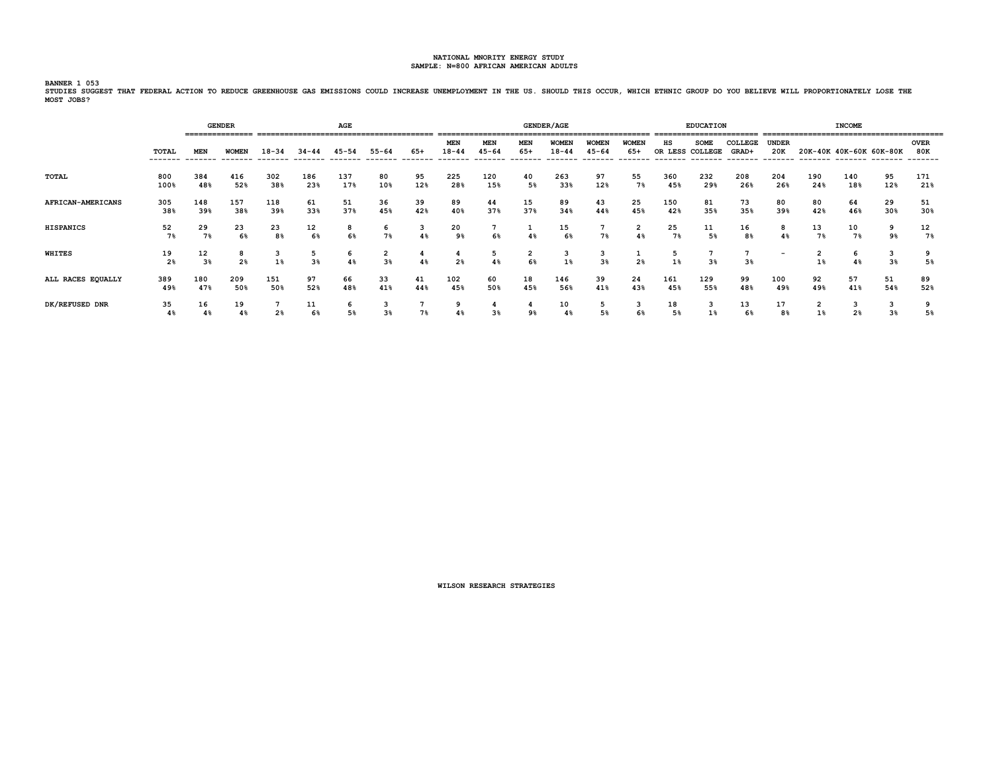.<br>BANNER 1 053<br>STUDIES SUGGEST THAT FEDERAL ACTION TO REDUCE GREENHOUSE GAS EMISSIONS COULD INCREASE UNEMPLOYMENT IN THE US. SHOULD THIS OCCUR, WHICH ETHNIC GROUP DO YOU BELIEVE WILL PROPORTIONATELY LOSE THE **MOST JOBS?**

|                   |             |                      | <b>GENDER</b><br>=============== |                |                     | AGE        |                     |           |                         |                         |                      | <b>GENDER/AGE</b>         |                           |                       |                       | <b>EDUCATION</b> |                                      |                          |                      | <b>INCOME</b>           |                     |                    |
|-------------------|-------------|----------------------|----------------------------------|----------------|---------------------|------------|---------------------|-----------|-------------------------|-------------------------|----------------------|---------------------------|---------------------------|-----------------------|-----------------------|------------------|--------------------------------------|--------------------------|----------------------|-------------------------|---------------------|--------------------|
|                   | TOTAL       | <b>MEN</b>           | <b>WOMEN</b>                     | $18 - 34$      | $34 - 44$           | $45 - 54$  | $55 - 64$           | 65+       | <b>MEN</b><br>$18 - 44$ | <b>MEN</b><br>$45 - 64$ | <b>MEN</b><br>$65+$  | <b>WOMEN</b><br>$18 - 44$ | <b>WOMEN</b><br>$45 - 64$ | <b>WOMEN</b><br>$65+$ | нs<br>OR LESS COLLEGE | <b>SOME</b>      | COLLEGE<br>GRAD+<br>-------- ------- | <b>UNDER</b><br>20K      |                      | 20K-40K 40K-60K 60K-80K |                     | <b>OVER</b><br>80K |
| TOTAL             | 800<br>100% | 384<br>48%           | 416<br>52%                       | 302<br>38%     | 186<br>23%          | 137<br>17% | 80<br>10%           | 95<br>12% | 225<br>28%              | 120<br>15%              | 40<br>5%             | 263<br>33%                | 97<br>12%                 | 55<br>7%              | 360<br>45%            | 232<br>29%       | 208<br>26%                           | 204<br>26%               | 190<br>24%           | 140<br>18%              | 95<br>12%           | 171<br>21%         |
| AFRICAN-AMERICANS | 305<br>38%  | 148<br>39%           | 157<br>38%                       | 118<br>39%     | 61<br>33%           | 51<br>37%  | 36<br>45%           | 39<br>42% | 89<br>40%               | 44<br>37%               | 15<br>37%            | 89<br>34%                 | 43<br>44%                 | 25<br>45%             | 150<br>42%            | 81<br>35%        | 73<br>35%                            | 80<br>39%                | 80<br>42%            | 64<br>46%               | 29<br>30%           | 51<br>30%          |
| <b>HISPANICS</b>  | 52<br>7%    | 29<br>7%             | 23<br>6%                         | 23<br>8%       | 12<br>6%            | 8<br>6%    | 6<br>7%             | 3<br>4%   | 20<br>9%                | 6%                      | 1<br>4%              | 15<br>6%                  | 7%                        | $\overline{2}$<br>4%  | 25<br>7%              | 11<br>5%         | 16<br>8%                             | 4%                       | 13<br>7%             | 10<br>7%                | 9<br>9%             | 12<br>7%           |
| <b>WHITES</b>     | 19<br>2%    | 12<br>3 <sup>8</sup> | 8<br>2 <sup>8</sup>              | 3<br>1%        | 5<br>3 <sup>8</sup> | 6<br>4%    | 2<br>3%             | 4<br>4%   | 4<br>2 <sup>8</sup>     | 5<br>4%                 | $\overline{2}$<br>6% | 3<br>$1\%$                | 3<br>3 <sup>8</sup>       | 2 <sup>8</sup>        | 5<br>$1\%$            | 3%               | 3%                                   | $\overline{\phantom{a}}$ | $\overline{2}$<br>1% | 6<br>4%                 | 3<br>3%             | 5%                 |
| ALL RACES EQUALLY | 389<br>49%  | 180<br>47%           | 209<br>50%                       | 151<br>50%     | 97<br>52%           | 66<br>48%  | 33<br>41%           | 41<br>44% | 102<br>45%              | 60<br>50%               | 18<br>45%            | 146<br>56%                | 39<br>41%                 | 24<br>43%             | 161<br>45%            | 129<br>55%       | 99<br>48%                            | 100<br>49%               | 92<br>49%            | 57<br>41%               | 51<br>54%           | 89<br>52%          |
| DK/REFUSED DNR    | 35<br>4%    | 16<br>4%             | 19<br>4%                         | 2 <sup>8</sup> | 11<br>6%            | 6<br>5%    | 3<br>3 <sup>8</sup> | 7%        | 9<br>4%                 | 4<br>3%                 | 4<br>9%              | 10<br>4%                  | 5<br>5%                   | 3<br>6%               | 18<br>5%              | 3<br>1%          | 13<br>6%                             | 17<br>8%                 | $\overline{2}$<br>1% | 3<br>2 <sup>8</sup>     | 3<br>3 <sup>8</sup> | 9<br>5%            |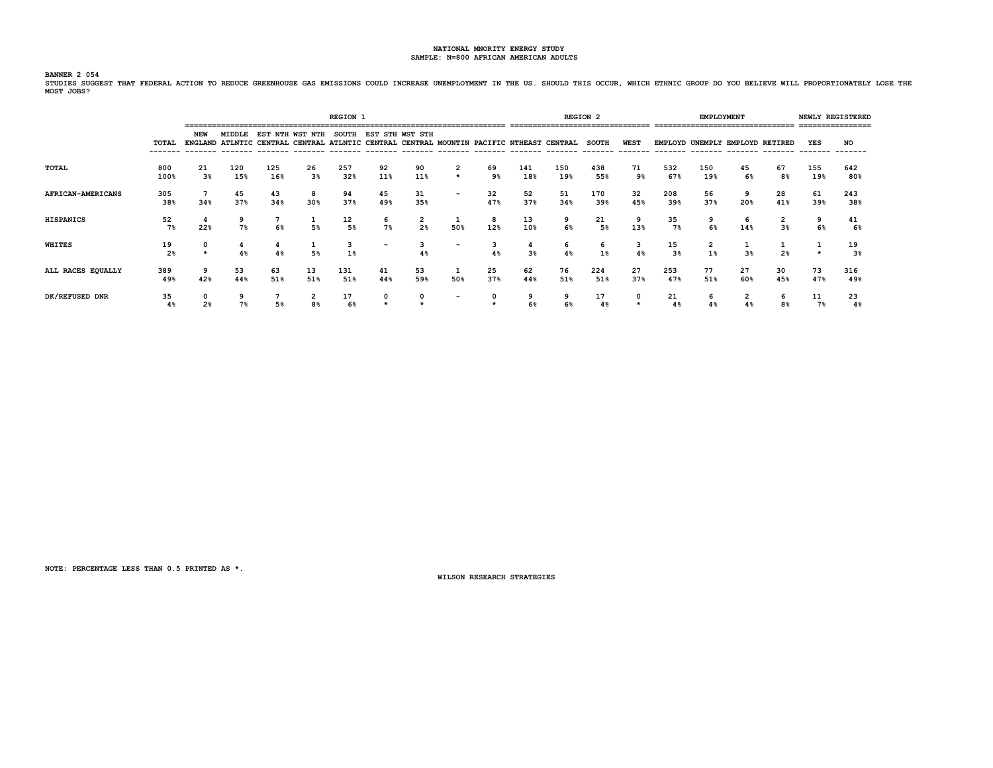**BANNER 2 054**

**STUDIES SUGGEST THAT FEDERAL ACTION TO REDUCE GREENHOUSE GAS EMISSIONS COULD INCREASE UNEMPLOYMENT IN THE US. SHOULD THIS OCCUR, WHICH ETHNIC GROUP DO YOU BELIEVE WILL PROPORTIONATELY LOSE THE MOST JOBS?**

|                   |                      |                      |               |            |                    | <b>REGION 1</b> |                          |           |                                    |           |            |                                                                                         | <b>REGION 2</b> |             |                      | EMPLOYMENT |                                 |                      | ================ | NEWLY REGISTERED     |
|-------------------|----------------------|----------------------|---------------|------------|--------------------|-----------------|--------------------------|-----------|------------------------------------|-----------|------------|-----------------------------------------------------------------------------------------|-----------------|-------------|----------------------|------------|---------------------------------|----------------------|------------------|----------------------|
|                   | TOTAL                | NEW                  | <b>MIDDLE</b> |            | EST NTH WST NTH    | <b>SOUTH</b>    | EST STH WST STH          |           |                                    |           |            | ENGLAND ATLNTIC CENTRAL CENTRAL ATLNTIC CENTRAL CENTRAL MOUNTIN PACIFIC NTHEAST CENTRAL | <b>SOUTH</b>    | <b>WEST</b> |                      |            | EMPLOYD UNEMPLY EMPLOYD RETIRED |                      | YES              | <b>NO</b>            |
| TOTAL             | 800<br>100%          | 21<br>3 <sup>8</sup> | 120<br>15%    | 125<br>16% | 26<br>3%           | 257<br>32%      | 92<br>11%                | 90<br>11% | $\overline{\mathbf{2}}$<br>$\star$ | 69<br>9%  | 141<br>18% | 150<br>19%                                                                              | 438<br>55%      | 71<br>9%    | 532<br>67%           | 150<br>19% | 45<br>6%                        | 67<br>8 <sup>8</sup> | 155<br>19%       | 642<br>80%           |
| AFRICAN-AMERICANS | 305<br>38%           | 34%                  | 45<br>37%     | 43<br>34%  | 8<br>30%           | 94<br>37%       | 45<br>49%                | 31<br>35% | $\overline{\phantom{a}}$           | 32<br>47% | 52<br>37%  | 51<br>34%                                                                               | 170<br>39%      | 32<br>45%   | 208<br>39%           | 56<br>37%  | 20%                             | 28<br>41%            | 61<br>39%        | 243<br>38%           |
| <b>HISPANICS</b>  | 52<br>7%             | 22%                  | 9<br>7%       | 6%         | л.<br>5%           | 12<br>5%        | 6<br>7%                  | 2<br>2%   | 50%                                | 8<br>12%  | 13<br>10%  | 9<br>6%                                                                                 | 21<br>5%        | 9<br>13%    | 35<br>7%             | 9<br>6%    | 6<br>14%                        | 2<br>3%              | 6%               | 41<br>6%             |
| WHITES            | 19<br>2 <sup>8</sup> | $\star$              | 4%            | 4%         | 5%                 | 3<br>1%         | $\overline{\phantom{a}}$ | 3<br>4%   | $\overline{\phantom{0}}$           | 4%        | 3%         | 6<br>4%                                                                                 | 6<br>1%         | 3<br>4%     | 15<br>3 <sup>8</sup> | 2<br>$1\%$ | 3%                              | 2%                   |                  | 19<br>3 <sup>8</sup> |
| ALL RACES EQUALLY | 389<br>49%           | 9<br>42%             | 53<br>44%     | 63<br>51%  | 13<br>51%          | 131<br>51%      | 41<br>44%                | 53<br>59% | 1<br>50%                           | 25<br>37% | 62<br>44%  | 76<br>51%                                                                               | 224<br>51%      | 27<br>37%   | 253<br>47%           | 77<br>51%  | 27<br>60%                       | 30<br>45%            | 73<br>47%        | 316<br>49%           |
| DK/REFUSED DNR    | 35<br>4%             | 0<br>2 <sup>8</sup>  | 9<br>7%       | 5%         | $\mathbf{2}$<br>8% | 17<br>6%        |                          |           | $\overline{\phantom{0}}$           |           | 9          | 9<br>6%                                                                                 | 17<br>4%        | 0           | 21                   | 6<br>4%    | 2                               | 6<br>8%              | 11<br>7%         | 23<br>48             |

**NOTE: PERCENTAGE LESS THAN 0.5 PRINTED AS \*.**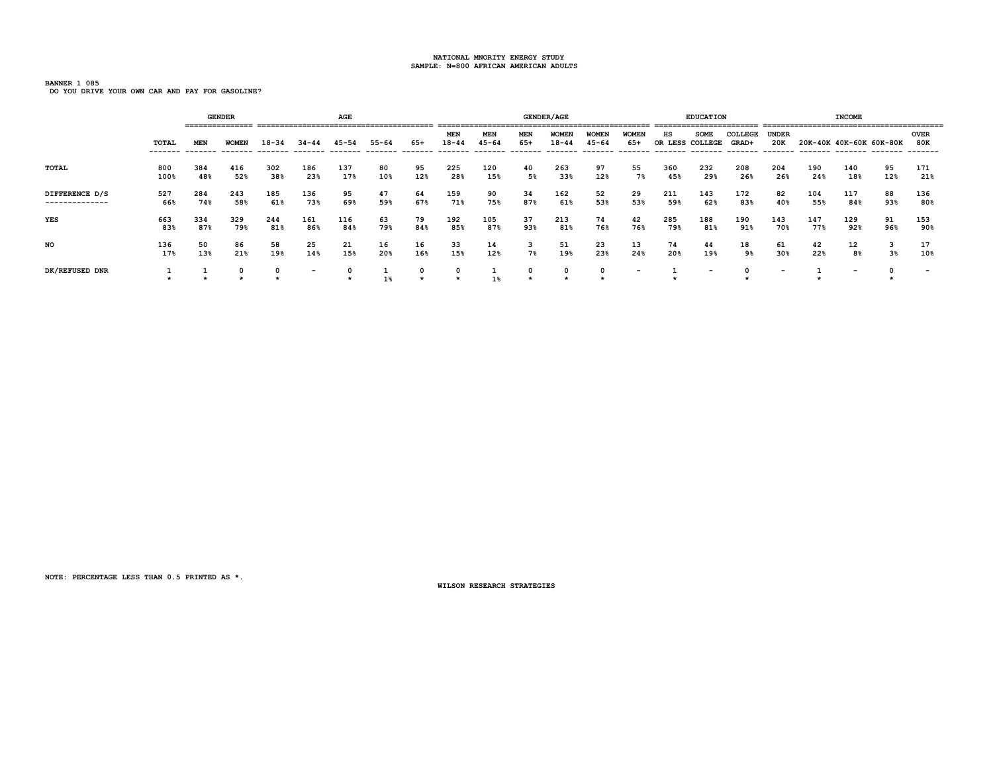**BANNER 1 085 DO YOU DRIVE YOUR OWN CAR AND PAY FOR GASOLINE?**

|                                  |                   |            | <b>GENDER</b> |            |                                                 | AGE        |                       |                 |                                     |                  |                               | <b>GENDER/AGE</b>                     |                           |                          |               | <b>EDUCATION</b><br>========================= |                  |                          |            | <b>INCOME</b>           |                |                           |
|----------------------------------|-------------------|------------|---------------|------------|-------------------------------------------------|------------|-----------------------|-----------------|-------------------------------------|------------------|-------------------------------|---------------------------------------|---------------------------|--------------------------|---------------|-----------------------------------------------|------------------|--------------------------|------------|-------------------------|----------------|---------------------------|
|                                  | TOTAL<br>-------- | <b>MEN</b> | <b>WOMEN</b>  | $18 - 34$  | 34-44<br>------- ------- ------- ------- ------ | 45-54      | $55 - 64$<br>-------- | 65+<br>-------- | <b>MEN</b><br>$18 - 44$<br>-------- | MEN<br>$45 - 64$ | <b>MEN</b><br>65+<br>-------- | <b>WOMEN</b><br>$18 - 44$<br>-------- | <b>WOMEN</b><br>$45 - 64$ | <b>WOMEN</b><br>65+      | нs<br>OR LESS | <b>SOME</b><br>COLLEGE                        | COLLEGE<br>GRAD+ | <b>UNDER</b><br>20K      |            | 20K-40K 40K-60K 60K-80K |                | <b>OVER</b><br><b>80K</b> |
| TOTAL                            | 800<br>100%       | 384<br>48% | 416<br>52%    | 302<br>38% | 186<br>23%                                      | 137<br>17% | 80<br>10%             | 95<br>12%       | 225<br>28%                          | 120<br>15%       | 40<br>5%                      | 263<br>33%                            | 97<br>12%                 | 55<br>7%                 | 360<br>45%    | 232<br>29%                                    | 208<br>26%       | 204<br>26%               | 190<br>24% | 140<br>18%              | 95<br>12%      | 171<br>21%                |
| DIFFERENCE D/S<br>-------------- | 527<br>66%        | 284<br>74% | 243<br>58%    | 185<br>61% | 136<br>73%                                      | 95<br>69%  | 47<br>59%             | 64<br>67%       | 159<br>71%                          | 90<br>75%        | 34<br>87%                     | 162<br>61%                            | 52<br>53%                 | 29<br>53%                | 211<br>59%    | 143<br>62%                                    | 172<br>83%       | 82<br>40%                | 104<br>55% | 117<br>84%              | 88<br>93%      | 136<br>80%                |
| <b>YES</b>                       | 663<br>83%        | 334<br>87% | 329<br>79%    | 244<br>81% | 161<br>86%                                      | 116<br>84% | 63<br>79%             | 79<br>84%       | 192<br>85%                          | 105<br>87%       | 37<br>93%                     | 213<br>81%                            | 74<br>76%                 | 42<br>76%                | 285<br>79%    | 188<br>81%                                    | 190<br>91%       | 143<br>70%               | 147<br>77% | 129<br>92%              | 91<br>96%      | 153<br>90%                |
| NO                               | 136<br>17%        | 50<br>13%  | 86<br>21%     | 58<br>19%  | 25<br>14%                                       | 21<br>15%  | 16<br>20%             | 16<br>16%       | 33<br>15%                           | 14<br>12%        | 3<br>7%                       | 51<br>19%                             | 23<br>23%                 | 13<br>24%                | 74<br>20%     | 44<br>19%                                     | 18<br>9%         | 61<br>30%                | 42<br>22%  | 12<br>8%                | 3 <sup>8</sup> | 17<br>10%                 |
| DK/REFUSED DNR                   |                   |            | 0             | 0          | $\overline{\phantom{0}}$                        |            | $1\%$                 |                 |                                     | $1\%$            |                               |                                       |                           | $\overline{\phantom{a}}$ |               | $\overline{\phantom{a}}$                      |                  | $\overline{\phantom{0}}$ |            |                         |                |                           |

**NOTE: PERCENTAGE LESS THAN 0.5 PRINTED AS \*.**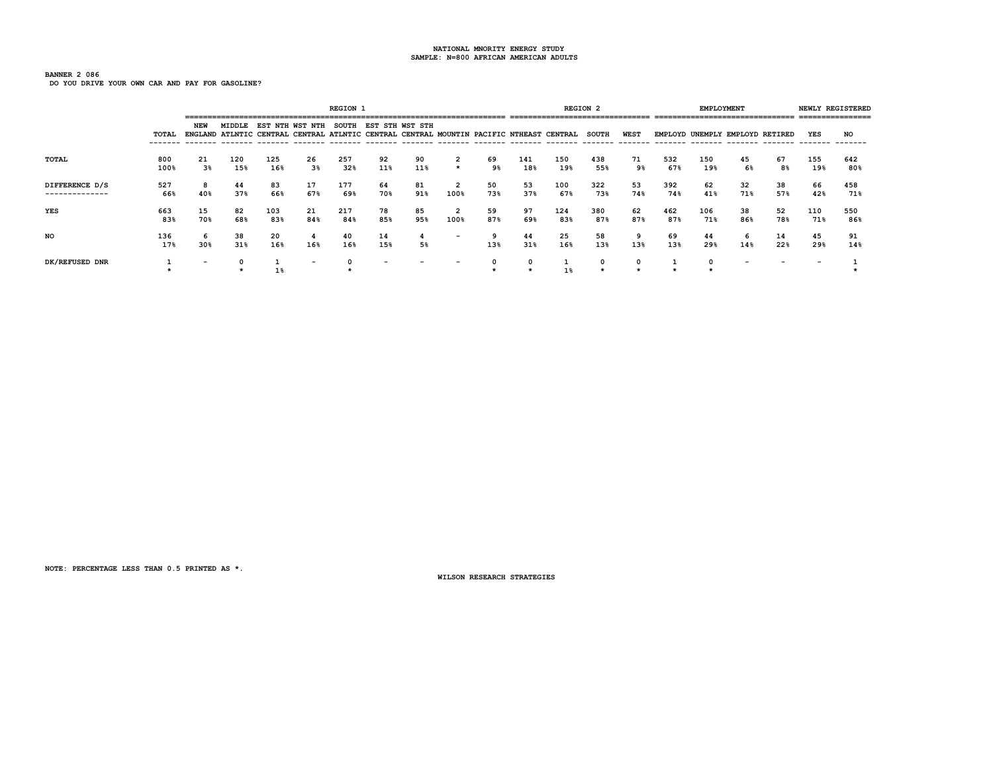# **BANNER 2 086**

**DO YOU DRIVE YOUR OWN CAR AND PAY FOR GASOLINE?**

|                                  |             |           |            |            |                          | <b>REGION 1</b> |                 |           |                          |           |            |                                                                                                                             | <b>REGION 2</b> |             |            | <b>EMPLOYMENT</b> | ------------------------------  |           | ---------------                | NEWLY REGISTERED |
|----------------------------------|-------------|-----------|------------|------------|--------------------------|-----------------|-----------------|-----------|--------------------------|-----------|------------|-----------------------------------------------------------------------------------------------------------------------------|-----------------|-------------|------------|-------------------|---------------------------------|-----------|--------------------------------|------------------|
|                                  | TOTAL       | NEW       | MIDDLE     |            | EST NTH WST NTH          | <b>SOUTH</b>    | EST STH WST STH |           |                          |           |            | ENGLAND ATLNTIC CENTRAL CENTRAL ATLNTIC CENTRAL CENTRAL MOUNTIN PACIFIC NTHEAST CENTRAL<br>-------- ------- ------- ------- | <b>SOUTH</b>    | <b>WEST</b> |            |                   | EMPLOYD UNEMPLY EMPLOYD RETIRED |           | YES<br>-------- ------- ------ | NO               |
| <b>TOTAL</b>                     | 800<br>100% | 21<br>3%  | 120<br>15% | 125<br>16% | 26<br>3%                 | 257<br>32%      | 92<br>11%       | 90<br>11% | $\star$                  | 69<br>9%  | 141<br>18% | 150<br>19%                                                                                                                  | 438<br>55%      | 71<br>9%    | 532<br>67% | 150<br>19%        | 45<br>6%                        | 67<br>8%  | 155<br>19%                     | 642<br>80%       |
| DIFFERENCE D/S<br>-------------- | 527<br>66%  | 8<br>40%  | 44<br>37%  | 83<br>66%  | 17<br>67%                | 177<br>69%      | 64<br>70%       | 81<br>91% | 100%                     | 50<br>73% | 53<br>37%  | 100<br>67%                                                                                                                  | 322<br>73%      | 53<br>74%   | 392<br>74% | 62<br>41%         | 32<br>71%                       | 38<br>57% | 66<br>42%                      | 458<br>71%       |
| YES                              | 663<br>83%  | 15<br>70% | 82<br>68%  | 103<br>83% | 21<br>84%                | 217<br>84%      | 78<br>85%       | 85<br>95% | 100%                     | 59<br>87% | 97<br>69%  | 124<br>83%                                                                                                                  | 380<br>87%      | 62<br>87%   | 462<br>87% | 106<br>71%        | 38<br>86%                       | 52<br>78% | 110<br>71%                     | 550<br>86%       |
| NO                               | 136<br>17%  | 6<br>30%  | 38<br>31%  | 20<br>16%  | -4<br>16%                | 40<br>16%       | 14<br>15%       | 5%        | $\overline{\phantom{0}}$ | 13%       | 44<br>31%  | 25<br>16%                                                                                                                   | 58<br>13%       | 9<br>13%    | 69<br>13%  | 44<br>29%         | 6<br>14%                        | 14<br>22% | 45<br>29%                      | 91<br>14%        |
| DK/REFUSED DNR                   |             |           |            |            | $\overline{\phantom{0}}$ |                 |                 |           |                          |           |            | 1%                                                                                                                          | 0               |             |            |                   |                                 |           |                                |                  |

**NOTE: PERCENTAGE LESS THAN 0.5 PRINTED AS \*.**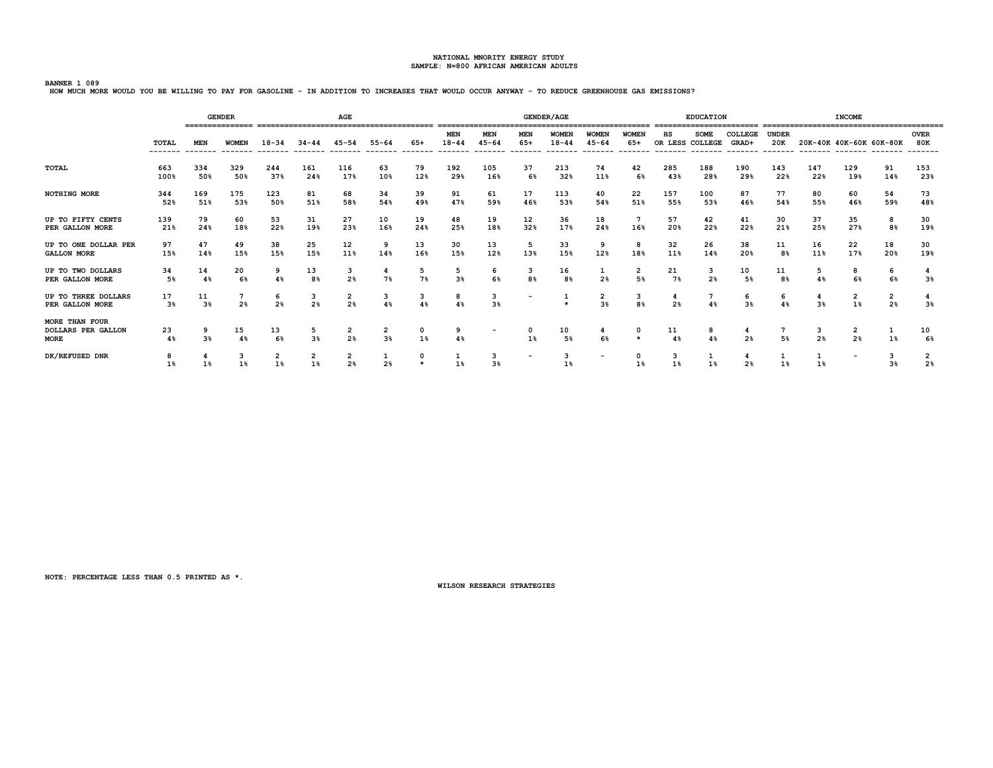**BANNER 1 089 HOW MUCH MORE WOULD YOU BE WILLING TO PAY FOR GASOLINE - IN ADDITION TO INCREASES THAT WOULD OCCUR ANYWAY - TO REDUCE GREENHOUSE GAS EMISSIONS?**

|                                                                   |                          |                        | <b>GENDER</b>                     |                     |                               | AGE                  |                     |                 |                                    |                         |                          | <b>GENDER/AGE</b>                    |                                      |                                   |                                   | <b>EDUCATION</b>        |                              |                                        |                     | <b>INCOME</b>                                      |                                  |                                  |
|-------------------------------------------------------------------|--------------------------|------------------------|-----------------------------------|---------------------|-------------------------------|----------------------|---------------------|-----------------|------------------------------------|-------------------------|--------------------------|--------------------------------------|--------------------------------------|-----------------------------------|-----------------------------------|-------------------------|------------------------------|----------------------------------------|---------------------|----------------------------------------------------|----------------------------------|----------------------------------|
|                                                                   | <b>TOTAL</b><br>-------- | <b>MEN</b><br>-------- | <b>WOMEN</b><br>--------          | $18 - 34$           | $34 - 44$                     |                      | $55 - 64$           | $65+$<br>------ | <b>MEN</b><br>$18 - 44$<br>------- | <b>MEN</b><br>$45 - 64$ | MEN<br>$65+$<br>------   | <b>WOMEN</b><br>$18 - 44$<br>------- | <b>WOMEN</b><br>$45 - 64$<br>------- | <b>WOMEN</b><br>$65+$<br>-------- | нs<br>OR LESS COLLEGE<br>-------- | <b>SOME</b><br>-------- | COLLEGE<br>GRAD+<br>-------- | <b>UNDER</b><br>20K<br>$- - - - - - -$ |                     | 20K-40K 40K-60K 60K-80K<br>-------- ------- ------ |                                  | <b>OVER</b><br>80K               |
| TOTAL                                                             | 663                      | 334                    | 329                               | 244                 | 161                           | 116                  | 63                  | 79              | 192                                | 105                     | 37                       | 213                                  | 74                                   | 42                                | 285                               | 188                     | 190                          | 143                                    | 147                 | 129                                                | 91                               | 153                              |
|                                                                   | 100%                     | 50%                    | 50%                               | 37%                 | 24%                           | 17%                  | 10%                 | 12%             | 29%                                | 16%                     | 6%                       | 32%                                  | 11%                                  | 6%                                | 43%                               | 28%                     | 29%                          | 22%                                    | 22%                 | 19%                                                | 14%                              | 23%                              |
| NOTHING MORE                                                      | 344                      | 169                    | 175                               | 123                 | 81                            | 68                   | 34                  | 39              | 91                                 | 61                      | 17                       | 113                                  | 40                                   | 22                                | 157                               | 100                     | 87                           | 77                                     | 80                  | 60                                                 | 54                               | 73                               |
|                                                                   | 52%                      | 51%                    | 53%                               | 50%                 | 51%                           | 58%                  | 54%                 | 49%             | 47%                                | 59%                     | 46%                      | 53%                                  | 54%                                  | 51%                               | 55%                               | 53%                     | 46%                          | 54%                                    | 55%                 | 46%                                                | 59%                              | 48%                              |
| UP TO FIFTY CENTS                                                 | 139                      | 79                     | 60                                | 53                  | 31                            | 27                   | 10                  | 19              | 48                                 | 19                      | 12                       | 36                                   | 18                                   | 16%                               | 57                                | 42                      | 41                           | 30                                     | 37                  | 35                                                 | 8                                | 30                               |
| PER GALLON MORE                                                   | 21%                      | 24%                    | 18%                               | 22%                 | 19%                           | 23%                  | 16%                 | 24%             | 25%                                | 18%                     | 32%                      | 17%                                  | 24%                                  |                                   | 20%                               | 22%                     | 22%                          | 21%                                    | 25%                 | 27%                                                | 8%                               | 19%                              |
| UP TO ONE DOLLAR PER                                              | 97                       | 47                     | 49                                | 38                  | 25                            | 12                   | 9                   | 13              | 30                                 | 13                      | 5                        | 33                                   | 9                                    | 8                                 | 32                                | 26                      | 38                           | 11                                     | 16                  | 22                                                 | 18                               | 30                               |
| <b>GALLON MORE</b>                                                | 15%                      | 14%                    | 15%                               | 15%                 | 15%                           | 11%                  | 14%                 | 16%             | 15%                                | 12%                     | 13%                      | 15%                                  | 12%                                  | 18%                               | 11%                               | 14%                     | 20%                          | 8 <sup>8</sup>                         | 11%                 | 17%                                                | 20%                              | 19%                              |
| UP TO TWO DOLLARS                                                 | 34                       | 14                     | 20                                | 9                   | 13                            | 3                    | 4                   | 5               | 5                                  | 6                       | 3                        | 16                                   | 1                                    | $\overline{2}$                    | 21                                | 3                       | 10                           | 11                                     | 5                   | 8                                                  | 6                                | 3%                               |
| PER GALLON MORE                                                   | 5%                       | 4%                     | 6%                                | 4%                  | 8 <sup>8</sup>                | 2 <sup>8</sup>       | 7%                  | 7%              | 3 <sup>8</sup>                     | 6%                      | 8 <sup>8</sup>           | 8 <sup>8</sup>                       | 2 <sup>8</sup>                       | 5%                                | 7%                                | 2 <sup>8</sup>          | 5%                           | 8 <sup>°</sup>                         | 4%                  | 6%                                                 | 6%                               |                                  |
| UP TO THREE DOLLARS<br>PER GALLON MORE                            | 17<br>3%                 | 11<br>3 <sup>8</sup>   | $7\phantom{.0}$<br>2 <sup>8</sup> | 6<br>2 <sup>8</sup> | з<br>2 <sup>8</sup>           | $\frac{2}{2}$        | 3<br>4%             | 3<br>4%         | 8<br>4%                            | 3<br>3 <sup>8</sup>     |                          | $\star$                              | $\frac{2}{3}$                        | 3<br>8 <sup>8</sup>               | 4<br>2 <sup>8</sup>               | 4%                      | 6<br>3 <sup>8</sup>          | 6                                      | 4<br>3 <sup>8</sup> | 2<br>1%                                            | $\overline{2}$<br>2 <sup>8</sup> | 3%                               |
| <b>MORE THAN FOUR</b><br><b>DOLLARS PER GALLON</b><br><b>MORE</b> | 23<br>4%                 | 9<br>3%                | 15<br>4%                          | 13<br>6%            | 5<br>3 <sup>8</sup>           | $\overline{2}$<br>2% | 2<br>3 <sup>8</sup> | 0<br>1%         | 9<br>4%                            |                         | 0<br>1%                  | 10<br>5%                             | 4<br>6%                              |                                   | 11<br>4%                          | 8<br>4%                 | 4<br>2%                      | 5%                                     | 3<br>2 <sup>8</sup> | 2<br>2%                                            | 1<br>1%                          | 10<br>6%                         |
| DK/REFUSED DNR                                                    | 8<br>1%                  |                        | 3                                 | 2<br>1%             | $\overline{\mathbf{2}}$<br>1% | 2<br>2 <sup>8</sup>  | 1<br>2 <sup>8</sup> | 0               | 1<br>1%                            | 3<br>3%                 | $\overline{\phantom{a}}$ | 3<br>1%                              | $\overline{\phantom{0}}$             | 0                                 | 3<br>1%                           |                         | 4<br>2%                      |                                        | ı                   | $\overline{\phantom{a}}$                           | 3<br>3 <sup>8</sup>              | $\overline{2}$<br>2 <sup>8</sup> |

**NOTE: PERCENTAGE LESS THAN 0.5 PRINTED AS \*.**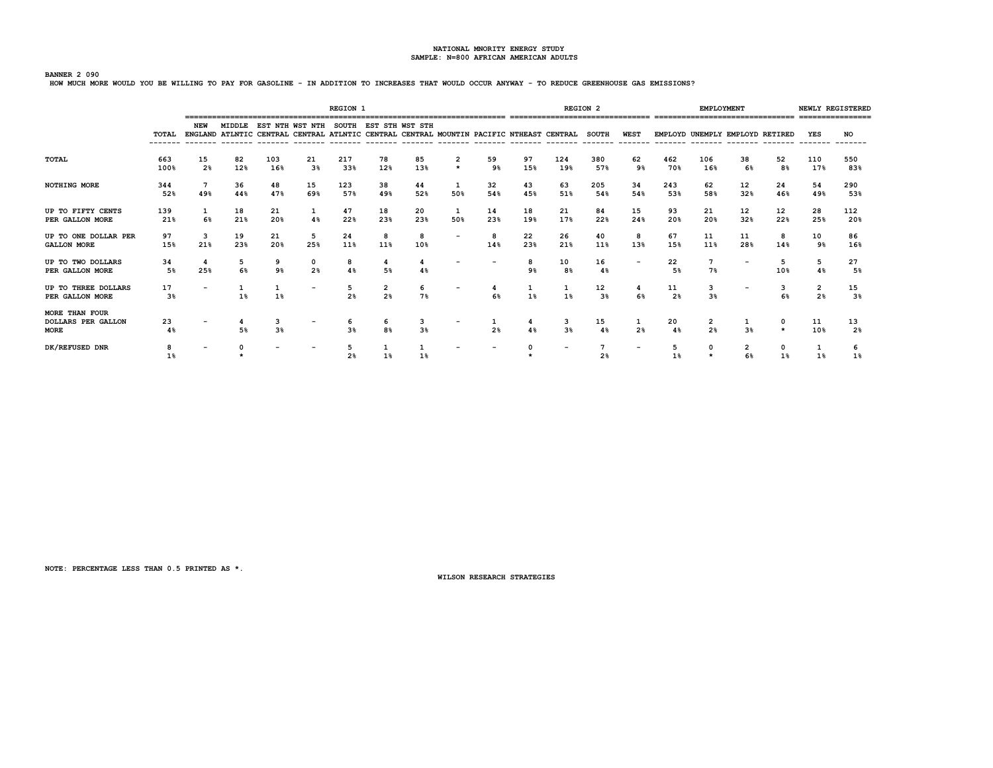## **BANNER 2 090**

**HOW MUCH MORE WOULD YOU BE WILLING TO PAY FOR GASOLINE - IN ADDITION TO INCREASES THAT WOULD OCCUR ANYWAY - TO REDUCE GREENHOUSE GAS EMISSIONS?**

|                                                     |                   |                      |           |            |                                                                                                                                  | <b>REGION 1</b> |           |                     |                          |           |           |            | <b>REGION 2</b>                  |                |            | <b>EMPLOYMENT</b>   |                                 |           |                     | NEWLY REGISTERED     |
|-----------------------------------------------------|-------------------|----------------------|-----------|------------|----------------------------------------------------------------------------------------------------------------------------------|-----------------|-----------|---------------------|--------------------------|-----------|-----------|------------|----------------------------------|----------------|------------|---------------------|---------------------------------|-----------|---------------------|----------------------|
|                                                     | TOTAL<br>-------- | NEW                  | MIDDLE    |            | EST NTH WST NTH SOUTH EST STH WST STH<br>ENGLAND ATLNTIC CENTRAL CENTRAL ATLNTIC CENTRAL CENTRAL MOUNTIN PACIFIC NTHEAST CENTRAL |                 |           |                     |                          |           |           |            | <b>SOUTH</b><br>-------- ------- | WEST           | --------   |                     | EMPLOYD UNEMPLY EMPLOYD RETIRED |           | YES                 | NO<br>-------        |
| <b>TOTAL</b>                                        | 663<br>100%       | 15<br>2 <sup>8</sup> | 82<br>12% | 103<br>16% | 21<br>$3\%$                                                                                                                      | 217<br>33%      | 78<br>12% | 85<br>13%           | $\star$                  | 59<br>9%  | 97<br>15% | 124<br>19% | 380<br>57%                       | 62<br>9%       | 462<br>70% | 106<br>16%          | 38<br>6%                        | 52<br>8%  | 110<br>17%          | 550<br>83%           |
| <b>NOTHING MORE</b>                                 | 344<br>52%        | 7<br>49%             | 36<br>44% | 48<br>47%  | 15<br>69%                                                                                                                        | 123<br>57%      | 38<br>49% | 44<br>52%           | 50%                      | 32<br>54% | 43<br>45% | 63<br>51%  | 205<br>54%                       | 34<br>54%      | 243<br>53% | 62<br>58%           | 12<br>32%                       | 24<br>46% | 54<br>49%           | 290<br>53%           |
| UP TO FIFTY CENTS<br>PER GALLON MORE                | 139<br>21%        | 1<br>6%              | 18<br>21% | 21<br>20%  | $\mathbf{1}$<br>48                                                                                                               | 47<br>22%       | 18<br>23% | 20<br>23%           | 50%                      | 14<br>23% | 18<br>19% | 21<br>17%  | 84<br>22%                        | 15<br>24%      | 93<br>20%  | 21<br>20%           | 12<br>32%                       | 12<br>22% | 28<br>25%           | 112<br>20%           |
| UP TO ONE DOLLAR PER<br><b>GALLON MORE</b>          | 97<br>15%         | 3<br>21%             | 19<br>23% | 21<br>20%  | 5<br>25%                                                                                                                         | 24<br>11%       | 8<br>11%  | 8<br>10%            | $\overline{\phantom{0}}$ | 8<br>14%  | 22<br>23% | 26<br>21%  | 40<br>11%                        | 8<br>13%       | 67<br>15%  | 11<br>11%           | 11<br>28%                       | 8<br>14%  | 10<br>9%            | 86<br>16%            |
| UP TO TWO DOLLARS<br>PER GALLON MORE                | 34<br>5%          | 25%                  | 5<br>6%   | 9<br>9%    | 0<br>2 <sup>8</sup>                                                                                                              | 8<br>4%         | 5%        | 4<br>4%             |                          |           | 9%        | 10<br>8%   | 16<br>4%                         |                | 22<br>5%   | 7<br>7%             |                                 | 10%       | 5<br>48             | 27<br>5%             |
| UP TO THREE DOLLARS<br>PER GALLON MORE              | 17<br>3%          |                      | 1%        | 1%         | $\overline{\phantom{0}}$                                                                                                         | 2 <sup>8</sup>  | 2<br>2%   | 6<br>7%             |                          | 6%        | 1%        | 1%         | 12<br>3 <sup>8</sup>             | 6%             | 11<br>2%   | 3<br>3 <sup>8</sup> |                                 | з<br>6%   | 2<br>2 <sup>8</sup> | 15<br>3%             |
| MORE THAN FOUR<br><b>DOLLARS PER GALLON</b><br>MORE | 23<br>4%          |                      | 5%        | 3<br>3%    |                                                                                                                                  | 3%              | b<br>8%   | 3<br>3 <sup>8</sup> |                          | 2%        | 4%        | з<br>3%    | 15<br>4%                         | 2 <sup>8</sup> | 20<br>4%   | 2<br>2 <sup>8</sup> | 3%                              | $\star$   | 11<br>10%           | 13<br>2 <sup>8</sup> |
| DK/REFUSED DNR                                      | 8<br>$1\%$        |                      |           |            |                                                                                                                                  | 2%              |           | 1%                  |                          |           |           |            | 2%                               |                | 5          | $\mathbf{o}$        | 2                               |           | 1%                  | 1%                   |

**NOTE: PERCENTAGE LESS THAN 0.5 PRINTED AS \*.**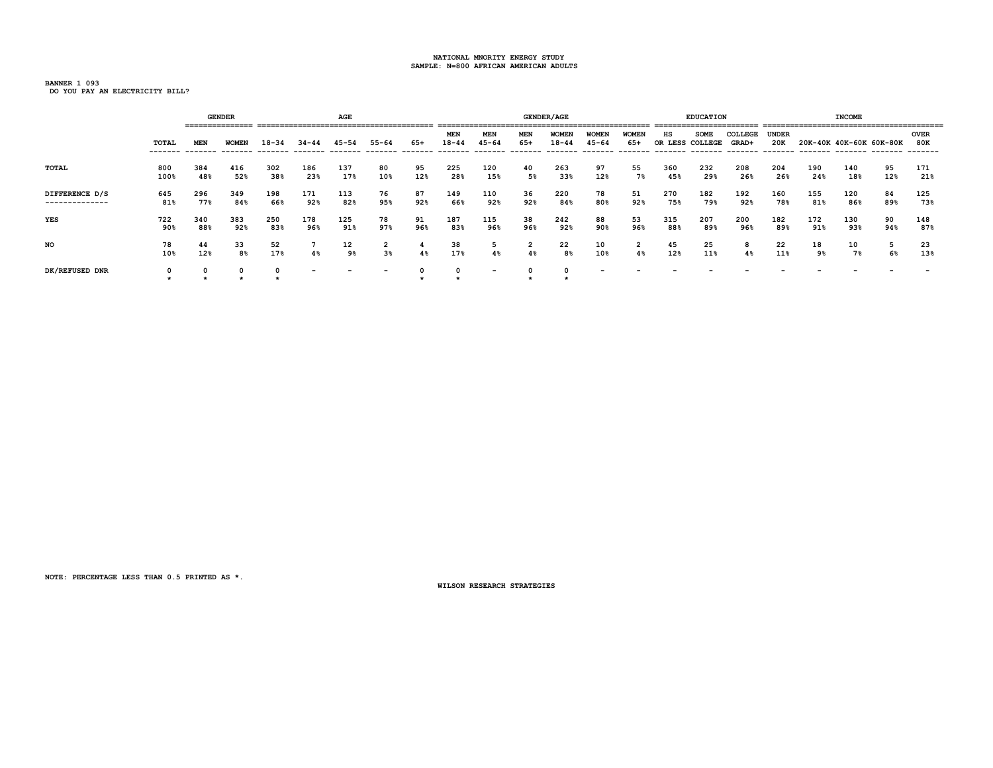**BANNER 1 093 DO YOU PAY AN ELECTRICITY BILL?**

|                                  |                  |            | <b>GENDER</b><br>---------------- |            |                          | <b>AGE</b> |                          |           |                         |                          |                      | <b>GENDER/AGE</b>         |                           |                     |               | <b>EDUCATION</b><br>========================= |                  |                     |            | <b>INCOME</b>           |           |                                |
|----------------------------------|------------------|------------|-----------------------------------|------------|--------------------------|------------|--------------------------|-----------|-------------------------|--------------------------|----------------------|---------------------------|---------------------------|---------------------|---------------|-----------------------------------------------|------------------|---------------------|------------|-------------------------|-----------|--------------------------------|
|                                  | TOTAL<br>------- | MEN        | <b>WOMEN</b>                      | $18 - 34$  | $34 - 44$                | 45-54      | $55 - 64$                | 65+       | <b>MEN</b><br>$18 - 44$ | <b>MEN</b><br>$45 - 64$  | MEN<br>$65+$         | <b>WOMEN</b><br>$18 - 44$ | <b>WOMEN</b><br>$45 - 64$ | <b>WOMEN</b><br>65+ | нs<br>OR LESS | <b>SOME</b><br>COLLEGE                        | COLLEGE<br>GRAD+ | <b>UNDER</b><br>20K |            | 20K-40K 40K-60K 60K-80K |           | <b>OVER</b><br>80K<br>-------- |
| TOTAL                            | 800<br>100%      | 384<br>48% | 416<br>52%                        | 302<br>38% | 186<br>23%               | 137<br>17% | 80<br>10%                | 95<br>12% | 225<br>28%              | 120<br>15%               | 40<br>5%             | 263<br>33%                | 97<br>12%                 | 55<br>7%            | 360<br>45%    | 232<br>29%                                    | 208<br>26%       | 204<br>26%          | 190<br>24% | 140<br>18%              | 95<br>12% | 171<br>21%                     |
| DIFFERENCE D/S<br>-------------- | 645<br>81%       | 296<br>77% | 349<br>84%                        | 198<br>66% | 171<br>92%               | 113<br>82% | 76<br>95%                | 87<br>92% | 149<br>66%              | 110<br>92%               | 36<br>92%            | 220<br>84%                | 78<br>80%                 | 51<br>92%           | 270<br>75%    | 182<br>79%                                    | 192<br>92%       | 160<br>78%          | 155<br>81% | 120<br>86%              | 84<br>89% | 125<br>73%                     |
| <b>YES</b>                       | 722<br>90%       | 340<br>88% | 383<br>92%                        | 250<br>83% | 178<br>96%               | 125<br>91% | 78<br>97%                | 91<br>96% | 187<br>83%              | 115<br>96%               | 38<br>96%            | 242<br>92%                | 88<br>90%                 | 53<br>96%           | 315<br>88%    | 207<br>89%                                    | 200<br>96%       | 182<br>89%          | 172<br>91% | 130<br>93%              | 90<br>94% | 148<br>87%                     |
| <b>NO</b>                        | 78<br>10%        | 44<br>12%  | 33<br>8 <sup>8</sup>              | 52<br>17%  | 4%                       | 12<br>9%   | 2<br>3%                  | 4%        | 38<br>17%               | 4%                       | $\overline{2}$<br>4% | 22<br>8%                  | 10<br>10%                 | 2<br>4%             | 45<br>12%     | 25<br>11%                                     | 8<br>4%          | 22<br>11%           | 18<br>9%   | 10<br>7%                | 6%        | 23<br>13%                      |
| DK/REFUSED DNR                   |                  |            |                                   |            | $\overline{\phantom{a}}$ |            | $\overline{\phantom{a}}$ |           |                         | $\overline{\phantom{0}}$ |                      |                           |                           |                     |               |                                               |                  |                     |            |                         |           |                                |

**NOTE: PERCENTAGE LESS THAN 0.5 PRINTED AS \*.**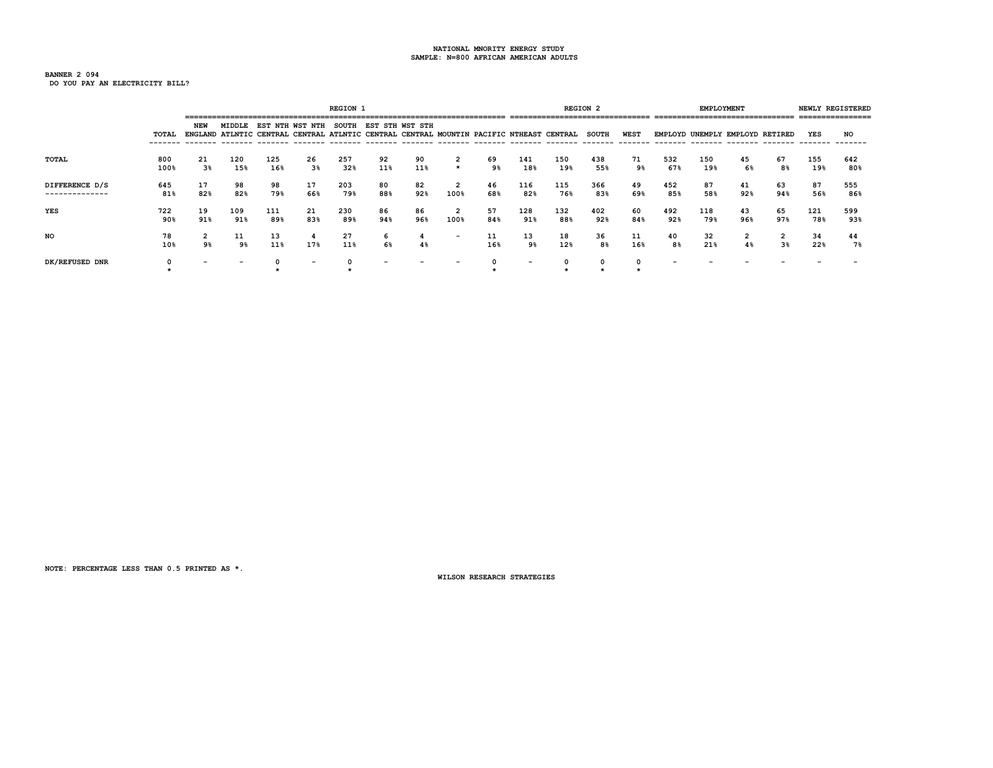**BANNER 2 094 DO YOU PAY AN ELECTRICITY BILL?**

**REGION 1** REGION 2 **REGION 2 REGION 2 EMPLOYMENT NEWLY REGISTERED ======================================================================= =============================== =============================== ================ NEW MIDDLE EST NTH WST NTH SOUTH EST STH WST STH TOTAL ENGLAND ATLNTIC CENTRAL CENTRAL ATLNTIC CENTRAL CENTRAL MOUNTIN PACIFIC NTHEAST CENTRAL SOUTH WEST EMPLOYD UNEMPLY EMPLOYD RETIRED YES NO ------- ------- ------- ------- ------- ------- ------- ------- ------- ------- ------- ------- ------- ------- ------- ------- ------- ------- ------- ------- TOTAL 800 21 120 125 26 257 92 90 2 69 141 150 438 71 532 150 45 67 155 642 100% 3% 15% 16% 3% 32% 11% 11% \* 9% 18% 19% 55% 9% 67% 19% 6% 8% 19% 80% DIFFERENCE D/S 645 17 98 98 17 203 80 82 2 46 116 115 366 49 452 87 41 63 87 555 -------------- 81% 82% 82% 79% 66% 79% 88% 92% 100% 68% 82% 76% 83% 69% 85% 58% 92% 94% 56% 86% YES 722 19 109 111 21 230 86 86 2 57 128 132 402 60 492 118 43 65 121 599 90% 91% 91% 89% 83% 89% 94% 96% 100% 84% 91% 88% 92% 84% 92% 79% 96% 97% 78% 93% NO 78 2 11 13 4 27 6 4 - 11 13 18 36 11 40 32 2 2 34 44 10% 9% 9% 11% 17% 11% 6% 4% 16% 9% 12% 8% 16% 8% 21% 4% 3% 22% 7% DK/REFUSED DNR 0 - - 0 - 0 - - - 0 - 0 0 0 - - - - - - \* \* \* \* \* \* \***

**NOTE: PERCENTAGE LESS THAN 0.5 PRINTED AS \*.**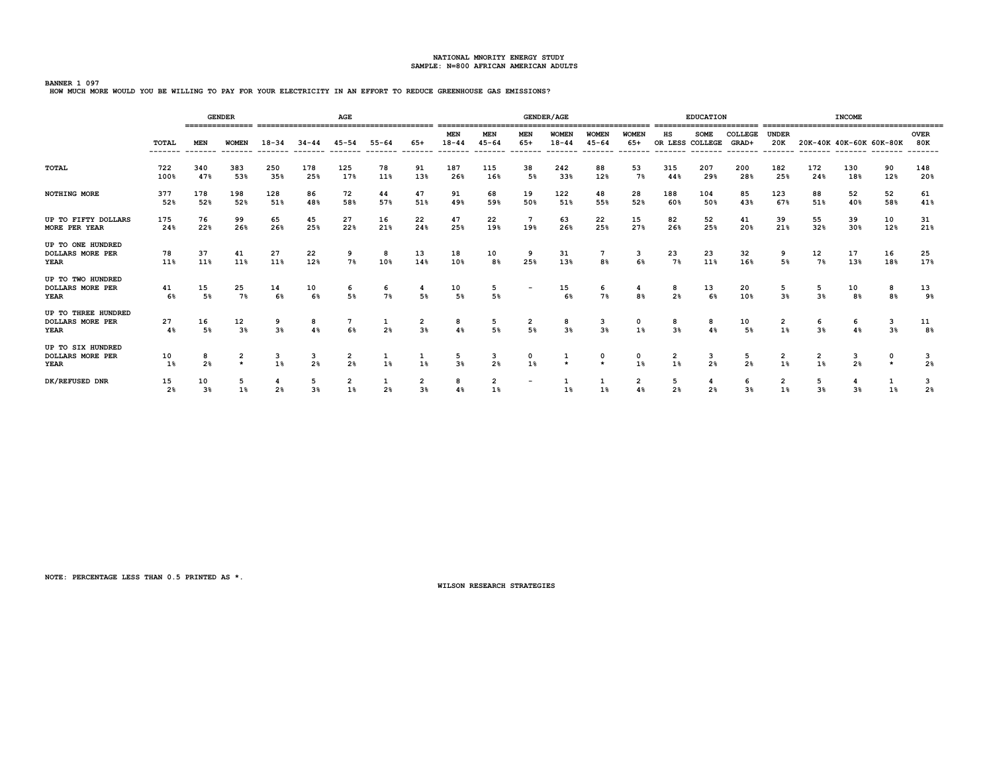**BANNER 1 097 HOW MUCH MORE WOULD YOU BE WILLING TO PAY FOR YOUR ELECTRICITY IN AN EFFORT TO REDUCE GREENHOUSE GAS EMISSIONS?**

|                                                             |                      |                      | <b>GENDER</b>           |            |                     | AGE        |                      |                                  |                             |                             |                          | <b>GENDER/AGE</b>         |                                      |                            |                               | <b>EDUCATION</b> |                                                      |                     |                     | <b>INCOME</b>       |                         |                    |
|-------------------------------------------------------------|----------------------|----------------------|-------------------------|------------|---------------------|------------|----------------------|----------------------------------|-----------------------------|-----------------------------|--------------------------|---------------------------|--------------------------------------|----------------------------|-------------------------------|------------------|------------------------------------------------------|---------------------|---------------------|---------------------|-------------------------|--------------------|
|                                                             | TOTAL                | <b>MEN</b>           | <b>WOMEN</b>            | $18 - 34$  | $34 - 44$           | $45 - 54$  | $55 - 64$<br>------- | $65+$<br>-------                 | MEN<br>$18 - 44$<br>------- | MEN<br>$45 - 64$<br>------- | MEN<br>$65+$<br>-------  | <b>WOMEN</b><br>$18 - 44$ | <b>WOMEN</b><br>$45 - 64$<br>------- | WOMEN<br>$65+$<br>-------- | нs<br>OR LESS COLLEGE         | <b>SOME</b>      | COLLEGE<br>GRAD+<br>-------- ------- ------- ------- | <b>UNDER</b><br>20K |                     |                     | 20K-40K 40K-60K 60K-80K | <b>OVER</b><br>80K |
| TOTAL                                                       | 722<br>100%          | 340<br>47%           | 383<br>53%              | 250<br>35% | 178<br>25%          | 125<br>17% | 78<br>11%            | 91<br>13%                        | 187<br>26%                  | 115<br>16%                  | 38<br>5%                 | 242<br>33%                | 88<br>12%                            | 53<br>7%                   | 315<br>44%                    | 207<br>29%       | 200<br>28%                                           | 182<br>25%          | 172<br>24%          | 130<br>18%          | 90<br>12%               | 148<br>20%         |
| <b>NOTHING MORE</b>                                         | 377<br>52%           | 178<br>52%           | 198<br>52%              | 128<br>51% | 86<br>48%           | 72<br>58%  | 44<br>57%            | 47<br>51%                        | 91<br>49%                   | 68<br>59%                   | 19<br>50%                | 122<br>51%                | 48<br>55%                            | 28<br>52%                  | 188<br>60%                    | 104<br>50%       | 85<br>43%                                            | 123<br>67%          | 88<br>51%           | 52<br>40%           | 52<br>58%               | 61<br>41%          |
| UP TO FIFTY DOLLARS<br>MORE PER YEAR                        | 175<br>24%           | 76<br>22%            | 99<br>26%               | 65<br>26%  | 45<br>25%           | 27<br>22%  | 16<br>21%            | 22<br>24%                        | 47<br>25%                   | 22<br>19%                   | $7\phantom{.0}$<br>19%   | 63<br>26%                 | 22<br>25%                            | 15<br>27%                  | 82<br>26%                     | 52<br>25%        | 41<br>20%                                            | 39<br>21%           | 55<br>32%           | 39<br>30%           | 10<br>12%               | 31<br>21%          |
| UP TO ONE HUNDRED<br><b>DOLLARS MORE PER</b><br>YEAR        | 78<br>11%            | 37<br>11%            | 41<br>11%               | 27<br>11%  | 22<br>12%           | 9<br>7%    | 8<br>10%             | 13<br>14%                        | 18<br>10%                   | 10<br>8%                    | 9<br>25%                 | 31<br>13%                 | 7<br>8 <sup>8</sup>                  | з<br>6%                    | $\frac{23}{7\%}$              | 23<br>11%        | 32<br>16%                                            | 9<br>5%             | 12<br>7%            | 17<br>13%           | 16<br>18%               | 25<br>17%          |
| UP TO TWO HUNDRED<br><b>DOLLARS MORE PER</b><br><b>YEAR</b> | 41<br>6%             | 15<br>5%             | 25<br>7%                | 14<br>6%   | 10<br>6%            | 6<br>5%    | 6<br>7%              | 4<br>5%                          | 10<br>5%                    | 5<br>5%                     | $\overline{\phantom{0}}$ | 15<br>6%                  | 6<br>7%                              | 4<br>8 <sup>8</sup>        | 8<br>2%                       | 13<br>6%         | 20<br>10%                                            | 5<br>3%             | 5<br>3%             | 10<br>8%            | 8<br>8%                 | 13<br>9%           |
| UP TO THREE HUNDRED<br><b>DOLLARS MORE PER</b><br>YEAR      | 27<br>4%             | 16<br>5%             | 12<br>3 <sup>8</sup>    | 3%         | 8<br>4%             | 6%         | $\frac{1}{2}$        | $\overline{a}$<br>3 <sup>8</sup> | 8<br>4%                     | 5<br>5%                     | $\frac{2}{5}$            | 8<br>3 <sup>8</sup>       | $\frac{3}{3}$                        | 0<br>1%                    | 8<br>3 <sup>8</sup>           | 8<br>4%          | $\frac{10}{5\%}$                                     | 2<br>1%             | 6<br>3 <sup>8</sup> | 6<br>4%             | 3<br>3 <sup>8</sup>     | 11<br>8%           |
| UP TO SIX HUNDRED<br><b>DOLLARS MORE PER</b><br><b>YEAR</b> | 10<br>1%             | 8<br>2%              | $\overline{\mathbf{2}}$ | з<br>1%    | з<br>2 <sup>8</sup> | 2<br>2%    | 1<br>1%              | 1%                               | 5<br>3 <sup>8</sup>         | 3<br>2%                     | 1%                       |                           | 0                                    | 1%                         | $\overline{\mathbf{2}}$<br>1% | з<br>2%          | 5<br>2 <sup>8</sup>                                  | 2<br>1%             | 2<br>1%             | з<br>2 <sup>8</sup> | 0<br>$\star$            | 3<br>2%            |
| DK/REFUSED DNR                                              | 15<br>2 <sub>8</sub> | 10<br>3 <sup>8</sup> | 5<br>1%                 | 2%         | 5<br>3 <sup>8</sup> | 2<br>1%    | 1<br>2 <sub>8</sub>  | 2<br>3%                          | 8<br>4%                     | $\overline{2}$<br>1%        | $\overline{\phantom{a}}$ | 1%                        | 1%                                   | 2<br>4%                    | 5<br>2 <sub>8</sub>           | 4<br>2%          | 6<br>3%                                              | 2<br>1%             | 5<br>3 <sup>8</sup> | 3 <sup>8</sup>      | 1%                      | 2 <sup>8</sup>     |

**NOTE: PERCENTAGE LESS THAN 0.5 PRINTED AS \*.**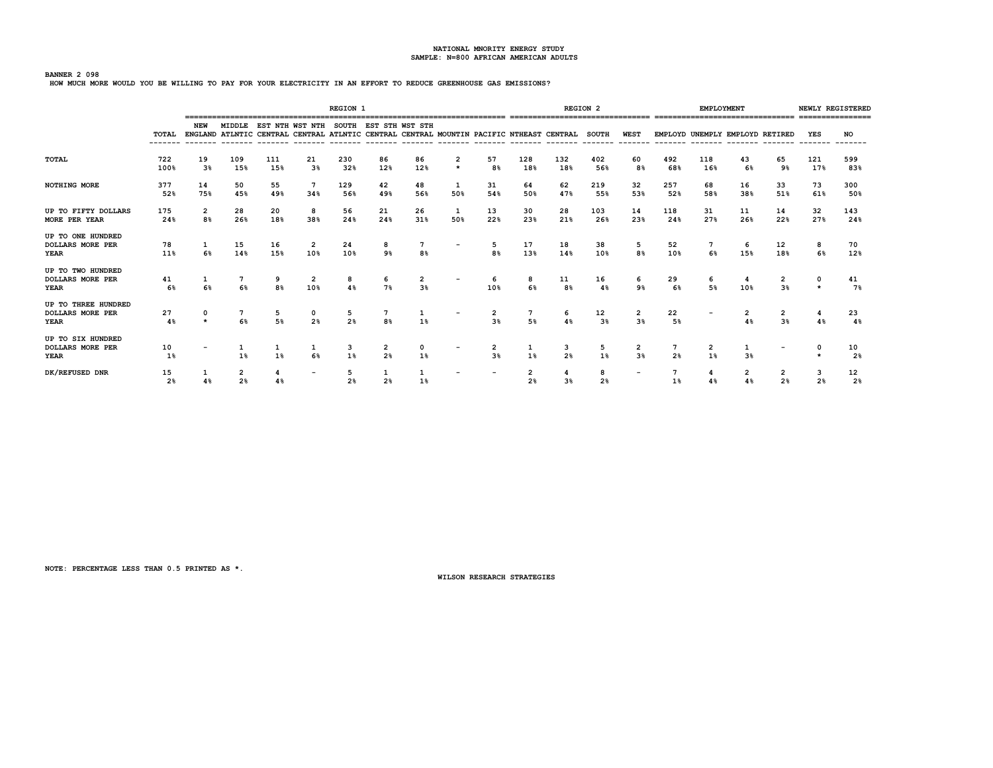## **BANNER 2 098**

**HOW MUCH MORE WOULD YOU BE WILLING TO PAY FOR YOUR ELECTRICITY IN AN EFFORT TO REDUCE GREENHOUSE GAS EMISSIONS?**

|                                                        |             |                    |                     |                     |                                              | <b>REGION 1</b>     |                     |                    |                     |                     |                     |                                                                                         | <b>REGION 2</b>      |                                  |            | EMPLOYMENT |                                 |                     | NEWLY REGISTERED    |                      |
|--------------------------------------------------------|-------------|--------------------|---------------------|---------------------|----------------------------------------------|---------------------|---------------------|--------------------|---------------------|---------------------|---------------------|-----------------------------------------------------------------------------------------|----------------------|----------------------------------|------------|------------|---------------------------------|---------------------|---------------------|----------------------|
|                                                        | TOTAL       | NEW                |                     |                     | MIDDLE EST NTH WST NTH SOUTH EST STH WST STH |                     |                     |                    |                     |                     |                     | ENGLAND ATLNTIC CENTRAL CENTRAL ATLNTIC CENTRAL CENTRAL MOUNTIN PACIFIC NTHEAST CENTRAL | <b>SOUTH</b>         | WEST                             |            |            | EMPLOYD UNEMPLY EMPLOYD RETIRED |                     | YES                 | <b>NO</b>            |
| <b>TOTAL</b>                                           | 722<br>100% | 19<br>3%           | 109<br>15%          | 111<br>15%          | 21<br>3 <sup>8</sup>                         | 230<br>32%          | 86<br>12%           | 86<br>12%          | 2<br>$\star$        | 57<br>8%            | 128<br>18%          | 132<br>18%                                                                              | 402<br>56%           | 60<br>8%                         | 492<br>68% | 118<br>16% | 43<br>6%                        | 65<br>9%            | 121<br>17%          | 599<br>83%           |
| NOTHING MORE                                           | 377<br>52%  | 14<br>75%          | 50<br>45%           | 55<br>49%           | 7<br>34%                                     | 129<br>56%          | 42<br>49%           | 48<br>56%          | 1<br>50%            | 31<br>54%           | 64<br>50%           | 62<br>47%                                                                               | 219<br>55%           | 32<br>53%                        | 257<br>52% | 68<br>58%  | 16<br>38%                       | 33<br>51%           | 73<br>61%           | 300<br>50%           |
| UP TO FIFTY DOLLARS<br>MORE PER YEAR                   | 175<br>24%  | $\mathbf{2}$<br>8% | 28<br>26%           | 20<br>18%           | 8<br>38%                                     | 56<br>24%           | 21<br>24%           | 26<br>31%          | $\mathbf{1}$<br>50% | 13<br>22%           | 30<br>23%           | 28<br>21%                                                                               | 103<br>26%           | 14<br>23%                        | 118<br>24% | 31<br>27%  | 11<br>26%                       | 14<br>22%           | 32<br>27%           | 143<br>24%           |
| UP TO ONE HUNDRED<br><b>DOLLARS MORE PER</b><br>YEAR   | 78<br>11%   | 6%                 | 15<br>14%           | 16<br>15%           | $\overline{2}$<br>10%                        | 24<br>10%           | 8<br>9 <sub>8</sub> | 8%                 |                     | 5<br>8 <sup>°</sup> | 17<br>13%           | 18<br>14%                                                                               | 38<br>10%            | 5<br>8%                          | 52<br>10%  | 6%         | 6<br>15%                        | 12<br>18%           | 8<br>6%             | 70<br>12%            |
| UP TO TWO HUNDRED<br><b>DOLLARS MORE PER</b><br>YEAR   | 41<br>6%    |                    | 6%                  | 9<br>8 <sup>°</sup> | 2<br>10%                                     | 8<br>4%             | 6<br>7%             | 2<br>3%            |                     | 6<br>10%            | 8<br>6%             | 11<br>8 <sup>8</sup>                                                                    | 16<br>4%             | 6<br>9%                          | 29<br>6%   | 6<br>5%    | 10%                             | 2<br>3 <sup>8</sup> | $\star$             | 41<br>7%             |
| UP TO THREE HUNDRED<br><b>DOLLARS MORE PER</b><br>YEAR | 27<br>4%    |                    | 7<br>6%             | 5<br>5%             | 0<br>2%                                      | 5<br>2%             | 8 <sup>°</sup>      | 1<br>1%            |                     | 2<br>3%             | 5%                  | 6<br>4%                                                                                 | 12<br>3 <sup>8</sup> | $\overline{2}$<br>3 <sup>8</sup> | 22<br>5%   |            | 2<br>4%                         | 2<br>3 <sup>8</sup> | 4%                  | 23<br>4%             |
| UP TO SIX HUNDRED<br><b>DOLLARS MORE PER</b><br>YEAR   | 10<br>$1\%$ |                    | 1%                  | 1%                  | 1<br>6%                                      | 3<br>1%             | 2<br>2 <sup>8</sup> | $\mathbf{o}$<br>1% |                     | 3%                  | 1%                  | 3<br>2%                                                                                 | 5<br>1%              | $\overline{2}$<br>3%             | 2%         | 2<br>1%    | 3%                              |                     |                     | 10<br>2 <sup>8</sup> |
| DK/REFUSED DNR                                         | 15<br>2%    |                    | 2<br>2 <sub>8</sub> |                     |                                              | 5<br>2 <sup>8</sup> | 2 <sup>8</sup>      | 1<br>1%            |                     |                     | 2<br>2 <sub>8</sub> | 3 <sup>8</sup>                                                                          | 8<br>2 <sub>8</sub>  |                                  | 1%         | 4%         | 2<br>4%                         | 2 <sup>8</sup>      | 3<br>2 <sup>8</sup> | 12<br>2 <sup>8</sup> |

**NOTE: PERCENTAGE LESS THAN 0.5 PRINTED AS \*.**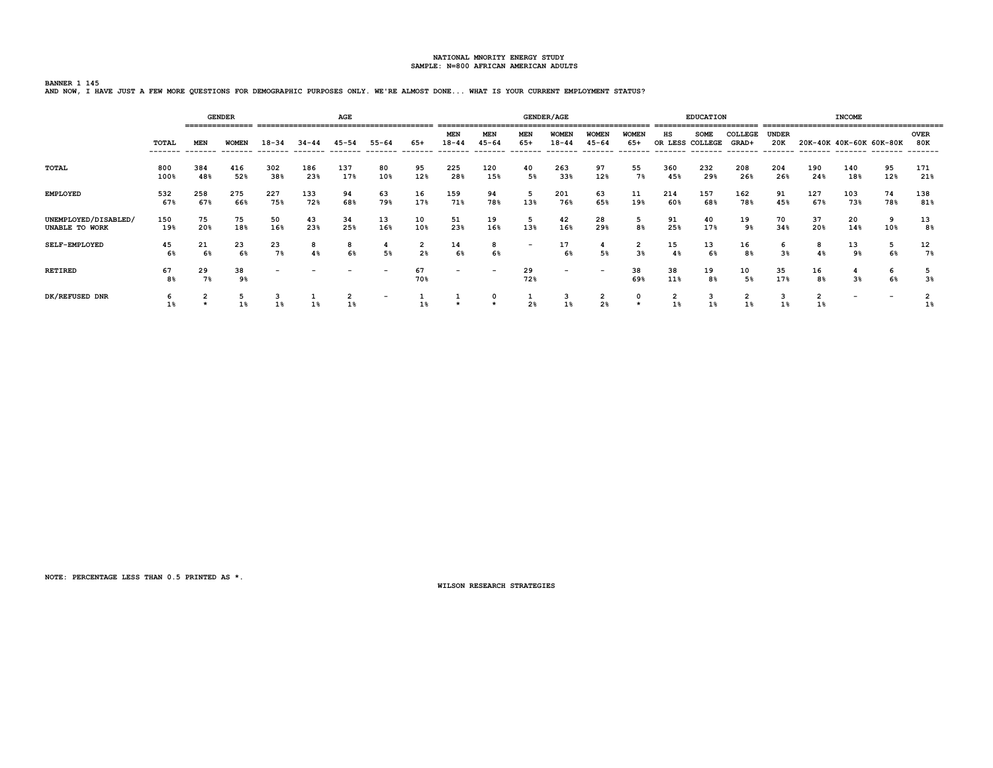# **BANNER 1 145 AND NOW, I HAVE JUST A FEW MORE QUESTIONS FOR DEMOGRAPHIC PURPOSES ONLY. WE'RE ALMOST DONE... WHAT IS YOUR CURRENT EMPLOYMENT STATUS?**

|                                        |             | ================ | <b>GENDER</b> |            |            | AGE        |                          |                                  |                          |                          |                          | <b>GENDER/AGE</b>         |                           |                                  |            | <b>EDUCATION</b>               |                              |                                 |                         | <b>INCOME</b>            |                          |                    |
|----------------------------------------|-------------|------------------|---------------|------------|------------|------------|--------------------------|----------------------------------|--------------------------|--------------------------|--------------------------|---------------------------|---------------------------|----------------------------------|------------|--------------------------------|------------------------------|---------------------------------|-------------------------|--------------------------|--------------------------|--------------------|
|                                        | TOTAL       | MEN              | <b>WOMEN</b>  | $18 - 34$  | $34 - 44$  | $45 - 54$  | $55 - 64$                | 65+                              | MEN<br>$18 - 44$         | <b>MEN</b><br>$45 - 64$  | MEN<br>$65+$             | <b>WOMEN</b><br>$18 - 44$ | <b>WOMEN</b><br>$45 - 64$ | <b>WOMEN</b><br>65+              | нs         | <b>SOME</b><br>OR LESS COLLEGE | COLLEGE<br>GRAD+<br>-------- | <b>UNDER</b><br>20K<br>-------- |                         | 20K-40K 40K-60K 60K-80K  |                          | <b>OVER</b><br>80K |
| <b>TOTAL</b>                           | 800<br>100% | 384<br>48%       | 416<br>52%    | 302<br>38% | 186<br>23% | 137<br>17% | 80<br>10%                | 95<br>12%                        | 225<br>28%               | 120<br>15%               | 40<br>5%                 | 263<br>33%                | 97<br>12%                 | 55<br>7%                         | 360<br>45% | 232<br>29%                     | 208<br>26%                   | 204<br>26%                      | 190<br>24%              | 140<br>18%               | 95<br>12%                | 171<br>21%         |
| <b>EMPLOYED</b>                        | 532<br>67%  | 258<br>67%       | 275<br>66%    | 227<br>75% | 133<br>72% | 94<br>68%  | 63<br>79%                | 16<br>17%                        | 159<br>71%               | 94<br>78%                | 5<br>13%                 | 201<br>76%                | 63<br>65%                 | 11<br>19%                        | 214<br>60% | 157<br>68%                     | 162<br>78%                   | 91<br>45%                       | 127<br>67%              | 103<br>73%               | 74<br>78%                | 138<br>81%         |
| UNEMPLOYED/DISABLED/<br>UNABLE TO WORK | 150<br>19%  | 75<br>20%        | 75<br>18%     | 50<br>16%  | 43<br>23%  | 34<br>25%  | 13<br>16%                | 10<br>10%                        | 51<br>23%                | 19<br>16%                | 5<br>13%                 | 42<br>16%                 | 28<br>29%                 | 5<br>8%                          | 91<br>25%  | 40<br>17%                      | 19<br>9%                     | 70<br>34%                       | 37<br>20%               | 20<br>14%                | 9<br>10%                 | 13<br>8%           |
| SELF-EMPLOYED                          | 45<br>6%    | 21<br>6%         | 23<br>6%      | 23<br>7%   | 8<br>4%    | 8<br>6%    | 4<br>5%                  | $\overline{2}$<br>2 <sup>8</sup> | 14<br>6%                 | 8<br>6%                  | $\overline{\phantom{a}}$ | 17<br>6%                  | 4<br>5%                   | $\overline{2}$<br>3 <sup>8</sup> | 15<br>4%   | 13<br>6%                       | 16<br>8 <sup>8</sup>         | 6<br>3%                         | 8<br>4%                 | 13<br>9%                 | 5<br>6%                  | 12<br>7%           |
| <b>RETIRED</b>                         | 67<br>8%    | 29<br>7%         | 38<br>9%      |            |            |            | -                        | 67<br>70%                        | $\overline{\phantom{0}}$ | $\overline{\phantom{a}}$ | 29<br>72%                | $\overline{\phantom{a}}$  | $\overline{\phantom{0}}$  | 38<br>69%                        | 38<br>11%  | 19<br>8%                       | 10<br>5%                     | 35<br>17%                       | 16<br>8%                | 3%                       | 6<br>6%                  | 3 <sup>8</sup>     |
| DK/REFUSED DNR                         | 6<br>1%     | 2                | 5<br>1%       | з<br>1%    | 1%         | 2<br>1%    | $\overline{\phantom{0}}$ |                                  |                          |                          | ÷<br>2 <sup>8</sup>      | з<br>1%                   | $\frac{2}{2}$             | 0                                | 2<br>1%    | з<br>1%                        | 2<br>1%                      | з                               | $\overline{2}$<br>$1\%$ | $\overline{\phantom{a}}$ | $\overline{\phantom{a}}$ | 1%                 |

**NOTE: PERCENTAGE LESS THAN 0.5 PRINTED AS \*.**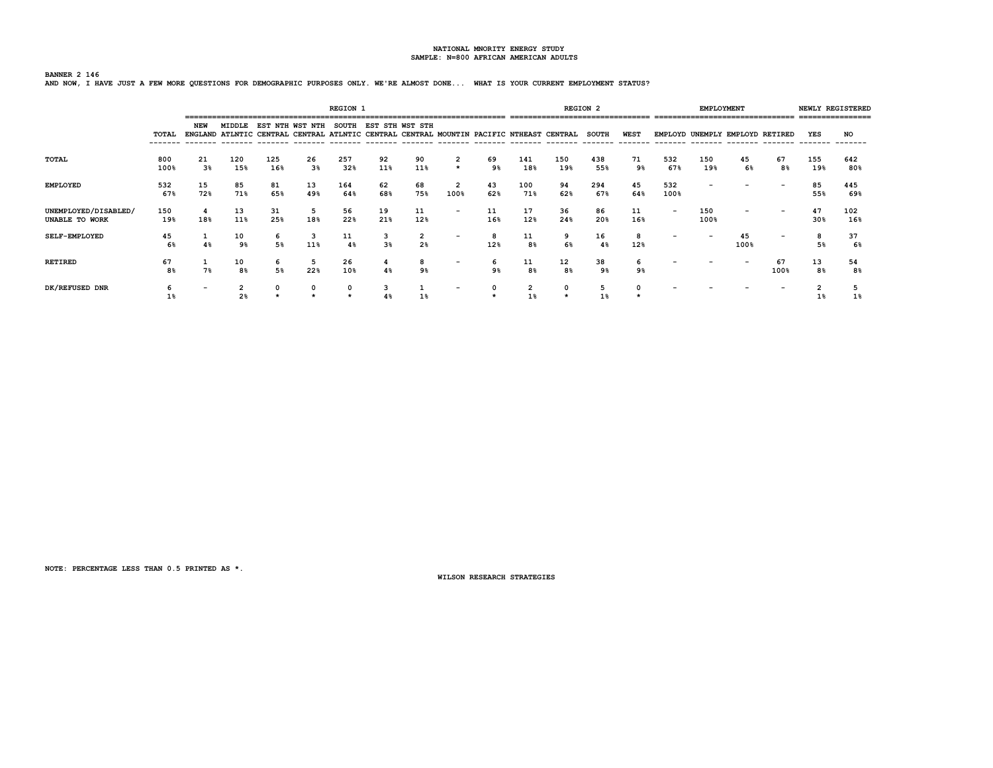### **BANNER 2 146 AND NOW, I HAVE JUST A FEW MORE QUESTIONS FOR DEMOGRAPHIC PURPOSES ONLY. WE'RE ALMOST DONE... WHAT IS YOUR CURRENT EMPLOYMENT STATUS?**

|                                        |             |                          |            |            |                                                                                                        | <b>REGION 1</b> |                 |                     |                          |           |            | ================================ | <b>REGION 2</b>         |                         |             | <b>EMPLOYMENT</b> |            | -------------------------------- |                     | NEWLY REGISTERED<br>=============== |
|----------------------------------------|-------------|--------------------------|------------|------------|--------------------------------------------------------------------------------------------------------|-----------------|-----------------|---------------------|--------------------------|-----------|------------|----------------------------------|-------------------------|-------------------------|-------------|-------------------|------------|----------------------------------|---------------------|-------------------------------------|
|                                        | TOTAL       | NEW                      | MIDDLE     | EST        | NTH WST NTH<br>ENGLAND ATLNTIC CENTRAL CENTRAL ATLNTIC CENTRAL CENTRAL MOUNTIN PACIFIC NTHEAST CENTRAL | <b>SOUTH</b>    | EST STH WST STH |                     |                          |           |            |                                  | <b>SOUTH</b><br>------- | <b>WEST</b><br>-------- |             | --------          | --------   | EMPLOYD UNEMPLY EMPLOYD RETIRED  | YES<br>-------      | NO                                  |
| <b>TOTAL</b>                           | 800<br>100% | 21<br>3 <sup>8</sup>     | 120<br>15% | 125<br>16% | 26<br>3%                                                                                               | 257<br>32%      | 92<br>11%       | 90<br>11%           | $\star$                  | 69<br>9%  | 141<br>18% | 150<br>19%                       | 438<br>55%              | 71<br>9%                | 532<br>67%  | 150<br>19%        | 45<br>6%   | 67<br>8%                         | 155<br>19%          | 642<br>80%                          |
| <b>EMPLOYED</b>                        | 532<br>67%  | 15<br>72%                | 85<br>71%  | 81<br>65%  | 13<br>49%                                                                                              | 164<br>64%      | 62<br>68%       | 68<br>75%           | 2<br>100%                | 43<br>62% | 100<br>71% | 94<br>62%                        | 294<br>67%              | 45<br>64%               | 532<br>100% |                   |            |                                  | 85<br>55%           | 445<br>69%                          |
| UNEMPLOYED/DISABLED/<br>UNABLE TO WORK | 150<br>19%  | -4<br>18%                | 13<br>11%  | 31<br>25%  | 5<br>18%                                                                                               | 56<br>22%       | 19<br>21%       | 11<br>12%           | $\overline{\phantom{0}}$ | 11<br>16% | 17<br>12%  | 36<br>24%                        | 86<br>20%               | 11<br>16%               |             | 150<br>100%       |            |                                  | 47<br>30%           | 102<br>16%                          |
| <b>SELF-EMPLOYED</b>                   | 45<br>6%    | 4%                       | 10<br>9%   | 6<br>5%    | 3<br>11%                                                                                               | 11<br>4%        | 3 <sup>8</sup>  | 2<br>2 <sup>8</sup> | $\qquad \qquad$          | 8<br>12%  | 11<br>8%   | 9<br>6%                          | 16<br>4%                | 8<br>12%                |             |                   | 45<br>100% |                                  | 8<br>5%             | 37<br>6%                            |
| <b>RETIRED</b>                         | 67<br>8%    | 7%                       | 10<br>8%   | 6<br>5%    | 5<br>22%                                                                                               | 26<br>10%       |                 | 8<br>9%             | $\overline{\phantom{a}}$ | 6<br>9%   | 11<br>8%   | 12<br>8%                         | 38<br>9%                | 9%                      |             |                   |            | 67<br>100%                       | 13<br>8%            | 54<br>8%                            |
| DK/REFUSED DNR                         |             | $\overline{\phantom{0}}$ | ∠<br>2%    |            |                                                                                                        |                 |                 |                     |                          |           | 2          |                                  |                         |                         |             |                   |            |                                  | $\sqrt{2}$<br>$1\%$ | 1%                                  |

**NOTE: PERCENTAGE LESS THAN 0.5 PRINTED AS \*.**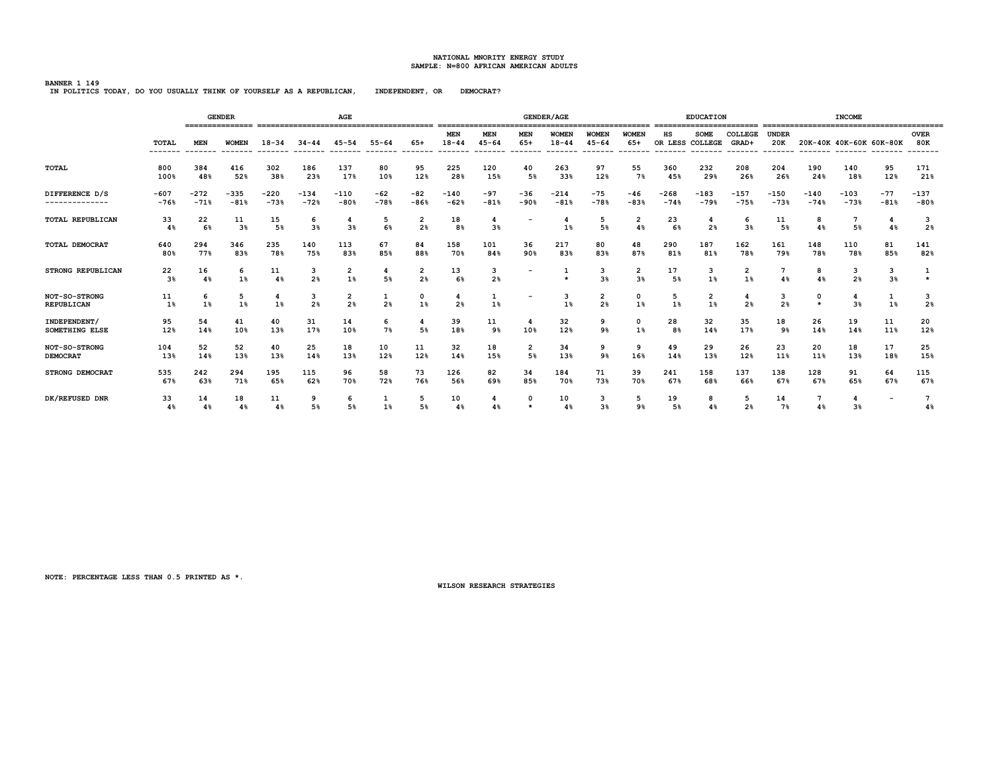**BANNER 1 149 IN POLITICS TODAY, DO YOU USUALLY THINK OF YOURSELF AS A REPUBLICAN, INDEPENDENT, OR DEMOCRAT?**

|                             |                      | <b>GENDER</b><br>AGE |              |           |                     |                                           |                     |                     |                     |                     |              | <b>GENDER/AGE</b>  |                      |                     |                       | <b>EDUCATION</b>              |                     |                     |                         | <b>INCOME</b> |                          |                     |
|-----------------------------|----------------------|----------------------|--------------|-----------|---------------------|-------------------------------------------|---------------------|---------------------|---------------------|---------------------|--------------|--------------------|----------------------|---------------------|-----------------------|-------------------------------|---------------------|---------------------|-------------------------|---------------|--------------------------|---------------------|
|                             | <b>TOTAL</b>         | <b>MEN</b>           | <b>WOMEN</b> | $18 - 34$ | $34 - 44$           | 45-54                                     | $55 - 64$           | 65+                 | MEN<br>$18 - 44$    | MEN<br>$45 - 64$    | MEN<br>$65+$ | WOMEN<br>$18 - 44$ | WOMEN<br>$45 - 64$   | WOMEN<br>$65+$      | нs<br>OR LESS COLLEGE | <b>SOME</b>                   | COLLEGE<br>GRAD+    | <b>UNDER</b><br>20K | 20K-40K 40K-60K 60K-80K |               |                          | <b>OVER</b><br>80K  |
| <b>TOTAL</b>                | 800                  | 384                  | 416          | 302       | 186                 | 137                                       | 80                  | 95                  | 225                 | 120                 | 40           | 263                | 97                   | 55                  | 360                   | 232                           | 208                 | 204                 | 190                     | 140           | 95                       | 171                 |
|                             | 100%                 | 48%                  | 52%          | 38%       | 23%                 | 17%                                       | 10%                 | 12%                 | 28%                 | 15%                 | 5%           | 33%                | 12%                  | 7%                  | 45%                   | 29%                           | 26%                 | 26%                 | 24%                     | 18%           | 12%                      | 21%                 |
| DIFFERENCE D/S              | $-607$               | $-272$               | $-335$       | $-220$    | $-134$              | $-110$                                    | $-62$               | $-82$               | $-140$              | -97                 | $-36$        | $-214$             | $-75$                | $-46$               | $-268$                | $-183$                        | $-157$              | $-150$              | $-140$                  | $-103$        | $-77$                    | $-137$              |
| --------------              | $-76%$               | $-71%$               | $-81%$       | $-73%$    | $-72%$              | $-80%$                                    | $-78%$              | $-86%$              | $-62%$              | $-81%$              | $-90%$       | $-81%$             | $-78%$               | $-83%$              | $-74%$                | $-79%$                        | $-75%$              | $-73%$              | $-74%$                  | $-73%$        | $-81%$                   | $-80%$              |
| <b>TOTAL REPUBLICAN</b>     | 33<br>4%             | 22<br>6%             | 11<br>3%     | 15<br>5%  | 6<br>3 <sup>8</sup> | 3%                                        | 5<br>6%             | 2<br>2 <sup>8</sup> | 18<br>8%            | 4<br>3 <sup>8</sup> |              | $1\%$              | 5<br>5%              | 2<br>4%             | 23<br>6%              | 2 <sup>8</sup>                | 6<br>$3\%$          | 11<br>5%            | 8<br>4%                 | 5%            | 4<br>4%                  | 3<br>2 <sub>8</sub> |
| <b>TOTAL DEMOCRAT</b>       | 640                  | 294                  | 346          | 235       | 140                 | 113                                       | 67                  | 84                  | 158                 | 101                 | 36           | 217                | 80                   | 48                  | 290                   | 187                           | 162                 | 161                 | 148                     | 110           | 81                       | 141                 |
|                             | 80%                  | 77%                  | 83%          | 78%       | 75%                 | 83%                                       | 85%                 | 88%                 | 70%                 | 84%                 | 90%          | 83%                | 83%                  | 87%                 | 81%                   | 81%                           | 78%                 | 79%                 | 78%                     | 78%           | 85%                      | 82%                 |
| <b>STRONG REPUBLICAN</b>    | 22<br>3 <sup>8</sup> | 16<br>4%             | 6<br>$1\%$   | 11<br>4%  | з<br>2%             | 2<br>1%                                   | 4<br>5%             | 2<br>2 <sub>8</sub> | 13<br>6%            | з<br>2%             |              | $\star$            | з<br>3%              | 2<br>3 <sup>8</sup> | 17<br>5 <sup>8</sup>  | з<br>1%                       | 2<br>1%             | 4%                  | 8<br>4%                 | з<br>2%       | з<br>3%                  | $\star$             |
| NOT-SO-STRONG<br>REPUBLICAN | 11<br>1%             | 6<br>1%              | 5<br>1%      | 4<br>1%   | з<br>2 <sup>8</sup> | $\overline{\mathbf{2}}$<br>2 <sup>8</sup> | 1<br>2 <sup>8</sup> | 0<br>1%             | 4<br>2 <sup>8</sup> | 1<br>1%             |              | 3<br>1%            | $\overline{2}$<br>2% | 0<br>1%             | 5<br>1%               | $\overline{\mathbf{2}}$<br>1% | 4<br>2 <sup>8</sup> | з<br>2 <sup>8</sup> | 0                       | 4<br>3%       | 1<br>$1\%$               | 3<br>2 <sub>8</sub> |
| INDEPENDENT/                | 95                   | 54                   | 41           | 40        | 31                  | 14                                        | 6                   | 4                   | 39                  | 11                  | 4            | 32                 | 9                    | $\Omega$            | 28                    | 32                            | 35                  | 18                  | 26                      | 19            | 11                       | 20                  |
| SOMETHING ELSE              | 12%                  | 14%                  | 10%          | 13%       | 17%                 | 10%                                       | 7%                  | 5%                  | 18%                 | 9%                  | 10%          | 12%                | 9%                   | 1%                  | 8%                    | 14%                           | 17%                 | 9%                  | 14%                     | 14%           | 11%                      | 12%                 |
| NOT-SO-STRONG               | 104                  | 52                   | 52           | 40        | 25                  | 18                                        | 10                  | 11                  | 32                  | 18                  | 2            | 34                 | 9                    | 9                   | 49                    | 29                            | 26                  | 23                  | 20                      | 18            | 17                       | 25                  |
| <b>DEMOCRAT</b>             | 13%                  | 14%                  | 13%          | 13%       | 14%                 | 13%                                       | 12%                 | 12%                 | 14%                 | 15%                 | 5%           | 13%                | 9%                   | 16%                 | 14%                   | 13%                           | 12%                 | 11%                 | 11%                     | 13%           | 18%                      | 15%                 |
| <b>STRONG DEMOCRAT</b>      | 535                  | 242                  | 294          | 195       | 115                 | 96                                        | 58                  | 73                  | 126                 | 82                  | 34           | 184                | 71                   | 39                  | 241                   | 158                           | 137                 | 138                 | 128                     | 91            | 64                       | 115                 |
|                             | 67%                  | 63%                  | 71%          | 65%       | 62%                 | 70%                                       | 72%                 | 76%                 | 56%                 | 69%                 | 85%          | 70%                | 73%                  | 70%                 | 67%                   | 68%                           | 66%                 | 67%                 | 67%                     | 65%           | 67%                      | 67%                 |
| DK/REFUSED DNR              | 33<br>4%             | 14<br>$4\%$          | 18<br>4%     | 11<br>4%  | 9<br>5%             | 6<br>5%                                   | 1%                  | 5<br>5%             | 10<br>4%            | 4%                  | $\Omega$     | 10<br>4%           | 3<br>3%              | 5<br>9%             | 19<br>5%              | 8<br>4 <sup>8</sup>           | 5<br>2 <sub>8</sub> | 14<br>7%            | 7<br>4%                 | 4<br>3%       | $\overline{\phantom{a}}$ | 4%                  |

**NOTE: PERCENTAGE LESS THAN 0.5 PRINTED AS \*.**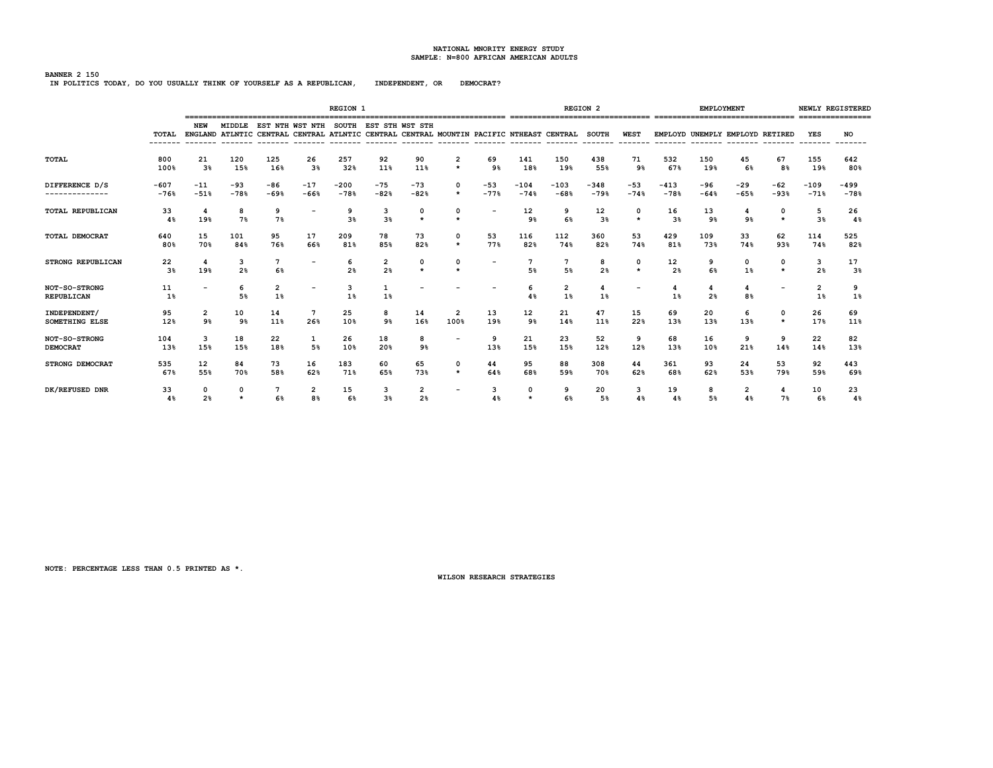**BANNER 2 150 IN POLITICS TODAY, DO YOU USUALLY THINK OF YOURSELF AS A REPUBLICAN, INDEPENDENT, OR DEMOCRAT?**

|                                    |          |                |                     |                      |                                                                                                                                         | <b>REGION 1</b>     |                     |                     |                          |        |                       |         | <b>REGION 2</b>      |                          |          | <b>EMPLOYMENT</b>   |                                 |                     |                     | NEWLY REGISTERED      |
|------------------------------------|----------|----------------|---------------------|----------------------|-----------------------------------------------------------------------------------------------------------------------------------------|---------------------|---------------------|---------------------|--------------------------|--------|-----------------------|---------|----------------------|--------------------------|----------|---------------------|---------------------------------|---------------------|---------------------|-----------------------|
|                                    | TOTAL    | NEW            |                     |                      | MIDDLE EST NTH WST NTH SOUTH EST STH WST STH<br>ENGLAND ATLNTIC CENTRAL CENTRAL ATLNTIC CENTRAL CENTRAL MOUNTIN PACIFIC NTHEAST CENTRAL |                     |                     |                     |                          |        |                       |         | <b>SOUTH</b>         | <b>WEST</b>              |          |                     | EMPLOYD UNEMPLY EMPLOYD RETIRED |                     | <b>YES</b>          | NO<br>$- - - - - - -$ |
| TOTAL                              | 800      | 21             | 120                 | 125                  | 26                                                                                                                                      | 257                 | 92                  | 90                  | 2                        | 69     | 141                   | 150     | 438                  | 71                       | 532      | 150                 | 45                              | 67                  | 155                 | 642                   |
|                                    | 100%     | 3 <sup>8</sup> | 15%                 | 16%                  | $3\%$                                                                                                                                   | 32%                 | 11%                 | 11%                 | $\star$                  | 9%     | 18%                   | 19%     | 55%                  | 9%                       | 67%      | 19%                 | 6%                              | 8%                  | 19%                 | 80%                   |
| DIFFERENCE D/S                     | $-607$   | $-11$          | $-93$               | $-86$                | $-17$                                                                                                                                   | $-200$              | $-75$               | $-73$               | 0                        | $-53$  | $-104$                | $-103$  | $-348$               | $-53$                    | $-413$   | $-96$               | $-29$                           | $-62$               | $-109$              | $-499$                |
| --------------                     | $-76%$   | $-51%$         | $-78%$              | $-69%$               | $-66%$                                                                                                                                  | $-78%$              | $-82%$              | $-82%$              | $\star$                  | $-77%$ | $-74%$                | $-68%$  | $-79%$               | $-74%$                   | $-78%$   | $-64%$              | $-65%$                          | $-93%$              | $-71%$              | $-78%$                |
| TOTAL REPUBLICAN                   | 33<br>48 | 19%            | 8<br>7%             | 9<br>7%              | $\overline{\phantom{0}}$                                                                                                                | 3 <sup>8</sup>      | 3<br>3%             | 0<br>$\star$        | 0<br>$\star$             |        | 12<br>9%              | 9<br>6% | 12<br>3 <sup>8</sup> | 0<br>$\star$             | 16<br>3% | 13<br>9%            | 9%                              | 0<br>$\star$        | 5<br>3%             | 26<br>4%              |
| <b>TOTAL DEMOCRAT</b>              | 640      | 15             | 101                 | 95                   | 17                                                                                                                                      | 209                 | 78                  | 73                  | 0                        | 53     | 116                   | 112     | 360                  | 53                       | 429      | 109                 | 33                              | 62                  | 114                 | 525                   |
|                                    | 80%      | 70%            | 84%                 | 76%                  | 66%                                                                                                                                     | 81%                 | 85%                 | 82%                 | $\star$                  | 77%    | 82%                   | 74%     | 82%                  | 74%                      | 81%      | 73%                 | 74%                             | 93%                 | 74%                 | 82%                   |
| <b>STRONG REPUBLICAN</b>           | 22<br>3% | 4<br>19%       | 3<br>2 <sup>8</sup> | $7\phantom{1}$<br>6% | $\overline{\phantom{a}}$                                                                                                                | 6<br>2 <sup>8</sup> | 2<br>2 <sup>8</sup> | 0<br>$\star$        | 0<br>$\star$             |        | $7\phantom{.0}$<br>5% | 5%      | 8<br>2 <sup>8</sup>  | 0<br>$\star$             | 12<br>2% | 9<br>6%             | 0<br>1%                         | $\Omega$<br>$\star$ | 3<br>2 <sup>8</sup> | 17<br>3%              |
| NOT-SO-STRONG<br><b>REPUBLICAN</b> | 11<br>1% |                | 6<br>5%             | 2<br>1%              | $\overline{\phantom{a}}$                                                                                                                | 3<br>1%             | 1%                  |                     |                          |        | -6<br>4%              | 2<br>1% | 4<br>1%              | $\overline{\phantom{a}}$ | 4<br>1%  | 4<br>2 <sub>8</sub> | 4<br>8%                         |                     | 2<br>1%             | 9<br>1%               |
| INDEPENDENT/                       | 95       | $\overline{2}$ | 10                  | 14                   | $7\phantom{.0}$                                                                                                                         | 25                  | 8                   | 14                  | $\overline{2}$           | 13     | 12                    | 21      | 47                   | 15                       | 69       | 20                  | 6                               | $\Omega$            | 26                  | 69                    |
| <b>SOMETHING ELSE</b>              | 12%      | 9 <sub>8</sub> | 9%                  | 11%                  | 26%                                                                                                                                     | 10%                 | 9%                  | 16%                 | 100%                     | 19%    | 9%                    | 14%     | 11%                  | 22%                      | 13%      | 13%                 | 13%                             | $\star$             | 17%                 | 11%                   |
| NOT-SO-STRONG                      | 104      | 3              | 18                  | 22                   | 1                                                                                                                                       | 26                  | 18                  | 8                   |                          | 9      | 21                    | 23      | 52                   | 9                        | 68       | 16                  | 9                               | 9                   | 22                  | 82                    |
| <b>DEMOCRAT</b>                    | 13%      | 15%            | 15%                 | 18%                  | 5%                                                                                                                                      | 10%                 | 20%                 | 9%                  |                          | 13%    | 15%                   | 15%     | 12%                  | 12%                      | 13%      | 10%                 | 21%                             | 14%                 | 14%                 | 13%                   |
| <b>STRONG DEMOCRAT</b>             | 535      | 12             | 84                  | 73                   | 16                                                                                                                                      | 183                 | 60                  | 65                  | 0                        | 44     | 95                    | 88      | 308                  | 44                       | 361      | 93                  | 24                              | 53                  | 92                  | 443                   |
|                                    | 67%      | 55%            | 70%                 | 58%                  | 62%                                                                                                                                     | 71%                 | 65%                 | 73%                 | $\star$                  | 64%    | 68%                   | 59%     | 70%                  | 62%                      | 68%      | 62%                 | 53%                             | 79%                 | 59%                 | 69%                   |
| DK/REFUSED DNR                     | 33<br>48 | 2 <sup>8</sup> | 0<br>$\star$        | 6%                   | $\overline{2}$<br>8%                                                                                                                    | 15<br>6%            | з<br>3 <sup>8</sup> | 2<br>2 <sub>8</sub> | $\overline{\phantom{a}}$ | 4%     | $\Omega$<br>$\star$   | 6%      | 20<br>5%             | 3<br>4%                  | 19<br>48 | 8<br>5%             | 2<br>4%                         | 4<br>7%             | 10<br>6%            | 23<br>4%              |

**NOTE: PERCENTAGE LESS THAN 0.5 PRINTED AS \*.**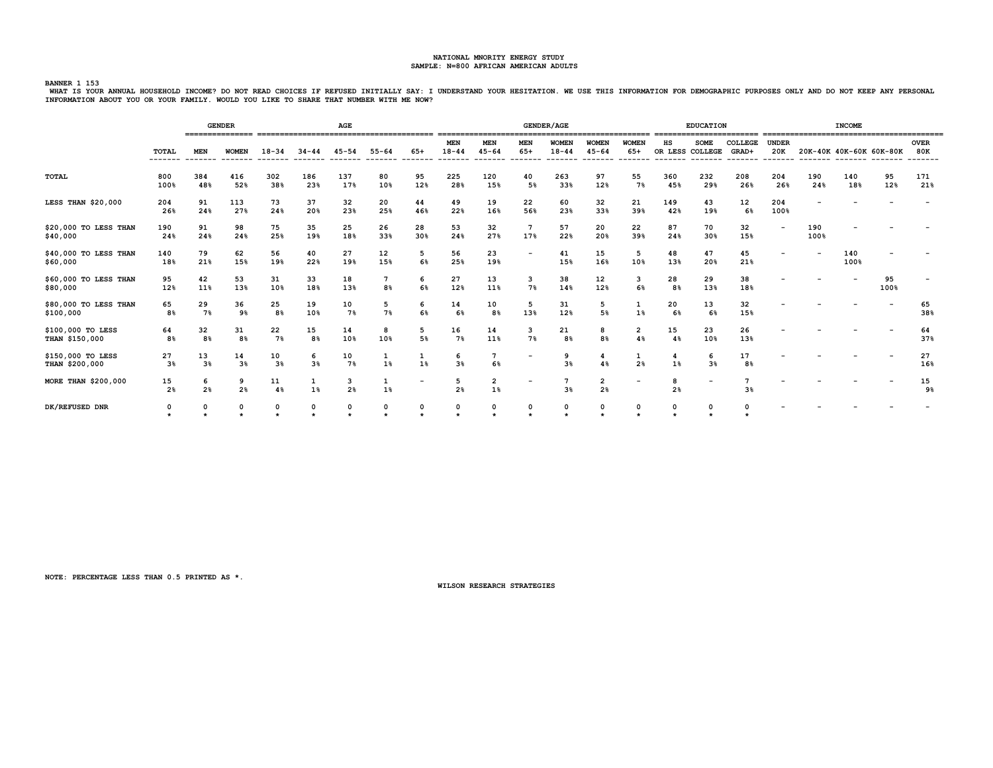.<br>BANNER 1 153<br>WHAT IS YOUR ANNUAL HOUSEHOLD INCOME? DO NOT READ CHOICES IF REFUSED INITIALLY SAY: I UNDERSTAND YOUR HESITATION. WE USE THIS INFORMATION FOR DEMOGRAPHIC PURPOSES ONLY AND DO NOT KEEP ANY PERSONAL **INFORMATION ABOUT YOU OR YOUR FAMILY. WOULD YOU LIKE TO SHARE THAT NUMBER WITH ME NOW?**

|                                     |                          | <b>GENDER</b><br>AGE |                     |                      |                      |                     |                       |           |                     |                         |                          | <b>GENDER/AGE</b>         |                                  |                                                   |                      | <b>EDUCATION</b>               |                  |                     |                          | <b>INCOME</b> |            |                      |
|-------------------------------------|--------------------------|----------------------|---------------------|----------------------|----------------------|---------------------|-----------------------|-----------|---------------------|-------------------------|--------------------------|---------------------------|----------------------------------|---------------------------------------------------|----------------------|--------------------------------|------------------|---------------------|--------------------------|---------------|------------|----------------------|
|                                     | <b>TOTAL</b><br>-------- | <b>MEN</b>           | <b>WOMEN</b>        | $18 - 34$            | $34 - 44$            | $45 - 54$           | $55 - 64$             | $65+$     | MEN<br>$18 - 44$    | <b>MEN</b><br>$45 - 64$ | <b>MEN</b><br>$65+$      | <b>WOMEN</b><br>$18 - 44$ | <b>WOMEN</b><br>$45 - 64$        | <b>WOMEN</b><br>$65+$<br>-------- ------- ------- | нs                   | <b>SOME</b><br>OR LESS COLLEGE | COLLEGE<br>GRAD+ | <b>UNDER</b><br>20K | 20K-40K 40K-60K 60K-80K  |               |            | <b>OVER</b><br>80K   |
| <b>TOTAL</b>                        | 800<br>100%              | 384<br>48%           | 416<br>52%          | 302<br>38%           | 186<br>23%           | 137<br>17%          | 80<br>10%             | 95<br>12% | 225<br>28%          | 120<br>15%              | 40<br>5%                 | 263<br>33%                | 97<br>12%                        | 55<br>7%                                          | 360<br>45%           | 232<br>29%                     | 208<br>26%       | 204<br>26%          | 190<br>24%               | 140<br>18%    | 95<br>12%  | 171<br>21%           |
| LESS THAN \$20,000                  | 204<br>26%               | 91<br>24%            | 113<br>27%          | 73<br>24%            | 37<br>20%            | 32<br>23%           | 20<br>25%             | 44<br>46% | 49<br>22%           | 19<br>16%               | 22<br>56%                | 60<br>23%                 | 32<br>33%                        | 21<br>39%                                         | 149<br>42%           | 43<br>19%                      | 12<br>6%         | 204<br>100%         |                          |               |            |                      |
| \$20,000 TO LESS THAN<br>\$40,000   | 190<br>24%               | 91<br>24%            | 98<br>24%           | 75<br>25%            | 35<br>19%            | 25<br>18%           | 26<br>33%             | 28<br>30% | 53<br>24%           | 32<br>27%               | $7\phantom{.0}$<br>17%   | 57<br>22%                 | 20<br>20%                        | 22<br>39%                                         | 87<br>24%            | 70<br>30%                      | 32<br>15%        |                     | 190<br>100%              |               |            |                      |
| \$40,000 TO LESS THAN<br>\$60,000   | 140<br>18%               | 79<br>21%            | 62<br>15%           | 56<br>19%            | 40<br>22%            | 27<br>19%           | 12<br>15%             | 5<br>6%   | 56<br>25%           | 23<br>19%               | $\overline{\phantom{a}}$ | 41<br>15%                 | 15<br>16%                        | 5<br>10%                                          | 48<br>13%            | 47<br>20%                      | 45<br>21%        |                     | $\overline{\phantom{0}}$ | 140<br>100%   |            |                      |
| \$60,000 TO LESS THAN<br>\$80,000   | 95<br>12%                | 42<br>11%            | 53<br>13%           | 31<br>10%            | 33<br>18%            | 18<br>13%           | $7\phantom{.0}$<br>8% | 6<br>6%   | 27<br>12%           | 13<br>11%               | 3<br>7%                  | 38<br>14%                 | 12<br>12%                        | 3<br>6%                                           | 28<br>8 <sup>8</sup> | 29<br>13%                      | 38<br>18%        |                     |                          |               | 95<br>100% |                      |
| \$80,000 TO LESS THAN<br>\$100,000  | 65<br>8%                 | 29<br>7%             | 36<br>9%            | 25<br>8 <sup>8</sup> | 19<br>10%            | 10<br>7%            | 5<br>7%               | 6<br>6%   | 14<br>6%            | 10<br>8 <sup>°</sup>    | 5<br>13%                 | 31<br>12%                 | 5<br>5%                          | 1<br>1%                                           | 20<br>6%             | 13<br>6%                       | 32<br>15%        |                     |                          |               |            | 65<br>38%            |
| \$100,000 TO LESS<br>THAN \$150,000 | 64<br>8%                 | 32<br>8%             | 31<br>8%            | 22<br>7%             | 15<br>8 <sup>8</sup> | 14<br>10%           | 8<br>10%              | 5<br>5%   | 16<br>7%            | 14<br>11%               | 3<br>7%                  | 21<br>8 <sup>8</sup>      | 8<br>8 <sup>8</sup>              | $\overline{2}$<br>4%                              | 15<br>4%             | 23<br>10%                      | 26<br>13%        |                     |                          |               |            | 64<br>37%            |
| \$150,000 TO LESS<br>THAN \$200,000 | 27<br>3%                 | 13<br>3 <sup>8</sup> | 14<br>3%            | 10<br>3%             | 6<br>3%              | 10<br>7%            | 1<br>1%               | $1\%$     | 6<br>3%             | 7<br>6%                 | $\overline{\phantom{a}}$ | 9<br>3%                   | 4%                               | 2%                                                | 1%                   | 6<br>3%                        | 17<br>8%         |                     |                          |               |            | 27<br>16%            |
| MORE THAN \$200,000                 | 15<br>2%                 | 6<br>2 <sup>8</sup>  | 9<br>2 <sup>8</sup> | 11<br>4%             | 1<br>1%              | 3<br>2 <sup>8</sup> | 1<br>1%               |           | 5<br>2 <sup>8</sup> | $\overline{a}$<br>1%    |                          | 3%                        | $\overline{2}$<br>2 <sup>8</sup> |                                                   | 8<br>2 <sub>8</sub>  |                                | 3%               |                     |                          |               |            | 15<br>9 <sub>8</sub> |
| DK/REFUSED DNR                      | 0<br>$\star$             | 0                    | 0                   | 0                    | 0                    | 0                   | 0                     | 0         | 0                   | 0                       | 0                        | 0                         | 0                                |                                                   | 0                    |                                |                  |                     |                          |               |            |                      |

**NOTE: PERCENTAGE LESS THAN 0.5 PRINTED AS \*.**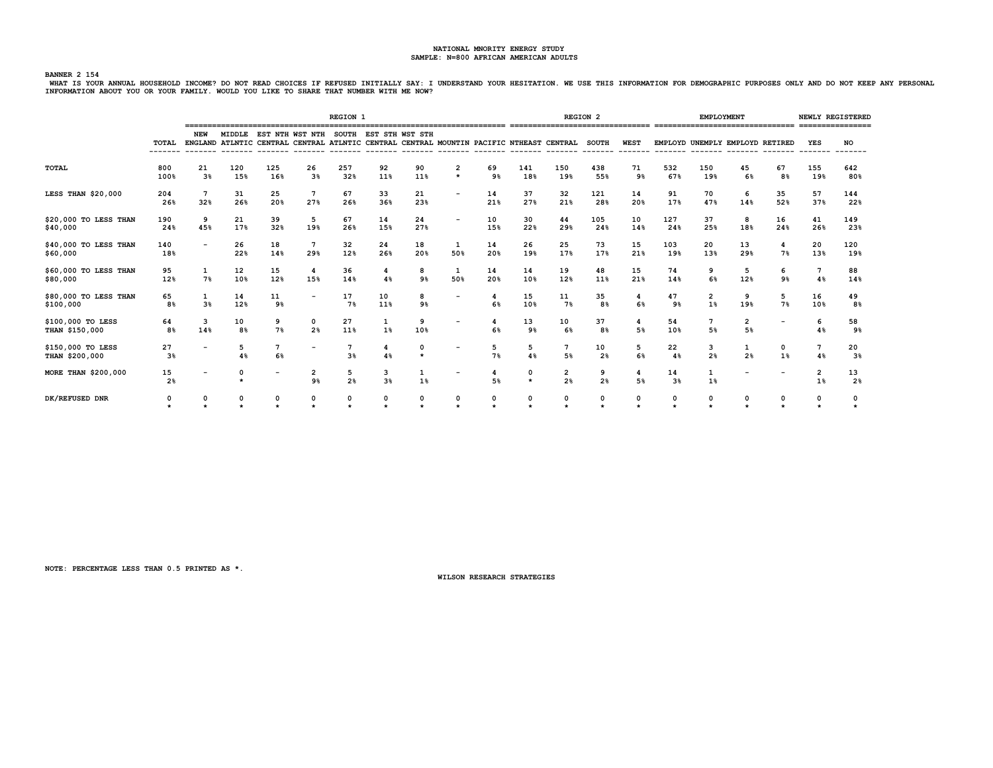## **BANNER 2 154**

WHAT IS YOUR ANNUAL HOUSEHOLD INCOME? DO NOT READ CHOICES IF REFUSED INITIALLY SAY: I UNDERSTAND YOUR HESITATION. WE USE THIS INFORMATION FOR DEMOGRAPHIC PURPOSES ONLY AND DO NOT KEEP ANY PERSONAL<br>INFORMATION ABOUT YOU OR

|                                     |                      |                      |                      |                       |                                                                                                                                               | <b>REGION 1</b>     |                        |                     |                           |                |                        |                                   | <b>REGION 2</b>      |             |                      | <b>EMPLOYMENT</b>             |                                 |           |                       | NEWLY REGISTERED     |
|-------------------------------------|----------------------|----------------------|----------------------|-----------------------|-----------------------------------------------------------------------------------------------------------------------------------------------|---------------------|------------------------|---------------------|---------------------------|----------------|------------------------|-----------------------------------|----------------------|-------------|----------------------|-------------------------------|---------------------------------|-----------|-----------------------|----------------------|
|                                     |                      | NEW                  |                      |                       | MIDDLE EST NTH WST NTH SOUTH EST STH WST STH<br>TOTAL ENGLAND ATLNTIC CENTRAL CENTRAL ATLNTIC CENTRAL CENTRAL MOUNTIN PACIFIC NTHEAST CENTRAL |                     |                        |                     |                           |                |                        |                                   | <b>SOUTH</b>         | <b>WEST</b> |                      |                               | EMPLOYD UNEMPLY EMPLOYD RETIRED |           | YES                   | <b>NO</b>            |
| <b>TOTAL</b>                        | 800<br>100%          | 21<br>3 <sup>8</sup> | 120<br>15%           | 125<br>16%            | 26<br>3 <sup>8</sup>                                                                                                                          | 257<br>32%          | 92<br>11%              | 90<br>11%           | $\overline{2}$<br>$\star$ | 69<br>9%       | 141<br>18%             | 150<br>19%                        | 438<br>55%           | 71<br>9%    | 532<br>67%           | 150<br>19%                    | 45<br>6%                        | 67<br>8%  | 155<br>19%            | 642<br>80%           |
| LESS THAN \$20,000                  | 204<br>26%           | 7<br>32%             | 31<br>26%            | 25<br>20%             | $7\phantom{.0}$<br>27%                                                                                                                        | 67<br>26%           | 33<br>36%              | 21<br>23%           |                           | 14<br>21%      | 37<br>27%              | 32<br>21%                         | 121<br>28%           | 14<br>20%   | 91<br>17%            | 70<br>47%                     | 6<br>14%                        | 35<br>52% | 57<br>37%             | 144<br>22%           |
| \$20,000 TO LESS THAN<br>\$40,000   | 190<br>24%           | 9<br>45%             | 21<br>17%            | 39<br>32%             | 5<br>19%                                                                                                                                      | 67<br>26%           | 14<br>15%              | 24<br>27%           |                           | 10<br>15%      | 30<br>22%              | 44<br>29%                         | 105<br>24%           | 10<br>14%   | 127<br>24%           | 37<br>25%                     | 8<br>18%                        | 16<br>24% | 41<br>26%             | 149<br>23%           |
| \$40,000 TO LESS THAN<br>\$60,000   | 140<br>18%           |                      | 26<br>22%            | 18<br>14%             | $7\phantom{.0}$<br>29%                                                                                                                        | 32<br>12%           | 24<br>26%              | 18<br>20%           | 1<br>50%                  | 14<br>20%      | 26<br>19%              | 25<br>17%                         | 73<br>17%            | 15<br>21%   | 103<br>19%           | 20<br>13%                     | 13<br>29%                       | 4<br>7%   | 20<br>13%             | 120<br>19%           |
| \$60,000 TO LESS THAN<br>\$80,000   | 95<br>12%            | 1<br>7%              | 12<br>10%            | 15<br>12%             | $\overline{\mathbf{4}}$<br>15%                                                                                                                | 36<br>14%           | 4<br>4%                | 8<br>9 <sub>8</sub> | 1<br>50%                  | 14<br>20%      | 14<br>10%              | 19<br>12%                         | 48<br>11%            | 15<br>21%   | 74<br>14%            | 9<br>6%                       | 5<br>12%                        | 6<br>9%   | $7\phantom{.0}$<br>4% | 88<br>14%            |
| \$80,000 TO LESS THAN<br>\$100,000  | 65<br>8%             | $\mathbf{1}$<br>3%   | 14<br>12%            | 11<br>9%              | $\overline{\phantom{a}}$                                                                                                                      | 17<br>7%            | 10<br>11%              | 8<br>9%             |                           | 6%             | 15<br>10%              | 11<br>7%                          | 35<br>8 <sup>8</sup> | 6%          | 47<br>9%             | $\overline{\mathbf{2}}$<br>1% | 9<br>19%                        | 5<br>7%   | 16<br>10%             | 49<br>8%             |
| \$100,000 TO LESS<br>THAN \$150,000 | 64<br>8 <sup>8</sup> | 3<br>14%             | 10<br>8 <sup>8</sup> | 9<br>7%               | 0<br>2 <sup>8</sup>                                                                                                                           | 27<br>11%           | 1<br>1%                | 9<br>10%            |                           | 6 <sup>8</sup> | 13<br>9%               | 10<br>6 <sup>8</sup>              | 37<br>8 <sup>8</sup> | 4<br>5%     | 54<br>10%            | $7\phantom{.0}$<br>5%         | $\overline{2}$<br>5%            |           | 6<br>4%               | 58<br>9%             |
| \$150,000 TO LESS<br>THAN \$200,000 | 27<br>3%             |                      | 5<br>4%              | $7\phantom{.0}$<br>6% | $\overline{\phantom{a}}$                                                                                                                      | 3%                  | $\boldsymbol{A}$<br>4% | 0                   |                           | 5<br>7%        | 5<br>4%                | $7\phantom{.0}$<br>5 <sup>8</sup> | 10<br>2 <sup>8</sup> | 5<br>6%     | 22<br>4%             | 3<br>2 <sup>8</sup>           | 1<br>2%                         | 0<br>1%   | 7<br>4%               | 20<br>3%             |
| MORE THAN \$200,000                 | 15<br>2 <sup>8</sup> |                      |                      |                       | $\overline{2}$<br>9%                                                                                                                          | 5<br>2 <sup>8</sup> | 3<br>3%                | 1<br>1%             |                           | 5%             | $\mathbf 0$<br>$\star$ | $\overline{2}$<br>2 <sup>8</sup>  | 9<br>2%              | 4<br>5%     | 14<br>3 <sup>8</sup> | 1<br>1%                       |                                 |           | $\overline{2}$<br>1%  | 13<br>2 <sub>8</sub> |
| DK/REFUSED DNR                      | 0<br>$\star$         |                      |                      | $\Omega$              | 0<br>$\star$                                                                                                                                  | 0                   | 0                      | 0                   | 0<br>$\star$              |                | 0                      | 0                                 | 0<br>$\star$         | 0           |                      | 0                             | 0                               |           | 0                     |                      |

**NOTE: PERCENTAGE LESS THAN 0.5 PRINTED AS \*.**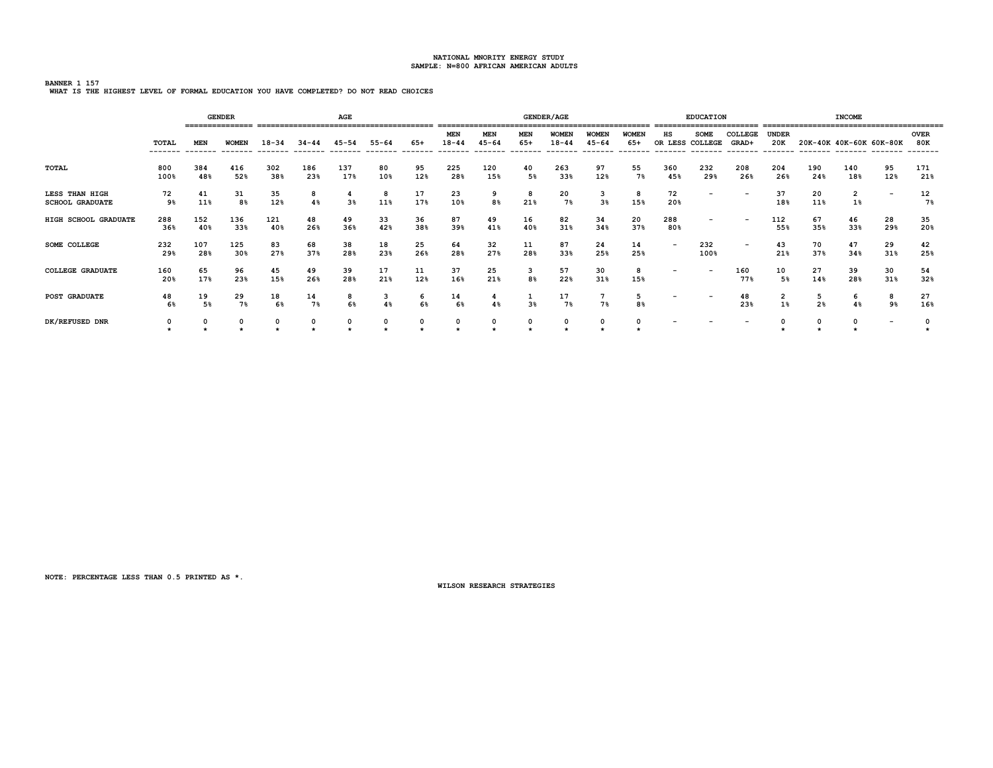# **BANNER 1 157**

|  |  | WHAT IS THE HIGHEST LEVEL OF FORMAL EDUCATION YOU HAVE COMPLETED? DO NOT READ CHOICES |
|--|--|---------------------------------------------------------------------------------------|
|--|--|---------------------------------------------------------------------------------------|

|                                          |                  |            | <b>GENDER</b><br>=============== |            |            | AGE        |                       |                 | ===============                     |                                     |                                 | <b>GENDER/AGE</b>                    |                                       |                                   |                                           | <b>EDUCATION</b>         |                          |                         |                     | <b>INCOME</b> |                          |                    |
|------------------------------------------|------------------|------------|----------------------------------|------------|------------|------------|-----------------------|-----------------|-------------------------------------|-------------------------------------|---------------------------------|--------------------------------------|---------------------------------------|-----------------------------------|-------------------------------------------|--------------------------|--------------------------|-------------------------|---------------------|---------------|--------------------------|--------------------|
|                                          | TOTAL<br>------- | <b>MEN</b> | <b>WOMEN</b>                     | $18 - 34$  | $34 - 44$  | $45 - 54$  | $55 - 64$<br>-------- | 65+<br>-------- | <b>MEN</b><br>$18 - 44$<br>-------- | <b>MEN</b><br>$45 - 64$<br>-------- | <b>MEN</b><br>$65+$<br>-------- | <b>WOMEN</b><br>$18 - 44$<br>------- | <b>WOMEN</b><br>$45 - 64$<br>-------- | <b>WOMEN</b><br>$65+$<br>-------- | нs<br>OR LESS COLLEGE<br>-------- ------- | <b>SOME</b>              | COLLEGE<br>GRAD+         | <b>UNDER</b><br>20K     |                     |               | 20K-40K 40K-60K 60K-80K  | <b>OVER</b><br>80K |
| <b>TOTAL</b>                             | 800<br>100%      | 384<br>48% | 416<br>52%                       | 302<br>38% | 186<br>23% | 137<br>17% | 80<br>10%             | 95<br>12%       | 225<br>28%                          | 120<br>15%                          | 40<br>5%                        | 263<br>33%                           | 97<br>12%                             | 55<br>7%                          | 360<br>45%                                | 232<br>29%               | 208<br>26%               | 204<br>26%              | 190<br>24%          | 140<br>18%    | 95<br>12%                | 171<br>21%         |
| LESS THAN HIGH<br><b>SCHOOL GRADUATE</b> | 72<br>9%         | 41<br>11%  | 31<br>8%                         | 35<br>12%  | 8<br>4%    | 3%         | 8<br>11%              | 17<br>17%       | 23<br>10%                           | 9<br>8%                             | 8<br>21%                        | 20<br>7%                             | 3<br>3 <sup>8</sup>                   | 8<br>15%                          | 72<br>20%                                 | $\overline{\phantom{0}}$ | $\qquad \qquad$          | 37<br>18%               | 20<br>11%           | 2<br>$1\%$    | $\overline{\phantom{a}}$ | 12<br>7%           |
| HIGH SCHOOL GRADUATE                     | 288<br>36%       | 152<br>40% | 136<br>33%                       | 121<br>40% | 48<br>26%  | 49<br>36%  | 33<br>42%             | 36<br>38%       | 87<br>39%                           | 49<br>41%                           | 16<br>40%                       | 82<br>31%                            | 34<br>34%                             | 20<br>37%                         | 288<br>80%                                |                          | $\overline{\phantom{0}}$ | 112<br>55%              | 67<br>35%           | 46<br>33%     | 28<br>29%                | 35<br>20%          |
| SOME COLLEGE                             | 232<br>29%       | 107<br>28% | 125<br>30%                       | 83<br>27%  | 68<br>37%  | 38<br>28%  | 18<br>23%             | 25<br>26%       | 64<br>28%                           | 32<br>27%                           | 11<br>28%                       | 87<br>33%                            | 24<br>25%                             | 14<br>25%                         | $\overline{\phantom{0}}$                  | 232<br>100%              | $\overline{\phantom{0}}$ | 43<br>21%               | 70<br>37%           | 47<br>34%     | 29<br>31%                | 42<br>25%          |
| <b>COLLEGE GRADUATE</b>                  | 160<br>20%       | 65<br>17%  | 96<br>23%                        | 45<br>15%  | 49<br>26%  | 39<br>28%  | 17<br>21%             | 11<br>12%       | 37<br>16%                           | 25<br>21%                           | 3<br>8%                         | 57<br>22%                            | 30<br>31%                             | 8<br>15%                          | $\overline{\phantom{0}}$                  | $\overline{\phantom{a}}$ | 160<br>77%               | 10<br>5%                | 27<br>14%           | 39<br>28%     | 30<br>31%                | 54<br>32%          |
| <b>POST GRADUATE</b>                     | 48<br>6%         | 19<br>5%   | 29<br>7%                         | 18<br>6%   | 14<br>7%   | 8<br>6%    | з<br>4%               | 6<br>6%         | 14<br>6 <sup>°</sup>                | 4%                                  | ÷<br>3 <sup>8</sup>             | 17<br>7%                             | 7<br>7%                               | 5<br>8%                           |                                           |                          | 48<br>23%                | $\overline{2}$<br>$1\%$ | 5<br>2 <sup>8</sup> | 6<br>4%       | 8<br>9%                  | 27<br>16%          |
| DK/REFUSED DNR                           | 0                | 0          | 0                                | 0          | 0          | 0          | 0                     | 0               | 0                                   | 0                                   | 0                               | 0                                    | 0                                     |                                   |                                           |                          | $\overline{\phantom{a}}$ |                         |                     |               | $\overline{\phantom{a}}$ |                    |

**NOTE: PERCENTAGE LESS THAN 0.5 PRINTED AS \*.**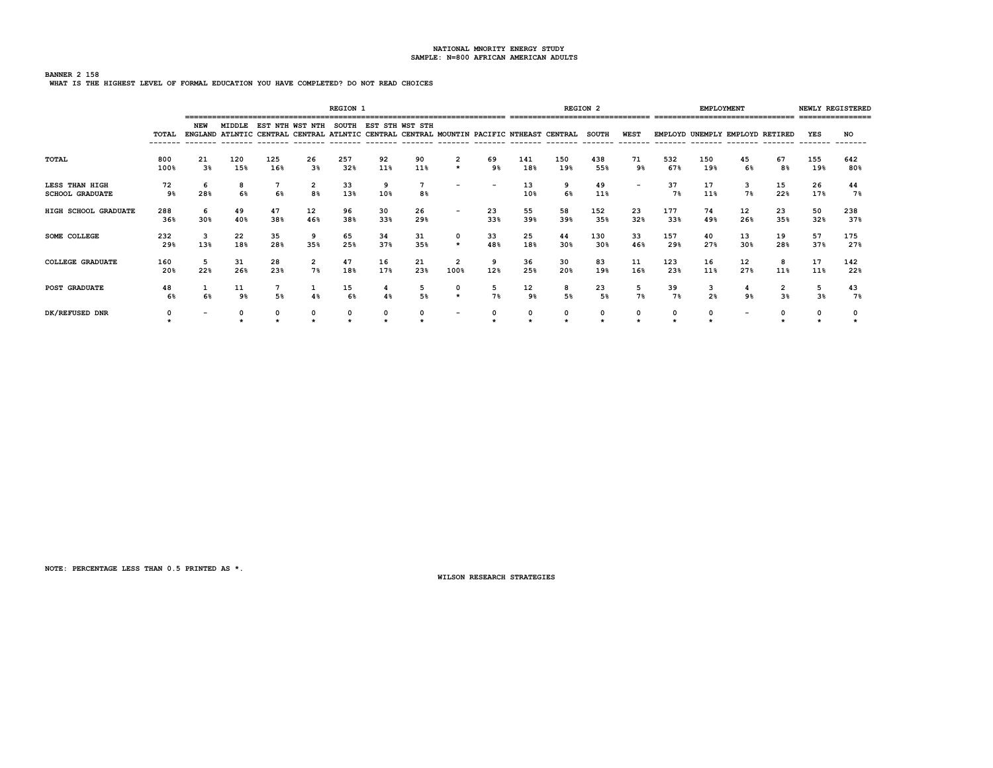# **BANNER 2 158 WHAT IS THE HIGHEST LEVEL OF FORMAL EDUCATION YOU HAVE COMPLETED? DO NOT READ CHOICES**

|                                          |              |                      |            |                                                                                         |                                       | <b>REGION 1</b> |           |                       |                        |           |                      |            | <b>REGION 2</b> |                         |            | <b>EMPLOYMENT</b>   |                                 |           |                     | NEWLY REGISTERED<br>================ |
|------------------------------------------|--------------|----------------------|------------|-----------------------------------------------------------------------------------------|---------------------------------------|-----------------|-----------|-----------------------|------------------------|-----------|----------------------|------------|-----------------|-------------------------|------------|---------------------|---------------------------------|-----------|---------------------|--------------------------------------|
|                                          | <b>TOTAL</b> | <b>NEW</b>           | MIDDLE     | ENGLAND ATLNTIC CENTRAL CENTRAL ATLNTIC CENTRAL CENTRAL MOUNTIN PACIFIC NTHEAST CENTRAL | EST NTH WST NTH SOUTH EST STH WST STH |                 |           |                       |                        |           |                      |            | <b>SOUTH</b>    | <b>WEST</b><br>-------- |            |                     | EMPLOYD UNEMPLY EMPLOYD RETIRED |           | YES                 | NO                                   |
| TOTAL                                    | 800<br>100%  | 21<br>3 <sup>8</sup> | 120<br>15% | 125<br>16%                                                                              | 26<br>3 <sup>8</sup>                  | 257<br>32%      | 92<br>11% | 90<br>11%             | 2<br>$\star$           | 69<br>9%  | 141<br>18%           | 150<br>19% | 438<br>55%      | 71<br>9%                | 532<br>67% | 150<br>19%          | 45<br>6%                        | 67<br>8%  | 155<br>19%          | 642<br>80%                           |
| LESS THAN HIGH<br><b>SCHOOL GRADUATE</b> | 72<br>9%     | 6<br>28%             | 8<br>6%    | 7<br>6%                                                                                 | 2<br>8%                               | 33<br>13%       | 9<br>10%  | $7\overline{ }$<br>8% |                        |           | 13<br>10%            | 9<br>6%    | 49<br>11%       |                         | 37<br>7%   | 17<br>11%           | 3<br>7%                         | 15<br>22% | 26<br>17%           | 44<br>7%                             |
| HIGH SCHOOL GRADUATE                     | 288<br>36%   | 6<br>30%             | 49<br>40%  | 47<br>38%                                                                               | 12<br>46%                             | 96<br>38%       | 30<br>33% | 26<br>29%             | $\qquad \qquad$        | 23<br>33% | 55<br>39%            | 58<br>39%  | 152<br>35%      | 23<br>32%               | 177<br>33% | 74<br>49%           | 12<br>26%                       | 23<br>35% | 50<br>32%           | 238<br>37%                           |
| <b>SOME COLLEGE</b>                      | 232<br>29%   | 3<br>13%             | 22<br>18%  | 35<br>28%                                                                               | 9<br>35%                              | 65<br>25%       | 34<br>37% | 31<br>35%             | $\star$                | 33<br>48% | 25<br>18%            | 44<br>30%  | 130<br>30%      | 33<br>46%               | 157<br>29% | 40<br>27%           | 13<br>30%                       | 19<br>28% | 57<br>37%           | 175<br>27%                           |
| <b>COLLEGE GRADUATE</b>                  | 160<br>20%   | 5<br>22%             | 31<br>26%  | 28<br>23%                                                                               | 2<br>7%                               | 47<br>18%       | 16<br>17% | 21<br>23%             | $\overline{2}$<br>100% | 9<br>12%  | 36<br>25%            | 30<br>20%  | 83<br>19%       | 11<br>16%               | 123<br>23% | 16<br>11%           | 12<br>27%                       | 8<br>11%  | 17<br>11%           | 142<br>22%                           |
| <b>POST GRADUATE</b>                     | 48<br>6%     | 6%                   | 11<br>9%   | 5%                                                                                      | 1<br>4%                               | 15<br>6%        | 4<br>4%   | 5<br>5%               | 0<br>$\star$           | 5<br>7%   | 12<br>9 <sub>8</sub> | 8<br>5%    | 23<br>5%        | 5<br>7%                 | 39<br>7%   | 3<br>2 <sup>8</sup> | 4<br>9%                         | 2<br>3%   | 5<br>3 <sup>8</sup> | 43<br>7%                             |
| DK/REFUSED DNR                           | 0            |                      | 0          |                                                                                         | 0                                     | 0               | 0         | 0                     |                        |           | 0                    | 0          | 0               | 0                       |            | $\Omega$            |                                 |           |                     |                                      |

**NOTE: PERCENTAGE LESS THAN 0.5 PRINTED AS \*.**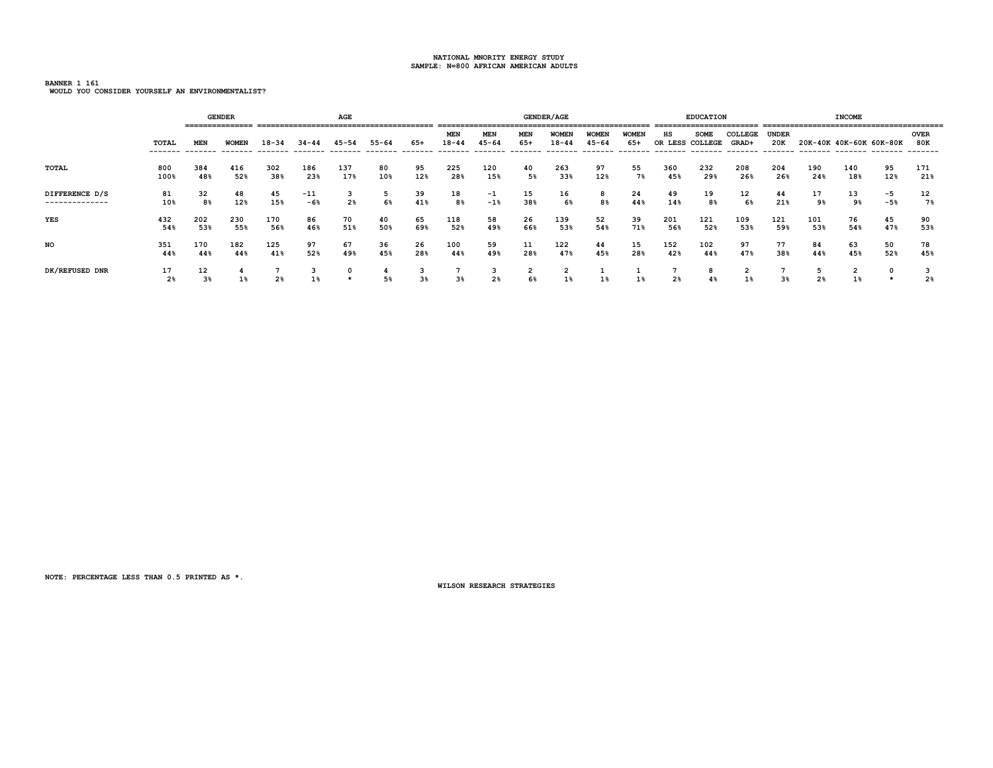**BANNER 1 161 WOULD YOU CONSIDER YOURSELF AN ENVIRONMENTALIST?**

|                |                      |          | <b>GENDER</b><br>================ |       |           | AGE            |           |       |                         |                                      |            | <b>GENDER/AGE</b>         |                           |                     |     | <b>EDUCATION</b>               |                  |                     |                | <b>INCOME</b>           |       |                                |
|----------------|----------------------|----------|-----------------------------------|-------|-----------|----------------|-----------|-------|-------------------------|--------------------------------------|------------|---------------------------|---------------------------|---------------------|-----|--------------------------------|------------------|---------------------|----------------|-------------------------|-------|--------------------------------|
|                | TOTAL                | MEN      | <b>WOMEN</b>                      | 18-34 | $34 - 44$ | 45-54          | $55 - 64$ | 65+   | <b>MEN</b><br>$18 - 44$ | MEN<br>$45 - 64$<br>-------- ------- | MEN<br>65+ | <b>WOMEN</b><br>$18 - 44$ | <b>WOMEN</b><br>$45 - 64$ | <b>WOMEN</b><br>65+ | нs  | <b>SOME</b><br>OR LESS COLLEGE | COLLEGE<br>GRAD+ | <b>UNDER</b><br>20K |                | 20K-40K 40K-60K 60K-80K |       | <b>OVER</b><br>80K<br>-------- |
| TOTAL          | 800                  | 384      | 416                               | 302   | 186       | 137            | 80        | 95    | 225                     | 120                                  | 40         | 263                       | 97                        | 55                  | 360 | 232                            | 208              | 204                 | 190            | 140                     | 95    | 171                            |
|                | 100%                 | 48%      | 52%                               | 38%   | 23%       | 17%            | 10%       | 12%   | 28%                     | 15%                                  | 5%         | 33%                       | 12%                       | 7%                  | 45% | 29%                            | 26%              | 26%                 | 24%            | 18%                     | 12%   | 21%                            |
| DIFFERENCE D/S | 81                   | 32       | 48                                | 45    | $-11$     | 2 <sup>8</sup> | c         | 39    | 18                      | $-1$                                 | 15         | 16                        | 8                         | 24                  | 49  | 19                             | 12               | 44                  | 17             | 13                      | $-5$  | 12                             |
| -------------- | 10%                  | 8%       | 12%                               | 15%   | $-6%$     |                | 6%        | 41%   | 8%                      | $-1$ <sup>8</sup>                    | 38%        | 6%                        | 8%                        | 44%                 | 14% | 8%                             | 6%               | 21%                 | 9%             | 9%                      | $-5%$ | 7%                             |
| YES            | 432                  | 202      | 230                               | 170   | 86        | 70             | 40        | 65    | 118                     | 58                                   | 26         | 139                       | 52                        | 39                  | 201 | 121                            | 109              | 121                 | 101            | 76                      | 45    | 90                             |
|                | 54%                  | 53%      | 55%                               | 56%   | 46%       | 51%            | 50%       | 69%   | 52%                     | 49%                                  | 66%        | 53%                       | 54%                       | 71%                 | 56% | 52%                            | 53%              | 59%                 | 53%            | 54%                     | 47%   | 53%                            |
| NO             | 351                  | 170      | 182                               | 125   | 97        | 67             | 36        | 26    | 100                     | 59                                   | 11         | 122                       | 44                        | 15                  | 152 | 102                            | 97               | 77                  | 84             | 63                      | 50    | 78                             |
|                | 44%                  | 44%      | 44%                               | 41%   | 52%       | 49%            | 45%       | 28%   | 44%                     | 49%                                  | 28%        | 47%                       | 45%                       | 28%                 | 42% | 44%                            | 47%              | 38%                 | 44%            | 45%                     | 52%   | 45%                            |
| DK/REFUSED DNR | 17<br>2 <sup>8</sup> | 12<br>3% | 1%                                | 2%    | 1%        | 0<br>$\star$   | 5%        | $3\%$ | $3\%$                   | د<br>2 <sup>8</sup>                  | 2<br>6%    | $1\%$                     | $1\%$                     | $1\%$               | 2%  | 8<br>$4\%$                     | ∠<br>$1\%$       | 3%                  | 2 <sup>8</sup> | ∠                       |       | 2 <sub>8</sub>                 |

**NOTE: PERCENTAGE LESS THAN 0.5 PRINTED AS \*.**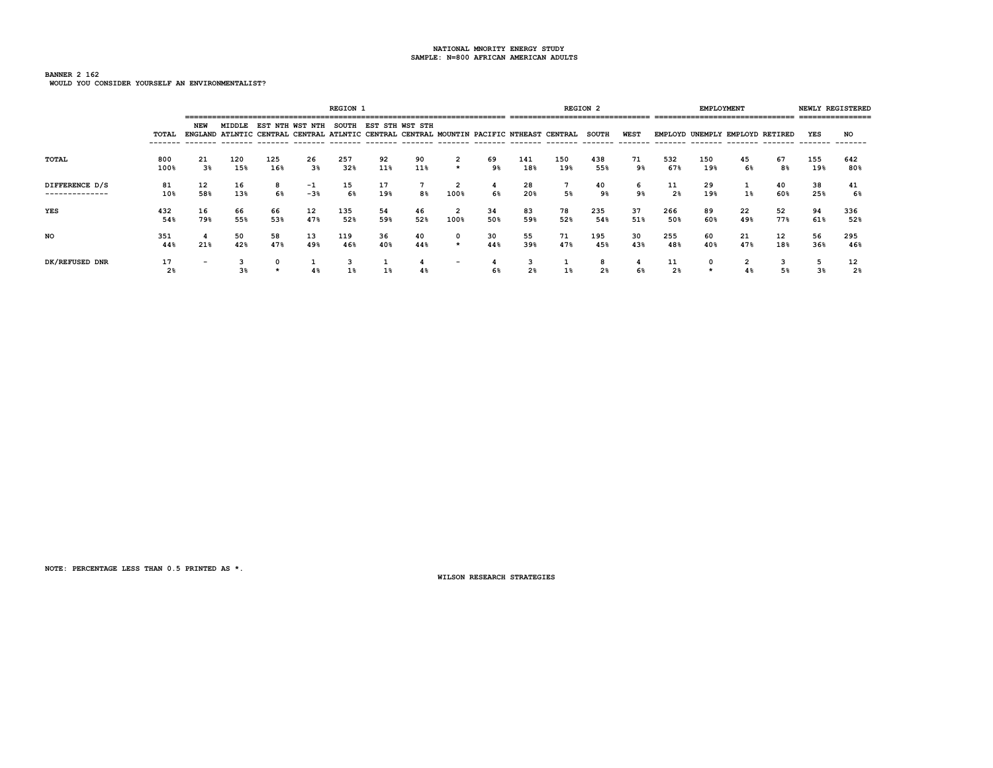### **BANNER 2 162 WOULD YOU CONSIDER YOURSELF AN ENVIRONMENTALIST?**

|                                  |                      |                      |            |            |                 | <b>REGION 1</b> |                       |           |                           |           |            | --------------------------------                                                        | <b>REGION 2</b>     |           |                      | EMPLOYMENT |                                 |           |            | NEWLY REGISTERED<br>---------------- |
|----------------------------------|----------------------|----------------------|------------|------------|-----------------|-----------------|-----------------------|-----------|---------------------------|-----------|------------|-----------------------------------------------------------------------------------------|---------------------|-----------|----------------------|------------|---------------------------------|-----------|------------|--------------------------------------|
|                                  | TOTAL                | NEW<br>--------      | MIDDLE     |            | EST NTH WST NTH |                 | SOUTH EST STH WST STH |           |                           |           |            | ENGLAND ATLNTIC CENTRAL CENTRAL ATLNTIC CENTRAL CENTRAL MOUNTIN PACIFIC NTHEAST CENTRAL | SOUTH               | WEST      |                      |            | EMPLOYD UNEMPLY EMPLOYD RETIRED |           | YES        | <b>NO</b>                            |
| TOTAL                            | 800<br>100%          | 21<br>3 <sup>8</sup> | 120<br>15% | 125<br>16% | 26<br>3%        | 257<br>32%      | 92<br>11%             | 90<br>11% | $\overline{2}$<br>$\star$ | 69<br>9%  | 141<br>18% | 150<br>19%                                                                              | 438<br>55%          | 71<br>9%  | 532<br>67%           | 150<br>19% | 45<br>6%                        | 67<br>8%  | 155<br>19% | 642<br>80%                           |
| DIFFERENCE D/S<br>-------------- | 81<br>10%            | 12<br>58%            | 16<br>13%  | 8<br>6%    | -1<br>$-3%$     | 15<br>6%        | 17<br>19%             | 8%        | 2<br>100%                 | 4<br>6%   | 28<br>20%  | 5%                                                                                      | 40<br>9%            | 6<br>9%   | 11<br>2 <sup>8</sup> | 29<br>19%  | $1\%$                           | 40<br>60% | 38<br>25%  | 41<br>6%                             |
| YES                              | 432<br>54%           | 16<br>79%            | 66<br>55%  | 66<br>53%  | 12<br>47%       | 135<br>52%      | 54<br>59%             | 46<br>52% | 2<br>100%                 | 34<br>50% | 83<br>59%  | 78<br>52%                                                                               | 235<br>54%          | 37<br>51% | 266<br>50%           | 89<br>60%  | 22<br>49%                       | 52<br>77% | 94<br>61%  | 336<br>52%                           |
| NO                               | 351<br>44%           | 4<br>21%             | 50<br>42%  | 58<br>47%  | 13<br>49%       | 119<br>46%      | 36<br>40%             | 40<br>44% | $\star$                   | 30<br>44% | 55<br>39%  | 71<br>47%                                                                               | 195<br>45%          | 30<br>43% | 255<br>48%           | 60<br>40%  | 21<br>47%                       | 12<br>18% | 56<br>36%  | 295<br>46%                           |
| DK/REFUSED DNR                   | 17<br>2 <sup>8</sup> | $\qquad \qquad$      |            |            | 4%              |                 |                       | 4%        |                           | 6%        | 2%         |                                                                                         | 8<br>2 <sub>8</sub> | 6%        | 2%                   | 0          | 4 %                             |           | 3%         | 12<br>2 <sup>8</sup>                 |

**NOTE: PERCENTAGE LESS THAN 0.5 PRINTED AS \*.**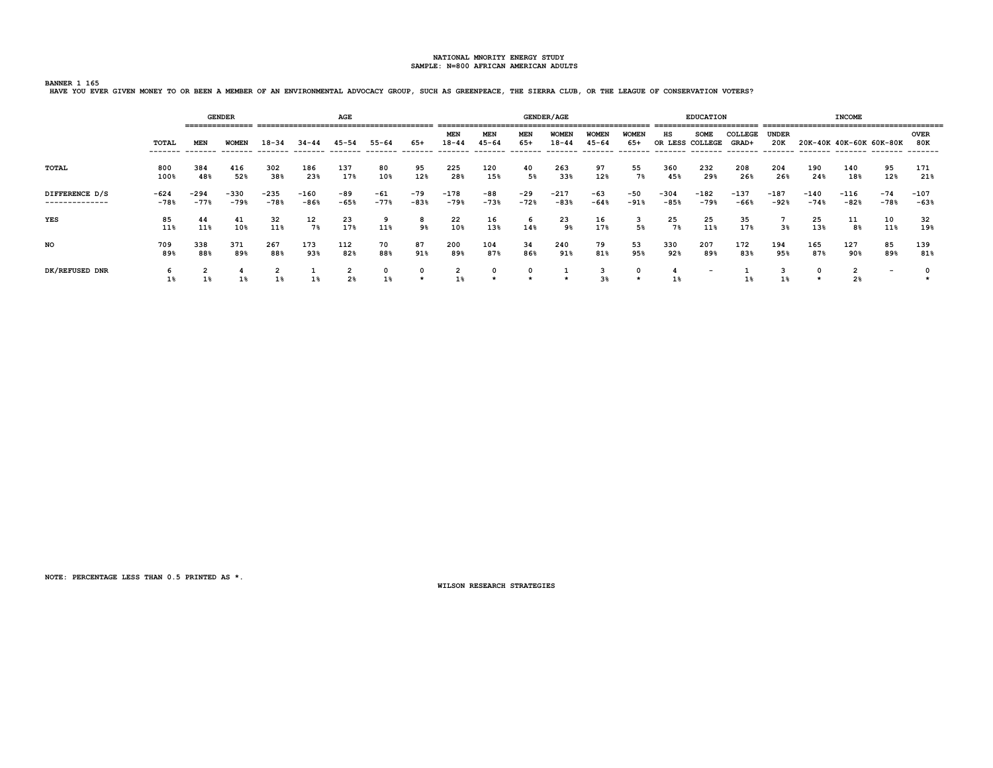**BANNER 1 165 HAVE YOU EVER GIVEN MONEY TO OR BEEN A MEMBER OF AN ENVIRONMENTAL ADVOCACY GROUP, SUCH AS GREENPEACE, THE SIERRA CLUB, OR THE LEAGUE OF CONSERVATION VOTERS?**

|                                  |                  |                  | <b>GENDER</b>    |                  |                  | AGE                |                 |                 |                     |                         |                     | <b>GENDER/AGE</b>         |                           |                       |                  | <b>EDUCATION</b><br>======================== |                  |                  |                         | <b>INCOME</b>       |                          |                                |
|----------------------------------|------------------|------------------|------------------|------------------|------------------|--------------------|-----------------|-----------------|---------------------|-------------------------|---------------------|---------------------------|---------------------------|-----------------------|------------------|----------------------------------------------|------------------|------------------|-------------------------|---------------------|--------------------------|--------------------------------|
|                                  | TOTAL<br>------- | MEN<br>-------   | <b>WOMEN</b>     | $R - 3A$         | 34-44            |                    | 55-64           | 65+             | <b>MEN</b><br>18-44 | <b>MEN</b><br>$45 - 64$ | <b>MEN</b><br>$65+$ | <b>WOMEN</b><br>$18 - 44$ | <b>WOME!</b><br>$45 - 64$ | <b>WOMEN</b><br>$65+$ | нs<br>OR LESS    | <b>SOME</b><br>COLLEGE                       | COLLEGE<br>GRAD+ | UNDER<br>20K     | 20K-40K 40K-60K 60K-80K |                     |                          | <b>OVER</b><br>80K<br>-------- |
| TOTAL                            | 800<br>100%      | 384<br>48%       | 416<br>52%       | 302<br>38%       | 186<br>23%       | 137<br>17%         | 80<br>10%       | 95<br>12%       | 225<br>28%          | 120<br>15%              | 40<br>5%            | 263<br>33%                | 97<br>12%                 | 55<br>7%              | 360<br>45%       | 232<br>29%                                   | 208<br>26%       | 204<br>26%       | 190<br>24%              | 140<br>18%          | 95<br>12%                | 171<br>21%                     |
| DIFFERENCE D/S<br>-------------- | $-624$<br>$-78%$ | $-294$<br>$-77%$ | $-330$<br>$-79%$ | $-235$<br>$-78%$ | $-160$<br>$-86%$ | -89<br>$-65%$      | $-61$<br>$-77%$ | $-79$<br>$-83%$ | $-178$<br>$-79%$    | -88<br>$-73%$           | $-29$<br>$-72%$     | $-217$<br>$-83%$          | $-63$<br>$-64%$           | $-50$<br>$-91%$       | $-304$<br>$-85%$ | -182<br>$-79%$                               | $-137$<br>$-66%$ | $-187$<br>$-92%$ | $-140$<br>$-74%$        | $-116$<br>$-82%$    | $-74$<br>$-78%$          | $-107$<br>$-63%$               |
| YES                              | 85<br>11%        | 44<br>11%        | 41<br>10%        | 32<br>11%        | 12<br>7%         | 23<br>17%          | 9<br>11%        | 8<br>9%         | 22<br>10%           | 16<br>13%               | 6<br>14%            | 23<br>9%                  | 16<br>17%                 | 5%                    | 25<br>7%         | 25<br>11%                                    | 35<br>17%        | 38               | 25<br>13%               | 11<br>8%            | 10<br>11%                | 32<br>19%                      |
| <b>NO</b>                        | 709<br>89%       | 338<br>88%       | 371<br>89%       | 267<br>88%       | 173<br>93%       | 112<br>82%         | 70<br>88%       | 87<br>91%       | 200<br>89%          | 104<br>87%              | 34<br>86%           | 240<br>91%                | 79<br>81%                 | 53<br>95%             | 330<br>92%       | 207<br>89%                                   | 172<br>83%       | 194<br>95%       | 165<br>87%              | 127<br>90%          | 85<br>89%                | 139<br>81%                     |
| DK/REFUSED DNR                   | 6                | ∠                | 4                | z                | <b>.</b>         | $\mathbf{2}$<br>2% | 0<br>1%         |                 | 2<br>1%             |                         |                     |                           | 3<br>3 <sup>8</sup>       | 0                     |                  | $\overline{\phantom{0}}$                     |                  |                  |                         | ∠<br>2 <sup>8</sup> | $\overline{\phantom{a}}$ |                                |

**NOTE: PERCENTAGE LESS THAN 0.5 PRINTED AS \*.**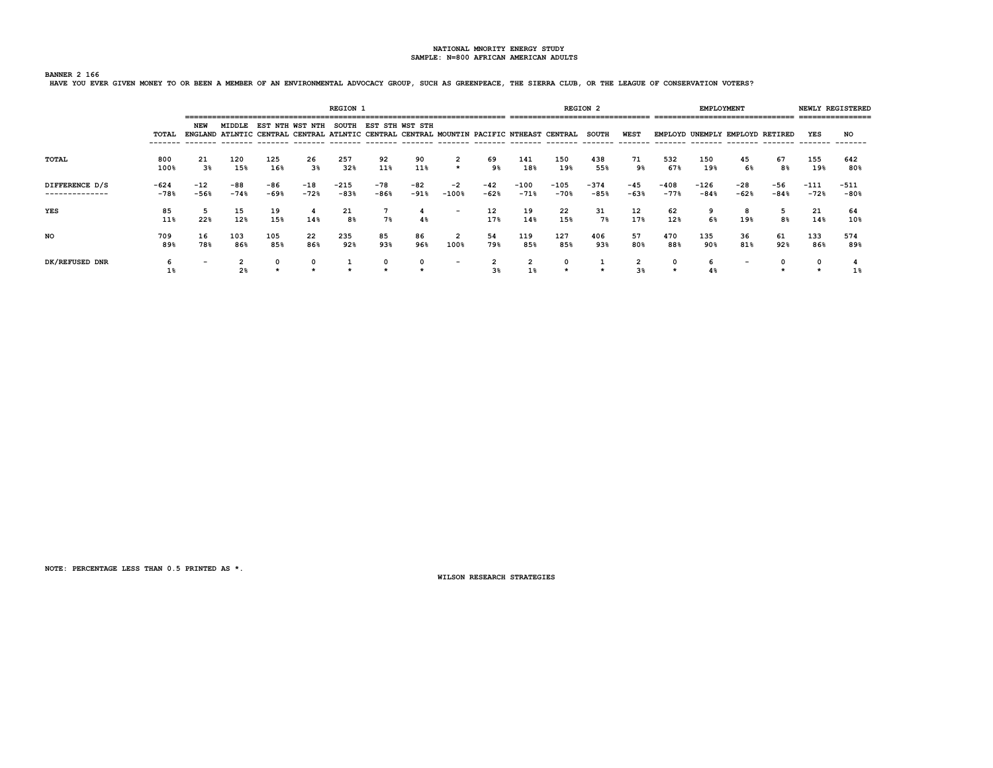## **BANNER 2 166**

**HAVE YOU EVER GIVEN MONEY TO OR BEEN A MEMBER OF AN ENVIRONMENTAL ADVOCACY GROUP, SUCH AS GREENPEACE, THE SIERRA CLUB, OR THE LEAGUE OF CONSERVATION VOTERS?**

|                                  |                |                 |               |               |                 | <b>REGION 1</b>  |                 |                 |                          |                 | ___________      |                                                                                         | <b>REGION 2</b>  |                 |                  |                  | <b>EMPLOYMENT</b>               |                 |                  | NEWLY REGISTERED<br>================ |
|----------------------------------|----------------|-----------------|---------------|---------------|-----------------|------------------|-----------------|-----------------|--------------------------|-----------------|------------------|-----------------------------------------------------------------------------------------|------------------|-----------------|------------------|------------------|---------------------------------|-----------------|------------------|--------------------------------------|
|                                  | TOTAL          | NEW             | MIDDLE        |               | EST NTH WST NTH | <b>SOUTH</b>     | EST STH WST STH |                 |                          |                 |                  | ENGLAND ATLNTIC CENTRAL CENTRAL ATLNTIC CENTRAL CENTRAL MOUNTIN PACIFIC NTHEAST CENTRAL | <b>SOUTH</b>     | <b>WEST</b>     |                  |                  | EMPLOYD UNEMPLY EMPLOYD RETIRED |                 | YES              | NO                                   |
| TOTAL                            | 800<br>100%    | 21<br>3%        | 120<br>15%    | 125<br>16%    | 26<br>3%        | 257<br>32%       | 92<br>11%       | 90<br>11%       | 2<br>$\star$             | 69<br>9%        | 141<br>18%       | 150<br>19%                                                                              | 438<br>55%       | 71<br>9%        | 532<br>67%       | 150<br>19%       | 45<br>6%                        | 67<br>8%        | 155<br>19%       | 642<br>80%                           |
| DIFFERENCE D/S<br>-------------- | -624<br>$-78%$ | $-12$<br>$-56%$ | -88<br>$-74%$ | -86<br>$-69%$ | $-18$<br>$-72%$ | $-215$<br>$-83%$ | $-78$<br>$-86%$ | $-82$<br>$-91%$ | $-2$<br>$-100%$          | $-42$<br>$-62%$ | $-100$<br>$-71%$ | $-105$<br>$-70%$                                                                        | $-374$<br>$-85%$ | $-45$<br>$-63%$ | $-408$<br>$-77%$ | $-126$<br>$-84%$ | -28<br>$-62%$                   | $-56$<br>$-84%$ | $-111$<br>$-72%$ | $-511$<br>$-80%$                     |
| YES                              | 85<br>11%      | 5<br>22%        | 15<br>12%     | 19<br>15%     | -4<br>14%       | 21<br>8%         | 7%              | 4<br>$4\%$      | $\overline{\phantom{0}}$ | 12<br>17%       | 19<br>14%        | 22<br>15%                                                                               | 31<br>7%         | 12<br>17%       | 62<br>12%        | 9<br>6%          | 8<br>19%                        | 5<br>8%         | 21<br>14%        | 64<br>10%                            |
| NO                               | 709<br>89%     | 16<br>78%       | 103<br>86%    | 105<br>85%    | 22<br>86%       | 235<br>92%       | 85<br>93%       | 86<br>96%       | 100%                     | 54<br>79%       | 119<br>85%       | 127<br>85%                                                                              | 406<br>93%       | 57<br>80%       | 470<br>88%       | 135<br>90%       | 36<br>81%                       | 61<br>92%       | 133<br>86%       | 574<br>89%                           |
| DK/REFUSED DNR                   | ь<br>1%        |                 | 2%            |               |                 |                  |                 |                 | $\overline{\phantom{a}}$ | 3%              | 2<br>1%          |                                                                                         |                  | 3 <sup>8</sup>  |                  | 6<br>4%          | $\overline{\phantom{0}}$        |                 |                  |                                      |

**NOTE: PERCENTAGE LESS THAN 0.5 PRINTED AS \*.**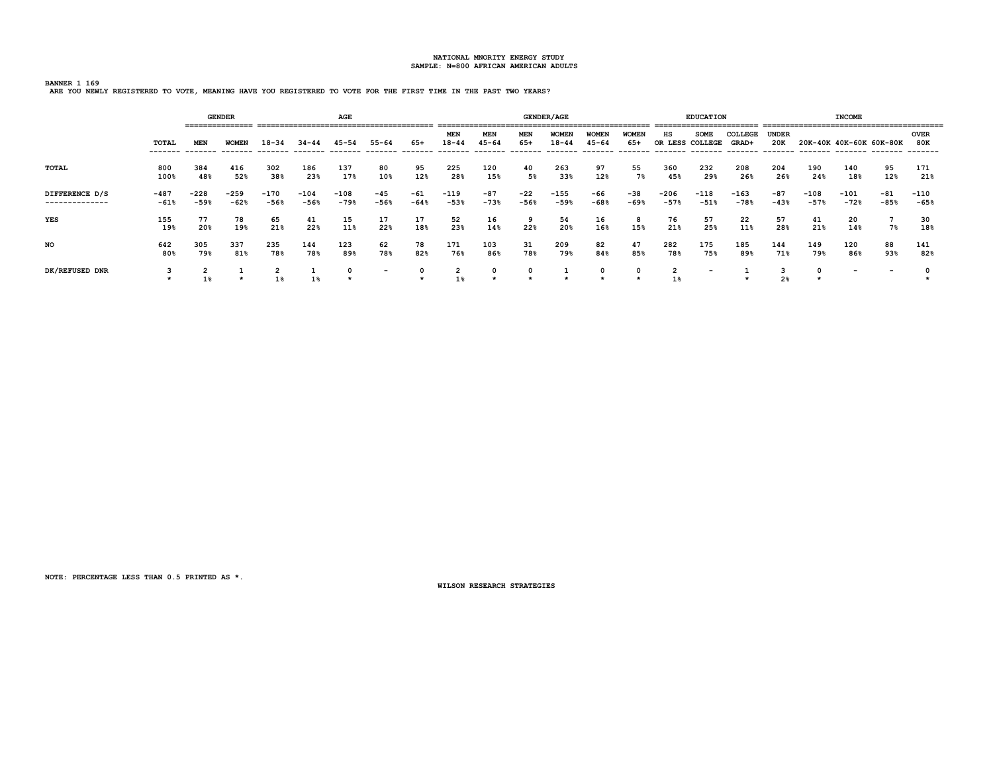**BANNER 1 169 ARE YOU NEWLY REGISTERED TO VOTE, MEANING HAVE YOU REGISTERED TO VOTE FOR THE FIRST TIME IN THE PAST TWO YEARS?**

|                                  |                  |                  | <b>GENDER</b>    |                  |                  | AGE              |                          |                 |                         |                  |                 | <b>GENDER/AGE</b>         |                           |                     |                  | <b>EDUCATION</b>               |                  |                     |                                                     | <b>INCOME</b>  |                          |                    |
|----------------------------------|------------------|------------------|------------------|------------------|------------------|------------------|--------------------------|-----------------|-------------------------|------------------|-----------------|---------------------------|---------------------------|---------------------|------------------|--------------------------------|------------------|---------------------|-----------------------------------------------------|----------------|--------------------------|--------------------|
|                                  | TOTAL            | MEN              | <b>WOMEN</b>     | $18 - 34$        | $34 - 44$        | 45-54            | $55 - 64$                | 65+             | <b>MEN</b><br>$18 - 44$ | MEN<br>$45 - 64$ | MEN<br>$65+$    | <b>WOMEN</b><br>$18 - 44$ | <b>WOMEN</b><br>$45 - 64$ | <b>WOMEN</b><br>65+ | нs               | <b>SOME</b><br>OR LESS COLLEGE | COLLEGE<br>GRAD+ | <b>UNDER</b><br>20K | 20K-40K 40K-60K 60K-80K<br>-------- ------- ------- |                |                          | <b>OVER</b><br>80K |
| <b>TOTAL</b>                     | 800<br>100%      | 384<br>48%       | 416<br>52%       | 302<br>38%       | 186<br>23%       | 137<br>17%       | 80<br>10%                | 95<br>12%       | 225<br>28%              | 120<br>15%       | 40<br>5%        | 263<br>33%                | 97<br>12%                 | 55<br>7%            | 360<br>45%       | 232<br>29%                     | 208<br>26%       | 204<br>26%          | 190<br>24%                                          | 140<br>18%     | 95<br>12%                | 171<br>21%         |
| DIFFERENCE D/S<br>-------------- | $-487$<br>$-61%$ | $-228$<br>$-59%$ | $-259$<br>$-62%$ | $-170$<br>$-56%$ | $-104$<br>$-56%$ | $-108$<br>$-79%$ | $-45$<br>$-56%$          | $-61$<br>$-64%$ | $-119$<br>$-53%$        | $-87$<br>$-73%$  | $-22$<br>$-56%$ | $-155$<br>$-59%$          | -66<br>$-68%$             | $-38$<br>$-69%$     | $-206$<br>$-57%$ | $-118$<br>$-51%$               | $-163$<br>$-78%$ | $-87$<br>$-43%$     | $-108$<br>$-57%$                                    | -101<br>$-72%$ | $-81$<br>$-85%$          | $-110$<br>$-65%$   |
| YES                              | 155<br>19%       | 77<br>20%        | 78<br>19%        | 65<br>21%        | 41<br>22%        | 15<br>11%        | 17<br>22%                | 17<br>18%       | 52<br>23%               | 16<br>14%        | 9<br>22%        | 54<br>20%                 | 16<br>16%                 | 8<br>15%            | 76<br>21%        | 57<br>25%                      | 22<br>11%        | 57<br>28%           | 41<br>21%                                           | 20<br>14%      | 7%                       | 30<br>18%          |
| NO.                              | 642<br>80%       | 305<br>79%       | 337<br>81%       | 235<br>78%       | 144<br>78%       | 123<br>89%       | 62<br>78%                | 78<br>82%       | 171<br>76%              | 103<br>86%       | 31<br>78%       | 209<br>79%                | 82<br>84%                 | 47<br>85%           | 282<br>78%       | 175<br>75%                     | 185<br>89%       | 144<br>71%          | 149<br>79%                                          | 120<br>86%     | 88<br>93%                | 141<br>82%         |
| DK/REFUSED DNR                   | 3                | 2<br>1%          |                  | 1%               | 1%               |                  | $\overline{\phantom{0}}$ | 0               | $\overline{2}$<br>1%    | 0                | 0               |                           | 0                         | 0                   | $\overline{2}$   | $\overline{\phantom{a}}$       |                  | 2 <sub>8</sub>      |                                                     |                | $\overline{\phantom{a}}$ |                    |

**NOTE: PERCENTAGE LESS THAN 0.5 PRINTED AS \*.**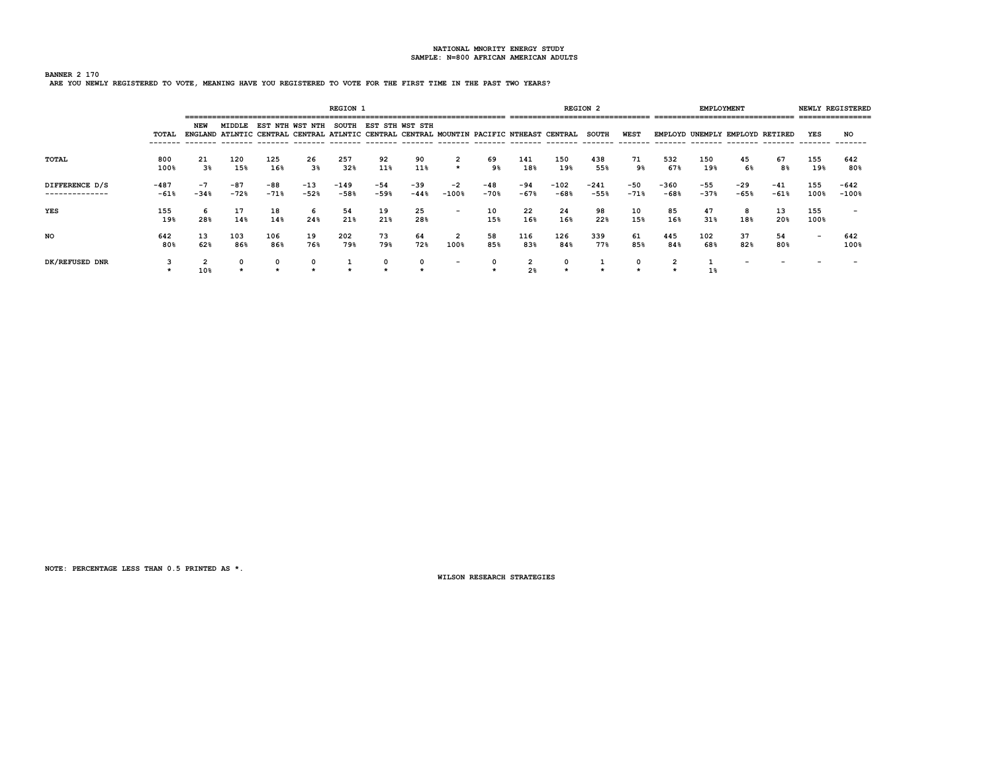# **BANNER 2 170 ARE YOU NEWLY REGISTERED TO VOTE, MEANING HAVE YOU REGISTERED TO VOTE FOR THE FIRST TIME IN THE PAST TWO YEARS?**

|                                  |                  |                |                 |               |                                                                                                    | <b>REGION 1</b>  |               |               |                          |               |                 |                  | <b>REGION 2</b>  |                 |                | <b>EMPLOYMENT</b> | -------------------------------- |                 |                          | NEWLY REGISTERED<br>---------------- |
|----------------------------------|------------------|----------------|-----------------|---------------|----------------------------------------------------------------------------------------------------|------------------|---------------|---------------|--------------------------|---------------|-----------------|------------------|------------------|-----------------|----------------|-------------------|----------------------------------|-----------------|--------------------------|--------------------------------------|
|                                  | TOTAL            | NEW            | MIDDLE          | NTH<br>EST    | WST NTH<br>ENGLAND ATLNTIC CENTRAL CENTRAL ATLNTIC CENTRAL CENTRAL MOUNTIN PACIFIC NTHEAST CENTRAL | <b>SOUTH</b>     | EST STH       | WST STH       |                          |               |                 |                  | <b>SOUTH</b>     | WEST            |                |                   | EMPLOYD UNEMPLY EMPLOYD RETIRED  |                 | YES                      | NO                                   |
| TOTAL                            | 800<br>100%      | 21<br>3%       | 120<br>15%      | 125<br>16%    | 26<br>3%                                                                                           | 257<br>32%       | 92<br>11%     | 90<br>11%     | 2<br>$\star$             | 69<br>9%      | 141<br>18%      | 150<br>19%       | 438<br>55%       | 71<br>9%        | 532<br>67%     | 150<br>19%        | 45<br>6%                         | 67<br>8%        | 155<br>19%               | 642<br>80%                           |
| DIFFERENCE D/S<br>-------------- | $-487$<br>$-61%$ | $-7$<br>$-34%$ | $-87$<br>$-72%$ | -88<br>$-71%$ | $-13$<br>$-52%$                                                                                    | $-149$<br>$-58%$ | -54<br>$-59%$ | -39<br>$-44%$ | -2<br>$-100%$            | -48<br>$-70%$ | $-94$<br>$-67%$ | $-102$<br>$-68%$ | $-241$<br>$-55%$ | $-50$<br>$-71%$ | -360<br>$-68%$ | $-55$<br>$-37%$   | $-29$<br>$-65%$                  | $-41$<br>$-61%$ | 155<br>100%              | -642<br>$-100%$                      |
| YES                              | 155<br>19%       | 6<br>28%       | 17<br>14%       | 18<br>14%     | 6<br>24%                                                                                           | 54<br>21%        | 19<br>21%     | 25<br>28%     | $\overline{\phantom{0}}$ | 10<br>15%     | 22<br>16%       | 24<br>16%        | 98<br>22%        | 10<br>15%       | 85<br>16%      | 47<br>31%         | 18%                              | 13<br>20%       | 155<br>100%              |                                      |
| NO                               | 642<br>80%       | 13<br>62%      | 103<br>86%      | 106<br>86%    | 19<br>76%                                                                                          | 202<br>79%       | 73<br>79%     | 64<br>72%     | 100%                     | 58<br>85%     | 116<br>83%      | 126<br>84%       | 339<br>77%       | 61<br>85%       | 445<br>84%     | 102<br>68%        | 37<br>82%                        | 54<br>80%       | $\overline{\phantom{0}}$ | 642<br>100%                          |
| DK/REFUSED DNR                   |                  | 10%            |                 |               |                                                                                                    |                  |               |               | -                        |               | 2 <sup>8</sup>  |                  |                  |                 |                | $1\%$             |                                  |                 |                          |                                      |

**NOTE: PERCENTAGE LESS THAN 0.5 PRINTED AS \*.**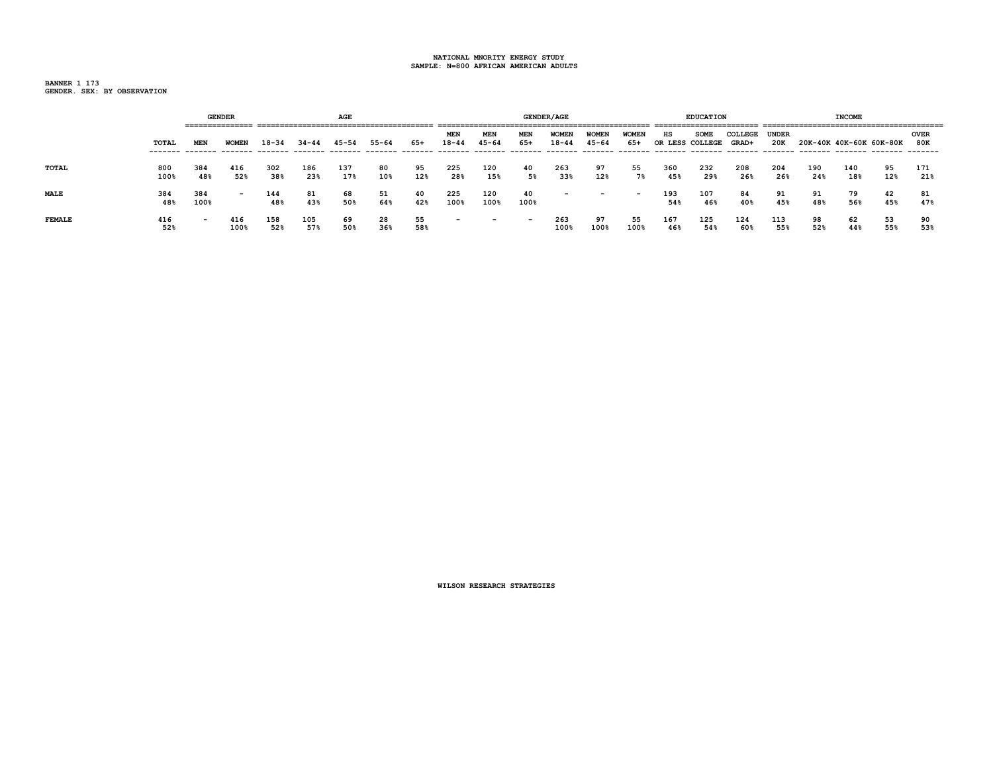**BANNER 1 173 GENDER. SEX: BY OBSERVATION**

|               |             |                          | <b>GENDER</b>            |            |            | AGE        |           |           |                          |                          |                          | <b>GENDER/AGE</b>         |                           |                          |            | <b>EDUCATION</b>               |                  |              |            | <b>INCOME</b>           |           |                    |
|---------------|-------------|--------------------------|--------------------------|------------|------------|------------|-----------|-----------|--------------------------|--------------------------|--------------------------|---------------------------|---------------------------|--------------------------|------------|--------------------------------|------------------|--------------|------------|-------------------------|-----------|--------------------|
|               | TOTAL       | MEN                      | <b>WOMEN</b>             | $18 - 34$  | $34 - 44$  | $45 - 54$  | $55 - 64$ | 65+       | MEN<br>$18 - 44$         | MEN<br>$45 - 64$         | MEN<br>$65+$             | <b>WOMEN</b><br>$18 - 44$ | <b>WOMEN</b><br>$45 - 64$ | <b>WOMEN</b><br>65+      | нs         | <b>SOME</b><br>OR LESS COLLEGE | COLLEGE<br>GRAD+ | UNDER<br>20K |            | 20K-40K 40K-60K 60K-80K |           | <b>OVER</b><br>80K |
| TOTAL         | 800<br>100% | 384<br>48%               | 416<br>52%               | 302<br>38% | 186<br>23% | 137<br>17% | 80<br>10% | 95<br>12% | 225<br>28%               | 120<br>15%               | 40<br>5%                 | 263<br>33%                | 97<br>12%                 | 55<br>7%                 | 360<br>45% | 232<br>29%                     | 208<br>26%       | 204<br>26%   | 190<br>24% | 140<br>18%              | 95<br>12% | 171<br>21%         |
| <b>MALE</b>   | 384<br>48%  | 384<br>100%              | $\overline{\phantom{0}}$ | 144<br>48% | 81<br>43%  | 68<br>50%  | 51<br>64% | 40<br>42% | 225<br>100%              | 120<br>100%              | 40<br>100%               | $\overline{\phantom{0}}$  | $\overline{\phantom{0}}$  | $\overline{\phantom{0}}$ | 193<br>54% | 107<br>46%                     | 84<br>40%        | 91<br>45%    | 91<br>48%  | 79<br>56%               | 42<br>45% | 81<br>47%          |
| <b>FEMALE</b> | 416<br>52%  | $\overline{\phantom{0}}$ | 416<br>100%              | 158<br>52% | 105<br>57% | 69<br>50%  | 28<br>36% | 55<br>58% | $\overline{\phantom{0}}$ | $\overline{\phantom{0}}$ | $\overline{\phantom{0}}$ | 263<br>100%               | 97<br>100%                | 55<br>100%               | 167<br>46% | 125<br>54%                     | 124<br>60%       | 113<br>55%   | 98<br>52%  | 62<br>44%               | 53<br>55% | 90<br>53%          |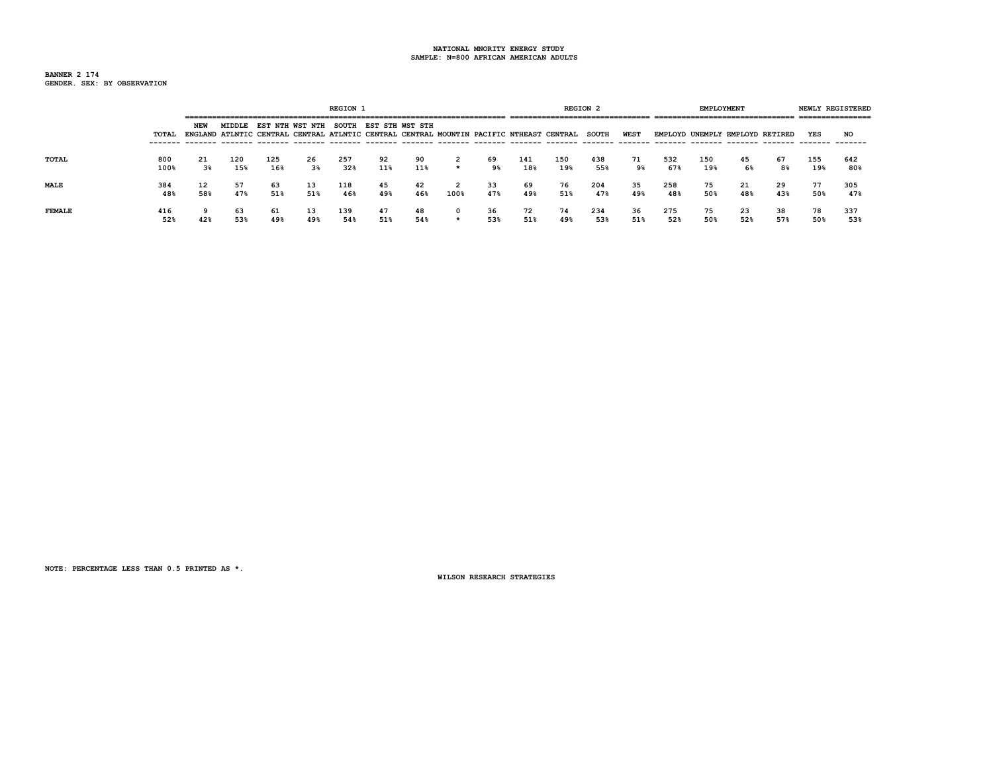**BANNER 2 174 GENDER. SEX: BY OBSERVATION**

|               |             |           |            |            |           | <b>REGION 1</b> |                                                                                                                                         |           |      |           |            |                                 | REGION <sub>2</sub> |           |            | <b>EMPLOYMENT</b> |                                                                     |           |            | NEWLY REGISTERED |
|---------------|-------------|-----------|------------|------------|-----------|-----------------|-----------------------------------------------------------------------------------------------------------------------------------------|-----------|------|-----------|------------|---------------------------------|---------------------|-----------|------------|-------------------|---------------------------------------------------------------------|-----------|------------|------------------|
|               | TOTAL       | NEW       |            |            |           |                 | MIDDLE EST NTH WST NTH SOUTH EST STH WST STH<br>ENGLAND ATLNTIC CENTRAL CENTRAL ATLNTIC CENTRAL CENTRAL MOUNTIN PACIFIC NTHEAST CENTRAL |           |      |           |            | ------------------------------- | <b>SOUTH</b>        | WEST      |            |                   | --------------------------------<br>EMPLOYD UNEMPLY EMPLOYD RETIRED |           | YES        | NO               |
| TOTAL         | 800<br>100% | 21<br>3%  | 120<br>15% | 125<br>16% | 26<br>3%  | 257<br>32%      | 92<br>11%                                                                                                                               | 90<br>11% |      | 69<br>9%  | 141<br>18% | 150<br>19%                      | 438<br>55%          | 71<br>9%  | 532<br>67% | 150<br>19%        | 45<br>6%                                                            | 67<br>8%  | 155<br>19% | 642<br>80%       |
| <b>MALE</b>   | 384<br>48%  | 12<br>58% | 57<br>47%  | 63<br>51%  | 13<br>51% | 118<br>46%      | 45<br>49%                                                                                                                               | 42<br>46% | 100% | 33<br>47% | 69<br>49%  | 76<br>51%                       | 204<br>47%          | 35<br>49% | 258<br>48% | 75<br>50%         | 21<br>48%                                                           | 29<br>43% | 77<br>50%  | 305<br>47%       |
| <b>FEMALE</b> | 416<br>52%  | 9<br>42%  | 63<br>53%  | 61<br>49%  | 13<br>49% | 139<br>54%      | 47<br>51%                                                                                                                               | 48<br>54% |      | 36<br>53% | 72<br>51%  | 74<br>49%                       | 234<br>53%          | 36<br>51% | 275<br>52% | 75<br>50%         | 23<br>52%                                                           | 38<br>57% | 78<br>50%  | 337<br>53%       |

**NOTE: PERCENTAGE LESS THAN 0.5 PRINTED AS \*.**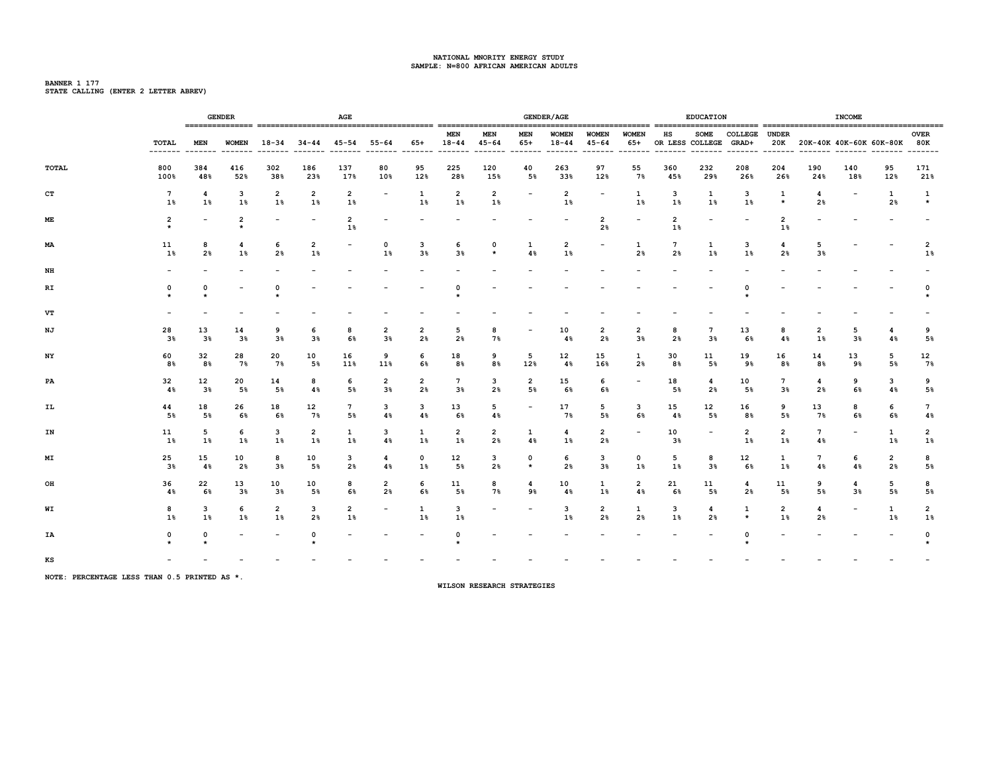**BANNER 1 177 STATE CALLING (ENTER 2 LETTER ABREV)**

|              |                       |                      | <b>GENDER</b>             |                          |                          | AGE                      |                          |                      |                         |                          |                          | <b>GENDER/AGE</b>         |                                  |                                  |                             | <b>EDUCATION</b>         |                          |                      |                       | <b>INCOME</b>                   |                     |                       |
|--------------|-----------------------|----------------------|---------------------------|--------------------------|--------------------------|--------------------------|--------------------------|----------------------|-------------------------|--------------------------|--------------------------|---------------------------|----------------------------------|----------------------------------|-----------------------------|--------------------------|--------------------------|----------------------|-----------------------|---------------------------------|---------------------|-----------------------|
|              | TOTAL                 | MEN                  | ------- ------- -------   | $WOMEN$ 18-34            |                          | $34 - 44$ $45 - 54$      | 55-64                    | 65+                  | <b>MEN</b><br>18-44     | <b>MEN</b><br>45-64      | MEN<br>65+               | <b>WOMEN</b><br>$18 - 44$ | <b>WOMEN</b><br>45-64            | <b>WOMEN</b><br>65+              | нs<br>OR LESS COLLEGE GRAD+ | <b>SOME</b>              | COLLEGE UNDER            |                      |                       | 20K 20K-40K 40K-60K 60K-80K 80K |                     | <b>OVER</b>           |
| <b>TOTAL</b> | 800<br>100%           | 384<br>48%           | 416<br>52%                | 302<br>38%               | 186<br>23%               | 137<br>17%               | 80<br>10%                | 95<br>12%            | 225<br>28%              | 120<br>15%               | 40<br>5%                 | 263<br>33%                | 97<br>12%                        | 55<br>7%                         | 360<br>45%                  | 232<br>29%               | 208<br>26%               | 204<br>26%           | 190<br>24%            | 140<br>18%                      | 95<br>12%           | 171<br>21%            |
| CT           | $7\phantom{.0}$<br>18 | 4<br>$1\%$           | 3<br>$1\%$                | 2<br>$1\%$               | $\overline{2}$<br>$1\%$  | 2<br>18                  | $\overline{\phantom{a}}$ | 1<br>1%              | $\overline{2}$<br>$1\%$ | 2<br>$1\%$               | $\overline{\phantom{a}}$ | 2<br>1%                   | $\overline{\phantom{a}}$         | 1<br>$1\%$                       | 3<br>1%                     | 1<br>1%                  | 3<br>1%                  | 1<br>$\star$         | 4<br>2 <sup>8</sup>   | $\overline{\phantom{0}}$        | 1<br>2 <sup>8</sup> | 1<br>$\star$          |
| МE           | 2<br>$\star$          |                      | $\overline{2}$<br>$\star$ | $\overline{\phantom{a}}$ | $\overline{\phantom{a}}$ | $\overline{2}$<br>$1\%$  |                          |                      |                         |                          |                          | $\overline{\phantom{a}}$  | $\overline{2}$<br>2 <sup>8</sup> | $\overline{\phantom{0}}$         | 2<br>1%                     |                          | $\overline{\phantom{0}}$ | 2<br>1%              |                       |                                 |                     |                       |
| ΜA           | 11<br>$1\%$           | 8<br>2 <sub>8</sub>  | 4<br>$1\%$                | 6<br>2%                  | 2<br>1%                  | $\overline{\phantom{a}}$ | 0<br>$1\%$               | 3<br>3 <sup>8</sup>  | 6<br>3 <sup>8</sup>     | $\mathbf{o}$<br>$\star$  | $\mathbf{1}$<br>4%       | 2<br>1%                   | $\overline{\phantom{a}}$         | 1<br>2%                          | 7<br>2%                     | 1<br>1%                  | 3<br>1%                  | 4<br>2%              | 5<br>3 <sup>8</sup>   |                                 |                     | 2<br>1%               |
| NH           |                       |                      |                           |                          |                          |                          |                          |                      |                         |                          |                          |                           |                                  |                                  |                             |                          |                          |                      |                       |                                 |                     |                       |
| RI           | 0                     | 0                    |                           | $\Omega$                 |                          |                          |                          |                      | $\Omega$                |                          |                          |                           |                                  |                                  |                             |                          | $\Omega$                 |                      |                       |                                 |                     | 0                     |
| VT           |                       |                      |                           |                          |                          |                          |                          |                      |                         |                          |                          |                           |                                  |                                  |                             |                          |                          |                      |                       |                                 |                     |                       |
| NJ           | 28<br>3 <sup>8</sup>  | 13<br>3 <sup>8</sup> | 14<br>$3\%$               | 9<br>$3\%$               | 6<br>$3\%$               | 8<br>6%                  | $\overline{2}$<br>$3\%$  | $\overline{2}$<br>2% | 5<br>2%                 | 8<br>7%                  | $\overline{\phantom{a}}$ | 10<br>4%                  | $\overline{2}$<br>2 <sup>8</sup> | $\overline{2}$<br>3 <sup>8</sup> | 8<br>2%                     | 7<br>3%                  | 13<br>6%                 | 8<br>4%              | $\overline{2}$<br>1%  | 5<br>3 <sup>8</sup>             | 4<br>4%             | 9<br>5%               |
| NY           | 60<br>8%              | 32<br>8%             | 28<br>7%                  | 20<br>7%                 | 10<br>5%                 | 16<br>11%                | 9<br>11%                 | 6<br>6%              | 18<br>8%                | 9<br>8%                  | 5<br>12%                 | 12<br>4%                  | 15<br>16%                        | 1<br>2%                          | 30<br>8%                    | 11<br>5%                 | 19<br>9%                 | 16<br>8%             | 14<br>8%              | 13<br>9%                        | 5<br>5%             | 12<br>7%              |
| PA           | 32<br>4%              | 12<br>3 <sup>8</sup> | 20<br>5%                  | 14<br>5%                 | 8<br>4%                  | 6<br>5%                  | 2<br>3 <sup>8</sup>      | 2<br>2%              | $7\phantom{.0}$<br>3%   | 3<br>2%                  | 2<br>5%                  | 15<br>6%                  | 6<br>6%                          | $\overline{\phantom{a}}$         | 18<br>5%                    | 4<br>2%                  | 10<br>5%                 | 7<br>3 <sup>8</sup>  | 4<br>2%               | 9<br>6%                         | 3<br>4%             | 9<br>5%               |
| IL           | 44<br>5%              | 18<br>5 <sup>8</sup> | 26<br>6%                  | 18<br>6%                 | 12<br>7%                 | 7<br>5%                  | 3<br>4%                  | 3<br>4%              | 13<br>6%                | 5<br>4%                  | $\overline{\phantom{a}}$ | 17<br>7%                  | 5<br>5%                          | 3<br>6%                          | 15<br>4%                    | 12<br>5%                 | 16<br>8%                 | 9<br>5%              | 13<br>7%              | 8<br>6%                         | 6<br>6%             | $7\overline{ }$<br>4% |
| IN           | 11<br>1%              | 5<br>$1\%$           | 6<br>1%                   | 3<br>$1\%$               | $\overline{2}$<br>$1\%$  | 1<br>1%                  | 3<br>4%                  | 1<br>$1\%$           | 2<br>$1\%$              | 2<br>2%                  | 1<br>4%                  | 4<br>$1\%$                | $\overline{2}$<br>2%             | $\overline{\phantom{a}}$         | 10<br>3%                    | $\overline{\phantom{a}}$ | 2<br>1%                  | 2<br>1%              | $7\phantom{.0}$<br>4% | $\overline{\phantom{0}}$        | 1<br>1%             | $\overline{2}$<br>1%  |
| МI           | 25<br>38              | 15<br>48             | 10<br>2 <sub>8</sub>      | 8<br>3%                  | 10<br>5%                 | 3<br>2 <sub>8</sub>      | 4<br>4%                  | $\mathbf 0$<br>$1\%$ | 12<br>5%                | 3<br>2%                  | $^{\circ}$<br>$\star$    | 6<br>2 <sup>8</sup>       | 3<br>3 <sup>8</sup>              | 0<br>1%                          | 5<br>1%                     | 8<br>3%                  | 12<br>6%                 | 1<br>$1\%$           | 7<br>4%               | 6<br>4%                         | 2<br>2%             | 8<br>5%               |
| OH           | 36<br>4%              | 22<br>6%             | 13<br>$3\%$               | 10<br>$3\%$              | 10<br>5%                 | 8<br>6%                  | 2<br>2%                  | 6<br>6%              | 11<br>5%                | 8<br>7%                  | 4<br>9%                  | 10<br>4%                  | 1<br>$1\%$                       | 2<br>4%                          | 21<br>6%                    | 11<br>5%                 | 4<br>2 <sub>8</sub>      | 11<br>5%             | 9<br>5%               | 4<br>$3\%$                      | 5<br>5%             | 8<br>5%               |
| WI           | 8<br>$1\%$            | 3<br>$1\%$           | 6<br>$1\%$                | $\overline{2}$<br>$1\%$  | 3<br>2%                  | $\overline{2}$<br>$1\%$  | $\overline{\phantom{a}}$ | 1<br>$1\%$           | 3<br>$1\%$              | $\overline{\phantom{a}}$ | $\overline{\phantom{a}}$ | 3<br>$1\%$                | $\overline{2}$<br>2%             | 1<br>2%                          | з<br>$1\%$                  | 4<br>2%                  | 1<br>$\star$             | $\overline{2}$<br>1% | 4<br>2%               | $\qquad \qquad$                 | 1<br>$1\%$          | 2<br>$1\%$            |
| ΙA           | 0                     | 0                    |                           |                          | $\Omega$                 |                          |                          |                      | 0<br>$\star$            |                          |                          |                           |                                  |                                  |                             |                          | $\Omega$                 |                      |                       |                                 |                     | $\Omega$              |
| КS           |                       |                      |                           |                          |                          |                          |                          |                      |                         |                          |                          |                           |                                  |                                  |                             |                          |                          |                      |                       |                                 |                     |                       |

**NOTE: PERCENTAGE LESS THAN 0.5 PRINTED AS \*.**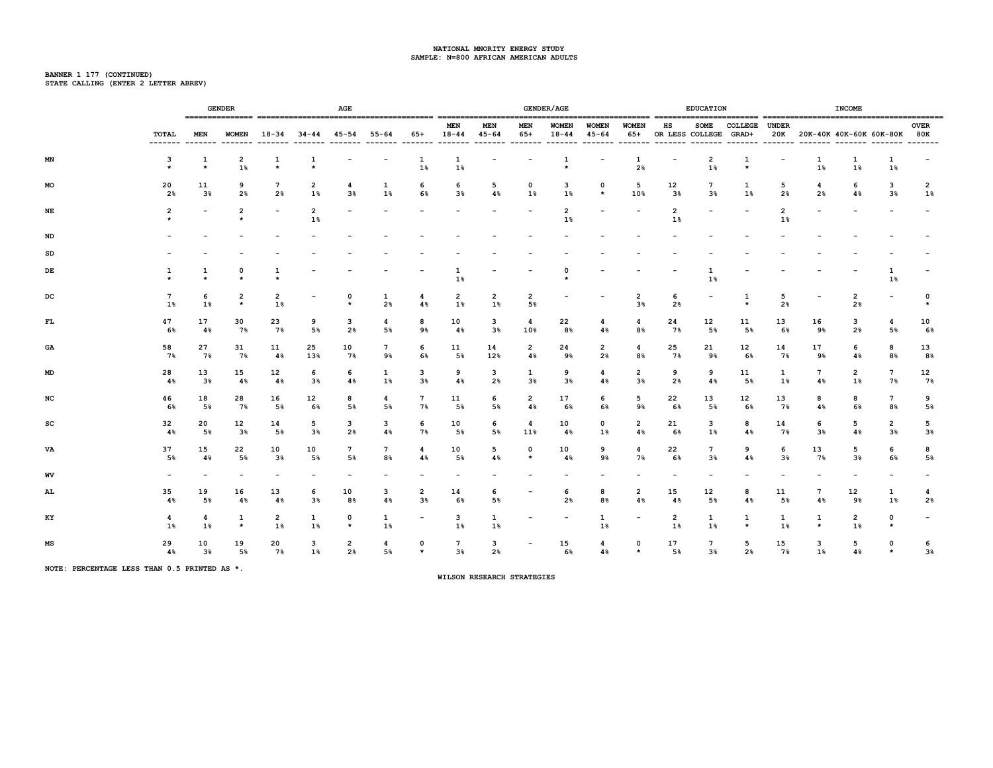# **BANNER 1 177 (CONTINUED) STATE CALLING (ENTER 2 LETTER ABREV)**

|     |                          | <b>GENDER</b>        |                           |                          |                          | AGE                      |                                         |                          |                       |                          |                          | <b>GENDER/AGE</b>         |                           |                          |                                 | <b>EDUCATION</b>         |                    |                          |                          | <b>INCOME</b>                    |                                   |                          |
|-----|--------------------------|----------------------|---------------------------|--------------------------|--------------------------|--------------------------|-----------------------------------------|--------------------------|-----------------------|--------------------------|--------------------------|---------------------------|---------------------------|--------------------------|---------------------------------|--------------------------|--------------------|--------------------------|--------------------------|----------------------------------|-----------------------------------|--------------------------|
|     | TOTAL                    | MEN                  |                           |                          |                          |                          | WOMEN 18-34 34-44 45-54 55-64 65+ 18-44 |                          | MEN                   | MEN<br>$45 - 64$         | MEN<br>65+               | <b>WOMEN</b><br>$18 - 44$ | <b>WOMEN</b><br>$45 - 64$ | <b>WOMEN</b>             | HS<br>65+ OR LESS COLLEGE GRAD+ |                          | SOME COLLEGE UNDER |                          |                          | 20K 20K-40K 40K-60K 60K-80K 80K  |                                   | <b>OVER</b>              |
| ΜN  | з<br>$\star$             | 1<br>$\star$         | 2<br>1%                   | 1<br>$\star$             | 1<br>$\star$             | $\overline{\phantom{a}}$ | $\overline{\phantom{a}}$                | 1<br>$1\%$               | $\mathbf{1}$<br>$1\%$ | $\overline{\phantom{a}}$ | $\overline{\phantom{a}}$ | 1<br>$\star$              | $\overline{\phantom{a}}$  | $\mathbf{1}$<br>2%       | $\overline{\phantom{a}}$        | 2<br>1%                  | 1<br>$\star$       | $\overline{\phantom{a}}$ | 1<br>$1\%$               | 1<br>$1\%$                       | 1<br>$1\%$                        | $\overline{\phantom{a}}$ |
| MO  | 20<br>2 <sub>8</sub>     | 11<br>$3\%$          | 9<br>2%                   | 7<br>2 <sup>8</sup>      | 2<br>$1\%$               | 4<br>3%                  | $\mathbf{1}$<br>1%                      | 6<br>6%                  | 6<br>3 <sup>8</sup>   | 5<br>4%                  | 0<br>1%                  | 3<br>1%                   | 0<br>$\star$              | 5<br>10%                 | 12<br>3%                        | 7<br>3 <sup>8</sup>      | 1<br>$1\%$         | 5<br>2%                  | 4<br>2 <sub>8</sub>      | 6<br>4%                          | 3<br>3 <sup>8</sup>               | 2<br>1%                  |
| NE  | 2                        |                      | 2<br>$\star$              | $\overline{\phantom{a}}$ | 2<br>1%                  |                          |                                         |                          |                       |                          |                          | 2<br>$1\%$                |                           |                          | $\overline{2}$<br>$1\%$         |                          |                    | 2<br>$1\%$               |                          |                                  |                                   |                          |
| ND  |                          |                      |                           |                          |                          |                          |                                         |                          |                       |                          |                          |                           |                           |                          |                                 |                          |                    |                          |                          |                                  |                                   |                          |
| SD  |                          |                      |                           |                          |                          |                          |                                         |                          |                       |                          |                          |                           |                           |                          |                                 |                          |                    |                          |                          |                                  |                                   |                          |
| DE  |                          | 1<br>$\star$         | 0<br>$\star$              | 1<br>$\star$             |                          |                          |                                         |                          | 1<br>1%               |                          |                          | 0<br>$\star$              |                           |                          |                                 | 1<br>1%                  |                    |                          |                          |                                  | 1<br>1%                           |                          |
| DC  | 7<br>$1\%$               | 6<br>$1\%$           | $\overline{2}$<br>$\star$ | 2<br>$1\%$               | $\overline{\phantom{a}}$ | $\Omega$<br>$\star$      | 1<br>2 <sub>8</sub>                     | 4<br>4%                  | 2<br>$1\%$            | 2<br>$1\%$               | 2<br>5%                  | $\overline{\phantom{a}}$  | $\overline{\phantom{a}}$  | 2<br>3%                  | 6<br>2 <sub>8</sub>             | $\overline{\phantom{a}}$ | 1<br>$\star$       | 5<br>2%                  | $\overline{\phantom{0}}$ | $\overline{2}$<br>2 <sub>8</sub> | $\overline{\phantom{a}}$          | 0<br>$\star$             |
| FL. | 47<br>6%                 | 17<br>$4\%$          | 30<br>7%                  | 23<br>7%                 | 9<br>5%                  | 3<br>2 <sub>8</sub>      | 4<br>5%                                 | 8<br>9%                  | 10<br>4%              | 3<br>$3\%$               | 4<br>10%                 | 22<br>8%                  | 4<br>4%                   | 4<br>8%                  | 24<br>7%                        | 12<br>5%                 | 11<br>5%           | 13<br>6%                 | 16<br>9%                 | 3<br>2 <sub>8</sub>              | 4<br>5%                           | 10<br>6%                 |
| GA  | 58<br>7%                 | 27<br>7%             | 31<br>7%                  | 11<br>4%                 | 25<br>13%                | 10<br>7%                 | 7<br>9%                                 | 6<br>6%                  | 11<br>5%              | 14<br>12%                | $\overline{2}$<br>4%     | 24<br>9%                  | 2<br>2%                   | 4<br>8%                  | 25<br>7%                        | 21<br>9%                 | 12<br>6%           | 14<br>7%                 | 17<br>9%                 | 6<br>4%                          | 8<br>8%                           | 13<br>8%                 |
| MD  | 28<br>4%                 | 13<br>3 <sup>8</sup> | 15<br>$4\%$               | 12<br>4%                 | 6<br>3 <sup>8</sup>      | 6<br>4%                  | 1<br>$1\%$                              | з<br>3%                  | 9<br>4%               | 3<br>2%                  | 1<br>3 <sup>8</sup>      | 9<br>$3\%$                | 4<br>4%                   | 2<br>$3\%$               | 9<br>2%                         | 9<br>4%                  | 11<br>5%           | $\mathbf{1}$<br>$1\%$    | 7<br>4%                  | 2<br>$1\%$                       | 7<br>7%                           | 12<br>7%                 |
| NC  | 46<br>6%                 | 18<br>5%             | 28<br>7%                  | 16<br>5%                 | 12<br>6%                 | 8<br>5%                  | 4<br>5%                                 | $7\phantom{.0}$<br>7%    | 11<br>5%              | 6<br>5%                  | $\mathbf{2}$<br>4%       | 17<br>6%                  | 6<br>6%                   | 5<br>9%                  | 22<br>6%                        | 13<br>5%                 | 12<br>6%           | 13<br>7%                 | 8<br>4%                  | 8<br>6%                          | $7\overline{ }$<br>8 <sup>°</sup> | 9<br>5%                  |
| sc  | 32<br>48                 | 20<br>5%             | 12<br>3 <sup>8</sup>      | 14<br>5%                 | 5<br>$3\%$               | 3<br>2%                  | 3<br>4%                                 | 6<br>7%                  | 10<br>5%              | 6<br>5%                  | 4<br>11%                 | 10<br>4%                  | $\mathbf{0}$<br>$1\%$     | 2<br>4%                  | 21<br>6%                        | 3<br>$1\%$               | 8<br>4%            | 14<br>7%                 | 6<br>3%                  | 5<br>4%                          | 2<br>$3\%$                        | 5<br>3%                  |
| VA  | 37<br>5%                 | 15<br>$4\%$          | 22<br>5%                  | 10<br>3%                 | 10<br>5%                 | 7<br>5%                  | 7<br>8%                                 | 4<br>4%                  | 10<br>5%              | 5<br>4%                  | $\Omega$<br>$\star$      | 10<br>$4\%$               | 9<br>9%                   | 4<br>7%                  | 22<br>6%                        | 7<br>3%                  | 9<br>4%            | 6<br>3%                  | 13<br>7%                 | 5<br>3%                          | 6<br>6%                           | 8<br>5%                  |
| WV  | $\overline{\phantom{0}}$ |                      |                           |                          |                          |                          |                                         |                          |                       |                          |                          |                           |                           |                          |                                 |                          |                    |                          |                          |                                  |                                   |                          |
| AL  | 35<br>4%                 | 19<br>5%             | 16<br>4%                  | 13<br>4%                 | 6<br>3%                  | 10<br>8%                 | 3<br>4%                                 | 2<br>3%                  | 14<br>6%              | 6<br>5%                  | $\overline{\phantom{a}}$ | 6<br>2%                   | 8<br>8%                   | 2<br>4%                  | 15<br>4%                        | 12<br>5%                 | 8<br>4%            | 11<br>5%                 | 7<br>4%                  | 12<br>9%                         | 1<br>1%                           | 4<br>2%                  |
| KY  | 4<br>1%                  | 4<br>1%              | 1<br>$\star$              | 2<br>1%                  | 1<br>1%                  | 0<br>$\star$             | 1<br>$1\%$                              | $\overline{\phantom{a}}$ | 3<br>1%               | 1<br>$1\%$               | $\overline{\phantom{a}}$ | $\overline{\phantom{a}}$  | 1<br>1%                   | $\overline{\phantom{a}}$ | 2<br>1%                         | 1<br>1%                  | 1<br>$\star$       | 1<br>1%                  | 1<br>$\star$             | $\overline{2}$<br>1%             | 0<br>$\star$                      | $\overline{\phantom{a}}$ |
| МS  | 29<br>4%                 | 10<br>3 <sup>8</sup> | 19<br>5%                  | 20<br>7%                 | з<br>$1\%$               | 2<br>2%                  | 4<br>5%                                 | 0<br>$\star$             | 7<br>$3\%$            | 3<br>2%                  | $\overline{\phantom{a}}$ | 15<br>6%                  | 4<br>4%                   | 0<br>$\star$             | 17<br>5%                        | 7<br>$3\%$               | 5<br>2%            | 15<br>7%                 | 3<br>$1\%$               | 5<br>4%                          | 0<br>$\star$                      | 6<br>3%                  |

**NOTE: PERCENTAGE LESS THAN 0.5 PRINTED AS \*.**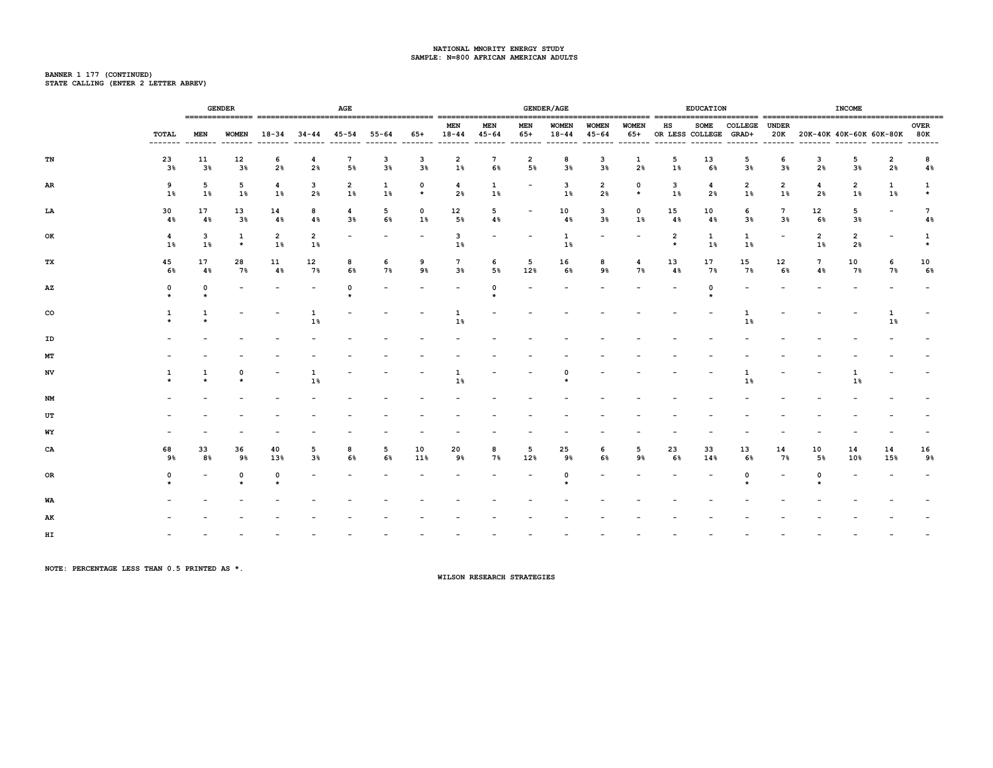# **BANNER 1 177 (CONTINUED) STATE CALLING (ENTER 2 LETTER ABREV)**

|    |             |              | <b>GENDER</b> |                      |                               | AGE                              |                          |                          |                               |                         |                          | <b>GENDER/AGE</b>         |                           |                          |                             | <b>EDUCATION</b>     |                          |                                   |                               | <b>INCOME</b>                   |                          |                                |
|----|-------------|--------------|---------------|----------------------|-------------------------------|----------------------------------|--------------------------|--------------------------|-------------------------------|-------------------------|--------------------------|---------------------------|---------------------------|--------------------------|-----------------------------|----------------------|--------------------------|-----------------------------------|-------------------------------|---------------------------------|--------------------------|--------------------------------|
|    | TOTAL       | <b>MEN</b>   |               |                      | WOMEN 18-34 34-44 45-54 55-64 |                                  |                          |                          | <b>MEN</b><br>65+ 18-44       | <b>MEN</b><br>$45 - 64$ | <b>MEN</b><br>65+        | <b>WOMEN</b><br>$18 - 44$ | <b>WOMEN</b><br>$45 - 64$ | <b>WOMEN</b><br>65+      | HS<br>OR LESS COLLEGE GRAD+ | <b>SOME</b>          | COLLEGE UNDER            |                                   |                               | 20K 20K-40K 40K-60K 60K-80K 80K |                          | <b>OVER</b><br>$- - - - - - -$ |
| TN | 23<br>$3\%$ | 11<br>$3\%$  | 12<br>3%      | 6<br>2%              | 4<br>2%                       | $7\phantom{.0}$<br>5%            | 3<br>3 <sup>8</sup>      | 3<br>3 <sup>8</sup>      | $\overline{2}$<br>$1\%$       | $7\phantom{.0}$<br>6%   | $\overline{2}$<br>5%     | 8<br>3 <sup>8</sup>       | 3<br>3%                   | 1<br>2%                  | 5<br>1%                     | 13<br>6%             | 5<br>3 <sup>8</sup>      | 6<br>3%                           | 3<br>2%                       | 5<br>3 <sup>8</sup>             | $\overline{2}$<br>2%     | 8<br>4%                        |
| AR | 9<br>1%     | 5<br>$1\%$   | 5<br>$1\%$    | 4<br>1%              | 3<br>2%                       | $\overline{\mathbf{2}}$<br>$1\%$ | 1<br>1%                  | 0<br>$\star$             | $\overline{\mathbf{4}}$<br>2% | 1<br>$1\%$              | $\overline{\phantom{a}}$ | 3<br>1%                   | $\overline{2}$<br>2%      | 0<br>$\star$             | 3<br>$1\%$                  | $\overline{4}$<br>2% | 2<br>1%                  | $\overline{2}$<br>1%              | $\overline{\mathbf{4}}$<br>2% | 2<br>$1\%$                      | $\mathbf{1}$<br>$1\%$    | 1<br>$\star$                   |
| LA | 30<br>4%    | 17<br>4%     | 13<br>$3\%$   | 14<br>4%             | 8<br>4%                       | 4<br>$3\%$                       | 5<br>6%                  | 0<br>$1\%$               | 12<br>5%                      | 5<br>4%                 | $\overline{\phantom{a}}$ | 10<br>4%                  | 3<br>$3\%$                | 0<br>$1\%$               | 15<br>4%                    | 10<br>4%             | 6<br>$3\%$               | $7\overline{ }$<br>3 <sup>8</sup> | 12<br>6%                      | 5<br>3%                         | $\overline{\phantom{a}}$ | $7\overline{ }$<br>4%          |
| ОK | 4<br>1%     | 3<br>$1\%$   | 1<br>$\star$  | $\overline{2}$<br>1% | $\overline{2}$<br>$1\%$       | $\overline{\phantom{a}}$         | $\overline{\phantom{a}}$ | $\overline{\phantom{a}}$ | 3<br>$1\%$                    |                         | $\overline{\phantom{a}}$ | $\mathbf{1}$<br>$1\%$     | $\overline{\phantom{a}}$  | $\overline{\phantom{a}}$ | $\overline{2}$<br>$\star$   | 1<br>$1\%$           | $\mathbf{1}$<br>$1\%$    | $\overline{\phantom{a}}$          | 2<br>$1\%$                    | 2<br>2%                         | $\overline{\phantom{a}}$ | 1<br>$\star$                   |
| ТX | 45<br>6%    | 17<br>4%     | 28<br>7%      | 11<br>4%             | 12<br>7%                      | 8<br>6%                          | 6<br>7%                  | 9<br>9%                  | $7\phantom{.0}$<br>3%         | 6<br>5%                 | 5<br>12%                 | 16<br>6%                  | 8<br>9%                   | 4<br>7%                  | 13<br>4%                    | 17<br>7%             | 15<br>7%                 | 12<br>6%                          | $7\phantom{.0}$<br>4%         | 10<br>7%                        | 6<br>7%                  | 10<br>6%                       |
| AZ | 0           | 0<br>$\star$ |               |                      | $\overline{\phantom{a}}$      | 0                                |                          |                          | $\overline{\phantom{a}}$      | $\Omega$                |                          |                           |                           |                          |                             | $\Omega$             | $\overline{\phantom{0}}$ |                                   |                               |                                 |                          |                                |
| co |             |              |               |                      | 1<br>$1\%$                    |                                  |                          |                          | 1<br>$1\%$                    |                         |                          |                           |                           |                          |                             |                      | 1<br>$1\%$               |                                   |                               |                                 | 1<br>$1\%$               |                                |
| ID |             |              |               |                      |                               |                                  |                          |                          |                               |                         |                          |                           |                           |                          |                             |                      |                          |                                   |                               |                                 |                          |                                |
| MТ |             |              |               |                      |                               |                                  |                          |                          |                               |                         |                          |                           |                           |                          |                             |                      |                          |                                   |                               |                                 |                          |                                |
| NV | ı           | 1            | 0             |                      | 1<br>1%                       |                                  |                          |                          | 1<br>1%                       |                         |                          | 0                         |                           |                          |                             |                      | 1<br>1%                  |                                   |                               | 1<br>$1\%$                      |                          |                                |
| NM |             |              |               |                      |                               |                                  |                          |                          |                               |                         |                          |                           |                           |                          |                             |                      |                          |                                   |                               |                                 |                          |                                |
| UT |             |              |               |                      |                               |                                  |                          |                          |                               |                         |                          |                           |                           |                          |                             |                      |                          |                                   |                               |                                 |                          |                                |
| WY |             |              |               |                      |                               |                                  |                          |                          |                               |                         |                          |                           |                           |                          |                             |                      |                          |                                   |                               |                                 |                          |                                |
| CA | 68<br>9%    | 33<br>8%     | 36<br>9%      | 40<br>13%            | 5<br>3%                       | 8<br>6%                          | 5<br>6%                  | 10<br>11%                | 20<br>9%                      | 8<br>7%                 | 5<br>12%                 | 25<br>9%                  | 6<br>6%                   | 5<br>9%                  | 23<br>6%                    | 33<br>14%            | 13<br>6%                 | 14<br>7%                          | 10<br>5%                      | 14<br>10%                       | 14<br>15%                | 16<br>9%                       |
| OR | 0           |              | 0             | 0                    |                               |                                  |                          |                          |                               |                         |                          | 0                         |                           |                          |                             |                      | 0                        |                                   | $\Omega$                      |                                 |                          |                                |
| WA |             |              |               |                      |                               |                                  |                          |                          |                               |                         |                          |                           |                           |                          |                             |                      |                          |                                   |                               |                                 |                          |                                |
| AK |             |              |               |                      |                               |                                  |                          |                          |                               |                         |                          |                           |                           |                          |                             |                      |                          |                                   |                               |                                 |                          |                                |
| HI |             |              |               |                      |                               |                                  |                          |                          |                               |                         |                          |                           |                           |                          |                             |                      |                          |                                   |                               |                                 |                          |                                |

**NOTE: PERCENTAGE LESS THAN 0.5 PRINTED AS \*.**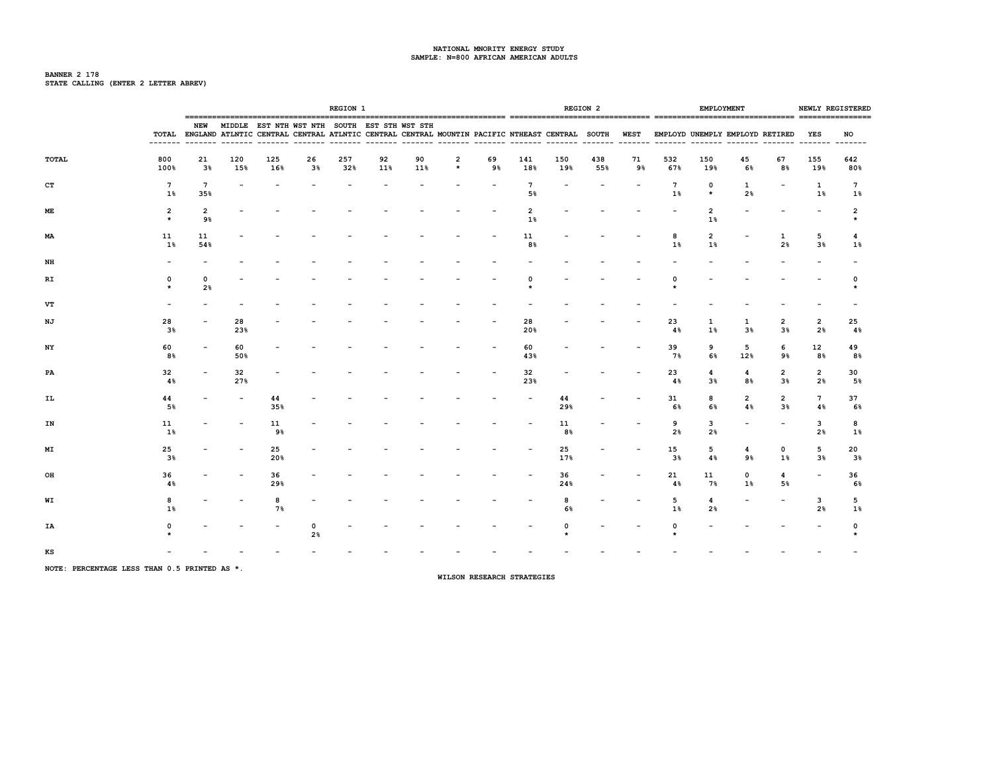# **BANNER 2 178 STATE CALLING (ENTER 2 LETTER ABREV)**

|       |                           |                        |            |            |                                                                                                                                                                                          | <b>REGION 1</b> |           |           |              |          |                       |            | <b>REGION 2</b> |          |            | <b>EMPLOYMENT</b>                |                               |                                  |                          | NEWLY REGISTERED        |
|-------|---------------------------|------------------------|------------|------------|------------------------------------------------------------------------------------------------------------------------------------------------------------------------------------------|-----------------|-----------|-----------|--------------|----------|-----------------------|------------|-----------------|----------|------------|----------------------------------|-------------------------------|----------------------------------|--------------------------|-------------------------|
|       | -------                   | NEW                    |            |            | MIDDLE EST NTH WST NTH SOUTH EST STH WST STH<br>TOTAL ENGLAND ATLNTIC CENTRAL CENTRAL ATLNTIC CENTRAL CENTRAL MOUNTIN PACIFIC NTHEAST CENTRAL SOUTH WEST EMPLOYD UNEMPLY EMPLOYD RETIRED |                 |           |           |              |          |                       |            |                 |          |            |                                  |                               |                                  | YES<br>$- - - - - - -$   | NO<br>$- - - - -$       |
| TOTAL | 800<br>100%               | 21<br>$3\%$            | 120<br>15% | 125<br>16% | 26<br>$3\%$                                                                                                                                                                              | 257<br>32%      | 92<br>11% | 90<br>11% | 2<br>$\star$ | 69<br>9% | 141<br>18%            | 150<br>19% | 438<br>55%      | 71<br>9% | 532<br>67% | 150<br>19%                       | 45<br>6%                      | 67<br>8%                         | 155<br>19%               | 642<br>80%              |
| CT    | 7<br>1%                   | $7\overline{ }$<br>35% |            |            |                                                                                                                                                                                          |                 |           |           |              |          | $7\phantom{.0}$<br>5% |            |                 |          | 7<br>1%    | 0<br>$\star$                     | 1<br>2%                       |                                  | 1<br>1%                  | $7\phantom{.0}$<br>1%   |
| ME    | $\overline{2}$<br>$\star$ | $\overline{2}$<br>9%   |            |            |                                                                                                                                                                                          |                 |           |           |              |          | 2<br>$1\%$            |            |                 |          |            | 2<br>$1\%$                       |                               |                                  |                          | $\overline{\mathbf{2}}$ |
| MA    | 11<br>$1\%$               | 11<br>54%              |            |            |                                                                                                                                                                                          |                 |           |           |              |          | 11<br>8%              |            |                 |          | 8<br>$1\%$ | $\overline{2}$<br>$1\%$          |                               | 1<br>2%                          | 5<br>3 <sup>8</sup>      | 4<br>$1\%$              |
| NH    |                           |                        |            |            |                                                                                                                                                                                          |                 |           |           |              |          |                       |            |                 |          |            |                                  |                               |                                  |                          |                         |
| RI    | 0<br>$\star$              | 0<br>2%                |            |            |                                                                                                                                                                                          |                 |           |           |              |          |                       |            |                 |          |            |                                  |                               |                                  |                          | 0                       |
| VT    |                           |                        |            |            |                                                                                                                                                                                          |                 |           |           |              |          |                       |            |                 |          |            |                                  |                               |                                  |                          |                         |
| ΝJ    | 28<br>3%                  |                        | 28<br>23%  |            |                                                                                                                                                                                          |                 |           |           |              |          | 28<br>20%             |            |                 |          | 23<br>4%   | 1<br>1%                          | 1<br>3%                       | $\overline{2}$<br>3 <sup>8</sup> | 2<br>2%                  | 25<br>4%                |
| NY    | 60<br>8%                  |                        | 60<br>50%  |            |                                                                                                                                                                                          |                 |           |           |              |          | 60<br>43%             |            |                 |          | 39<br>7%   | 9<br>6%                          | 5<br>12%                      | 6<br>9%                          | 12<br>8%                 | 49<br>8%                |
| PA    | 32<br>4%                  |                        | 32<br>27%  |            |                                                                                                                                                                                          |                 |           |           |              |          | 32<br>23%             |            |                 |          | 23<br>4%   | $\overline{4}$<br>3 <sup>8</sup> | 4<br>8%                       | $\overline{2}$<br>3 <sup>8</sup> | $\overline{2}$<br>2%     | 30<br>5%                |
| IL    | 44<br>5%                  |                        |            | 44<br>35%  |                                                                                                                                                                                          |                 |           |           |              |          |                       | 44<br>29%  |                 |          | 31<br>6%   | 8<br>6%                          | $\overline{\mathbf{2}}$<br>4% | $\overline{2}$<br>3 <sup>8</sup> | $7\overline{ }$<br>4%    | 37<br>6%                |
| IN    | 11<br>$1\%$               |                        |            | 11<br>9%   |                                                                                                                                                                                          |                 |           |           |              |          |                       | 11<br>8%   |                 |          | 9<br>2%    | 3<br>2 <sub>8</sub>              |                               |                                  | 3<br>2%                  | 8<br>1%                 |
| MΙ    | 25<br>$3\%$               |                        |            | 25<br>20%  |                                                                                                                                                                                          |                 |           |           |              |          |                       | 25<br>17%  |                 |          | 15<br>3%   | 5<br>4%                          | 4<br>9%                       | $\mathbf{o}$<br>$1\%$            | 5<br>3%                  | 20<br>$3\%$             |
| OH    | 36<br>4%                  |                        |            | 36<br>29%  |                                                                                                                                                                                          |                 |           |           |              |          |                       | 36<br>24%  |                 |          | 21<br>4%   | 11<br>7%                         | 0<br>1%                       | 4<br>5%                          | $\overline{\phantom{a}}$ | 36<br>6%                |
| WI    | 8<br>$1\%$                |                        |            | 8<br>7%    |                                                                                                                                                                                          |                 |           |           |              |          |                       | 8<br>6%    |                 |          | 5<br>1%    | 4<br>2 <sub>8</sub>              |                               |                                  | 3<br>2%                  | 5<br>1%                 |
| IA    |                           |                        |            |            | $\mathbf 0$<br>2%                                                                                                                                                                        |                 |           |           |              |          |                       |            |                 |          |            |                                  |                               |                                  |                          | 0                       |
| KS    |                           |                        |            |            |                                                                                                                                                                                          |                 |           |           |              |          |                       |            |                 |          |            |                                  |                               |                                  |                          |                         |

**NOTE: PERCENTAGE LESS THAN 0.5 PRINTED AS \*.**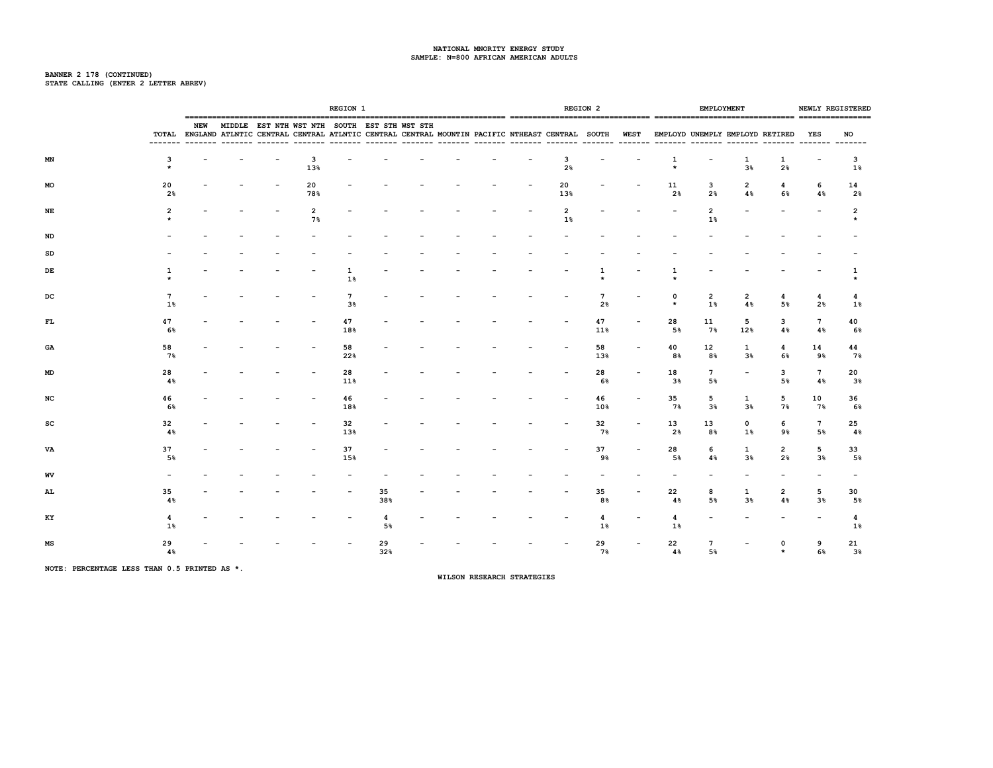# **BANNER 2 178 (CONTINUED) STATE CALLING (ENTER 2 LETTER ABREV)**

|    |                      |     |  |                                              | <b>REGION 1</b>       |           |  |  |                         | <b>REGION 2</b> |                                                                                                                                          | <b>EMPLOYMENT</b>     |                                |                     |          | NEWLY REGISTERED                 |
|----|----------------------|-----|--|----------------------------------------------|-----------------------|-----------|--|--|-------------------------|-----------------|------------------------------------------------------------------------------------------------------------------------------------------|-----------------------|--------------------------------|---------------------|----------|----------------------------------|
|    |                      | NEW |  | MIDDLE EST NTH WST NTH SOUTH EST STH WST STH |                       |           |  |  |                         |                 | TOTAL ENGLAND ATLNTIC CENTRAL CENTRAL ATLNTIC CENTRAL CENTRAL MOUNTIN PACIFIC NTHEAST CENTRAL SOUTH WEST EMPLOYD UNEMPLY EMPLOYD RETIRED |                       |                                |                     | YES      | NO                               |
| ΜN | 3                    |     |  | 3<br>13%                                     |                       |           |  |  | 3<br>2%                 |                 | 1<br>$\star$                                                                                                                             |                       | 1<br>3 <sup>8</sup>            | 1<br>2%             |          | 3<br>$1\%$                       |
| MO | 20<br>2 <sub>8</sub> |     |  | 20<br>78%                                    |                       |           |  |  | 20<br>13%               |                 | 11<br>2 <sup>8</sup>                                                                                                                     | 3<br>2%               | 2<br>4%                        | 4<br>6%             | 6<br>4%  | 14<br>2%                         |
| NE | $\overline{2}$       |     |  | 2<br>7%                                      |                       |           |  |  | $\overline{2}$<br>$1\%$ |                 |                                                                                                                                          | 2<br>1%               |                                |                     |          | 2                                |
| ND |                      |     |  |                                              |                       |           |  |  |                         |                 |                                                                                                                                          |                       |                                |                     |          |                                  |
| SD |                      |     |  |                                              |                       |           |  |  |                         |                 |                                                                                                                                          |                       |                                |                     |          |                                  |
| DE |                      |     |  |                                              | 1<br>$1\%$            |           |  |  |                         |                 |                                                                                                                                          |                       |                                |                     |          | 1                                |
| DC | 7<br>$1\%$           |     |  |                                              | $7\phantom{.0}$<br>3% |           |  |  |                         | 7<br>2%         | 0<br>$\star$                                                                                                                             | 2<br>$1\%$            | 2<br>4%                        | 4<br>5%             | 4<br>2%  | 4<br>$1\%$                       |
| FL | 47<br>6%             |     |  |                                              | 47<br>18%             |           |  |  |                         | 47<br>11%       | 28<br>5%                                                                                                                                 | 11<br>7%              | 5<br>12%                       | 3<br>4%             | 7<br>4%  | 40<br>6%                         |
| GA | 58<br>$7\%$          |     |  |                                              | 58<br>22%             |           |  |  |                         | 58<br>13%       | 40<br>8%                                                                                                                                 | 12<br>8%              | $\mathbf{1}$<br>3 <sup>8</sup> | 4<br>6%             | 14<br>9% | 44<br>$7\%$                      |
| MD | 28<br>4%             |     |  |                                              | 28<br>11%             |           |  |  |                         | 28<br>6%        | 18<br>$3\%$                                                                                                                              | $7\phantom{.0}$<br>5% | $\overline{\phantom{a}}$       | 3<br>5%             | 7<br>4%  | 20<br>3 <sup>8</sup>             |
| NC | 46<br>6%             |     |  |                                              | 46<br>18%             |           |  |  |                         | 46<br>10%       | 35<br>7%                                                                                                                                 | 5<br>3 <sup>8</sup>   | 1<br>3%                        | 5<br>7%             | 10<br>7% | 36<br>6%                         |
| SC | 32<br>4%             |     |  |                                              | 32<br>13%             |           |  |  |                         | 32<br>7%        | 13<br>2%                                                                                                                                 | 13<br>8%              | 0<br>$1\%$                     | 6<br>9%             | 7<br>5%  | 25<br>4%                         |
| VA | 37<br>5%             |     |  |                                              | 37<br>15%             |           |  |  |                         | 37<br>9%        | 28<br>5%                                                                                                                                 | 6<br>4%               | 1<br>3 <sup>8</sup>            | 2<br>2 <sup>8</sup> | 5<br>3%  | 33<br>5%                         |
| WV |                      |     |  |                                              |                       |           |  |  |                         |                 |                                                                                                                                          |                       |                                |                     |          |                                  |
| AL | 35<br>4%             |     |  |                                              |                       | 35<br>38% |  |  |                         | 35<br>8%        | 22<br>4%                                                                                                                                 | 8<br>5%               | 1<br>3 <sup>8</sup>            | 2<br>4%             | 5<br>3%  | 30<br>5%                         |
| KY | 4<br>$1\%$           |     |  |                                              |                       | 4<br>5%   |  |  |                         | 4<br>$1\%$      | 4<br>$1\%$                                                                                                                               |                       |                                |                     |          | $\overline{\mathbf{4}}$<br>$1\%$ |
| MS | 29<br>4%             |     |  |                                              |                       | 29<br>32% |  |  |                         | 29<br>7%        | 22<br>4%                                                                                                                                 | $\overline{7}$<br>5%  |                                | $\Omega$            | 9<br>6%  | 21<br>$3\%$                      |

**NOTE: PERCENTAGE LESS THAN 0.5 PRINTED AS \*.**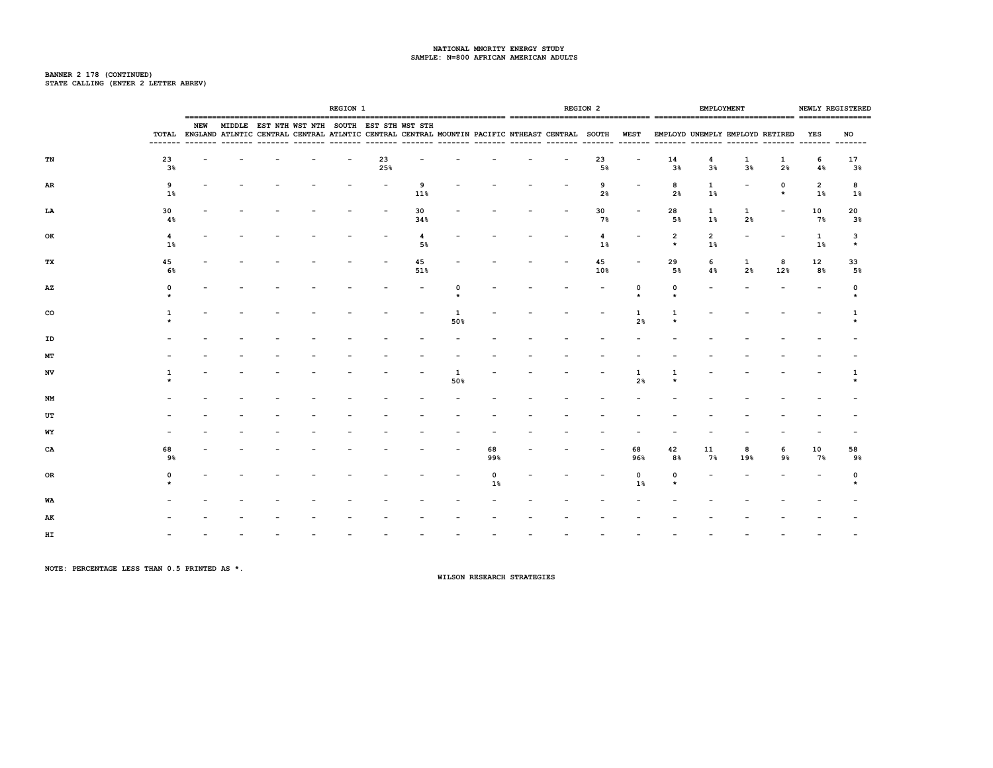# **BANNER 2 178 (CONTINUED) STATE CALLING (ENTER 2 LETTER ABREV)**

|    |                      |            |  |                                                                                                                                                          | <b>REGION 1</b> |           |                      |          |                |  | <b>REGION 2</b>     |                     |                           |                       | EMPLOYMENT                      |          |                         | NEWLY REGISTERED     |
|----|----------------------|------------|--|----------------------------------------------------------------------------------------------------------------------------------------------------------|-----------------|-----------|----------------------|----------|----------------|--|---------------------|---------------------|---------------------------|-----------------------|---------------------------------|----------|-------------------------|----------------------|
|    | --------             | <b>NEW</b> |  | MIDDLE EST NTH WST NTH SOUTH EST STH WST STH<br>TOTAL ENGLAND ATLNTIC CENTRAL CENTRAL ATLNTIC CENTRAL CENTRAL MOUNTIN PACIFIC NTHEAST CENTRAL SOUTH WEST |                 |           |                      |          |                |  |                     |                     |                           |                       | EMPLOYD UNEMPLY EMPLOYD RETIRED |          | YES<br>-------- ------- | NO                   |
| TN | 23<br>3%             |            |  |                                                                                                                                                          |                 | 23<br>25% |                      |          |                |  | 23<br>5%            |                     | 14<br>3%                  | 4<br>3%               | 1<br>3%                         | 1<br>2%  | 6<br>4%                 | 17<br>3 <sup>8</sup> |
| AR | 9<br>1%              |            |  |                                                                                                                                                          |                 |           | 9<br>11%             |          |                |  | 9<br>2 <sup>8</sup> |                     | 8<br>2 <sup>8</sup>       | $\mathbf{1}$<br>$1\%$ |                                 | 0        | $\overline{2}$<br>$1\%$ | 8<br>1%              |
| LA | 30<br>4%             |            |  |                                                                                                                                                          |                 |           | 30<br>34%            |          |                |  | 30<br>7%            |                     | 28<br>5%                  | $\mathbf{1}$<br>1%    | $\mathbf{1}$<br>2%              |          | 10<br>7%                | 20<br>3%             |
| OK | $\overline{4}$<br>1% |            |  |                                                                                                                                                          |                 |           | $\overline{4}$<br>5% |          |                |  | 4<br>1%             |                     | $\overline{2}$<br>$\star$ | $\overline{2}$<br>1%  |                                 |          | $\mathbf{1}$<br>$1\%$   | 3<br>$\star$         |
| тx | 45<br>6%             |            |  |                                                                                                                                                          |                 |           | 45<br>51%            |          |                |  | 45<br>10%           |                     | 29<br>5%                  | 6<br>4%               | 1<br>2%                         | 8<br>12% | 12<br>8%                | 33<br>5%             |
| AZ | $\Omega$             |            |  |                                                                                                                                                          |                 |           |                      | n        |                |  |                     | 0                   | 0                         |                       |                                 |          |                         | $\Omega$             |
| co |                      |            |  |                                                                                                                                                          |                 |           |                      | 1<br>50% |                |  |                     | 2 <sup>8</sup>      |                           |                       |                                 |          |                         |                      |
| ID |                      |            |  |                                                                                                                                                          |                 |           |                      |          |                |  |                     |                     |                           |                       |                                 |          |                         |                      |
| МT |                      |            |  |                                                                                                                                                          |                 |           |                      |          |                |  |                     |                     |                           |                       |                                 |          |                         |                      |
| NV |                      |            |  |                                                                                                                                                          |                 |           |                      | 1<br>50% |                |  |                     | 1<br>2 <sup>8</sup> |                           |                       |                                 |          |                         |                      |
| NM |                      |            |  |                                                                                                                                                          |                 |           |                      |          |                |  |                     |                     |                           |                       |                                 |          |                         |                      |
| UT |                      |            |  |                                                                                                                                                          |                 |           |                      |          |                |  |                     |                     |                           |                       |                                 |          |                         |                      |
| WY |                      |            |  |                                                                                                                                                          |                 |           |                      |          |                |  |                     |                     |                           |                       |                                 |          |                         |                      |
| CA | 68<br>9%             |            |  |                                                                                                                                                          |                 |           |                      |          | 68<br>99%      |  |                     | 68<br>96%           | 42<br>8%                  | 11<br>7%              | 8<br>19%                        | 6<br>9%  | 10<br>7%                | 58<br>9%             |
| OR | $\Omega$             |            |  |                                                                                                                                                          |                 |           |                      |          | $\Omega$<br>1% |  |                     | $\mathbf 0$<br>1%   | $\Omega$                  |                       |                                 |          |                         | $\Omega$             |
| WA |                      |            |  |                                                                                                                                                          |                 |           |                      |          |                |  |                     |                     |                           |                       |                                 |          |                         |                      |
| AK |                      |            |  |                                                                                                                                                          |                 |           |                      |          |                |  |                     |                     |                           |                       |                                 |          |                         |                      |
| HI |                      |            |  |                                                                                                                                                          |                 |           |                      |          |                |  |                     |                     |                           |                       |                                 |          |                         |                      |

**NOTE: PERCENTAGE LESS THAN 0.5 PRINTED AS \*.**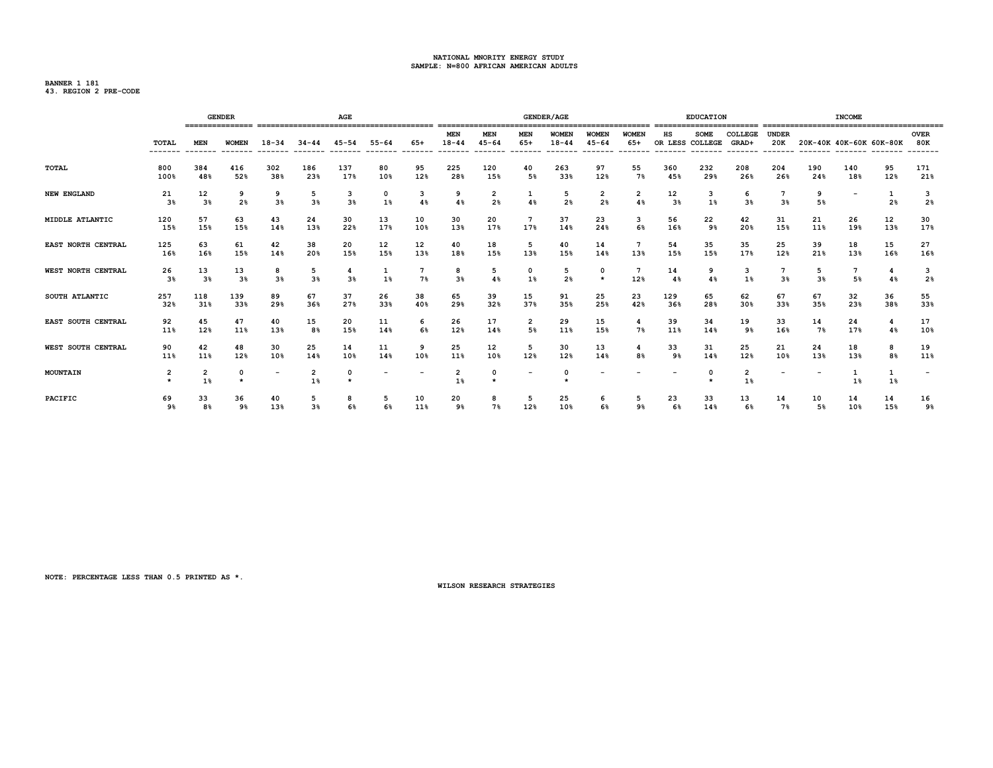**BANNER 1 181 43. REGION 2 PRE-CODE**

|                    |                                    |                                  | <b>GENDER</b>        |                          |                                  | <b>AGE</b>          |                          |                      |                         |                     |                               | <b>GENDER/AGE</b>   |                          |              |                       | <b>EDUCATION</b>    |                      |                          |                          | <b>INCOME</b> |                |                          |
|--------------------|------------------------------------|----------------------------------|----------------------|--------------------------|----------------------------------|---------------------|--------------------------|----------------------|-------------------------|---------------------|-------------------------------|---------------------|--------------------------|--------------|-----------------------|---------------------|----------------------|--------------------------|--------------------------|---------------|----------------|--------------------------|
|                    | TOTAL                              | <b>MEN</b>                       | <b>WOMEN</b>         | $18 - 34$                | $34 - 44$                        | $45 - 54$           | $55 - 64$                | $65+$                | <b>MEN</b><br>$18 - 44$ | MEN<br>$45 - 64$    | MEN<br>$65+$                  | WOMEN<br>$18 - 44$  | WOMEN<br>$45 - 64$       | WOMEN<br>65+ | нs<br>OR LESS COLLEGE | <b>SOME</b>         | COLLEGE<br>GRAD+     | <b>UNDER</b><br>20K      | 20K-40K 40K-60K 60K-80K  |               |                | <b>OVER</b><br>80K       |
| TOTAL              | 800<br>100%                        | 384<br>48%                       | 416<br>52%           | 302<br>38%               | 186<br>23%                       | 137<br>17%          | 80<br>10%                | 95<br>12%            | 225<br>28%              | 120<br>15%          | 40<br>5%                      | 263<br>33%          | 97<br>12%                | 55<br>7%     | 360<br>45%            | 232<br>29%          | 208<br>26%           | 204<br>26%               | 190<br>24%               | 140<br>18%    | 95<br>12%      | 171<br>21%               |
| NEW ENGLAND        | 21<br>3 <sup>8</sup>               | 12<br>3 <sup>8</sup>             | 9<br>2 <sub>8</sub>  | -9<br>3%                 | 5<br>3%                          | 3<br>3 <sup>8</sup> | 0<br>1%                  | 3<br>4%              | 9<br>4%                 | 2<br>2 <sup>8</sup> | 1<br>4%                       | 5<br>2 <sup>8</sup> | 2<br>2%                  | 2<br>$4\%$   | 12<br>$3\%$           | з<br>1%             | 6<br>3%              | 7<br>3%                  | 9<br>5%                  |               | 2 <sub>8</sub> | 3<br>2 <sub>8</sub>      |
| MIDDLE ATLANTIC    | 120<br>15%                         | 57<br>15%                        | 63<br>15%            | 43<br>14%                | 24<br>13%                        | 30<br>22%           | 13<br>17%                | 10<br>10%            | 30<br>13%               | 20<br>17%           | $7\phantom{.0}$<br>17%        | 37<br>14%           | 23<br>24%                | 3<br>6%      | 56<br>16%             | 22<br>9%            | 42<br>20%            | 31<br>15%                | 21<br>11%                | 26<br>19%     | 12<br>13%      | 30<br>17%                |
| EAST NORTH CENTRAL | 125<br>16%                         | 63<br>16%                        | 61<br>15%            | 42<br>14%                | 38<br>20%                        | 20<br>15%           | 12<br>15%                | 12<br>13%            | 40<br>18%               | 18<br>15%           | 5<br>13%                      | 40<br>15%           | 14<br>14%                | 13%          | 54<br>15%             | 35<br>15%           | 35<br>17%            | 25<br>12%                | 39<br>21%                | 18<br>13%     | 15<br>16%      | 27<br>16%                |
| WEST NORTH CENTRAL | 26<br>3%                           | 13<br>3 <sup>8</sup>             | 13<br>3 <sup>8</sup> | 8<br>3 <sup>8</sup>      | 5<br>3 <sup>8</sup>              | 3%                  | 1%                       | $7\phantom{1}$<br>7% | 8<br>3 <sup>8</sup>     | 5<br>4%             | 0<br>1%                       | 5<br>2 <sup>8</sup> | 0<br>$\star$             | 12%          | 14<br>4%              | 9<br>4%             | 3<br>1%              | 7<br>3%                  | 5<br>3 <sup>8</sup>      | 5%            | 4<br>4%        | 3<br>2 <sup>8</sup>      |
| SOUTH ATLANTIC     | 257<br>32%                         | 118<br>31%                       | 139<br>33%           | 89<br>29%                | 67<br>36%                        | 37<br>27%           | 26<br>33%                | 38<br>40%            | 65<br>29%               | 39<br>32%           | 15<br>37%                     | 91<br>35%           | 25<br>25%                | 23<br>42%    | 129<br>36%            | 65<br>28%           | 62<br>30%            | 67<br>33%                | 67<br>35%                | 32<br>23%     | 36<br>38%      | 55<br>33%                |
| EAST SOUTH CENTRAL | 92<br>11%                          | 45<br>12%                        | 47<br>11%            | 40<br>13%                | 15<br>8%                         | 20<br>15%           | 11<br>14%                | -6<br>6%             | 26<br>12%               | 17<br>14%           | $\overline{\mathbf{2}}$<br>5% | 29<br>11%           | 15<br>15%                | 4<br>7%      | 39<br>11%             | 34<br>14%           | 19<br>9%             | 33<br>16%                | 14<br>7%                 | 24<br>17%     | 4<br>4%        | 17<br>10%                |
| WEST SOUTH CENTRAL | 90<br>11%                          | 42<br>11%                        | 48<br>12%            | 30<br>10%                | 25<br>14%                        | 14<br>10%           | 11<br>14%                | 9<br>10%             | 25<br>11%               | 12<br>10%           | 5<br>12%                      | 30<br>12%           | 13<br>14%                | 8%           | 33<br>9%              | 31<br>14%           | 25<br>12%            | 21<br>10%                | 24<br>13%                | 18<br>13%     | 8<br>8%        | 19<br>11%                |
| MOUNTAIN           | $\overline{\mathbf{2}}$<br>$\star$ | $\overline{\mathbf{2}}$<br>$1\%$ | $\Omega$<br>$\star$  | $\overline{\phantom{0}}$ | $\overline{\mathbf{2}}$<br>$1\%$ |                     | $\overline{\phantom{0}}$ |                      | 2<br>1%                 | $\Omega$<br>$\star$ | $\overline{\phantom{a}}$      | 0<br>٠              | $\overline{\phantom{a}}$ |              |                       | $\Omega$<br>$\star$ | $\overline{2}$<br>1% | $\overline{\phantom{a}}$ | $\overline{\phantom{a}}$ | $1\%$         | 1%             | $\overline{\phantom{a}}$ |
| PACIFIC            | 69<br>9%                           | 33<br>8%                         | 36<br>9%             | 40<br>13%                | -5<br>3%                         | 6%                  | -5<br>6%                 | 10<br>11%            | 20<br>9%                | 8<br>7%             | 5<br>12%                      | 25<br>10%           | 6<br>6%                  | 9%           | 23<br>6%              | 33<br>14%           | 13<br>6%             | 14<br>7%                 | 10<br>5%                 | 14<br>10%     | 14<br>15%      | 16<br>9%                 |

**NOTE: PERCENTAGE LESS THAN 0.5 PRINTED AS \*.**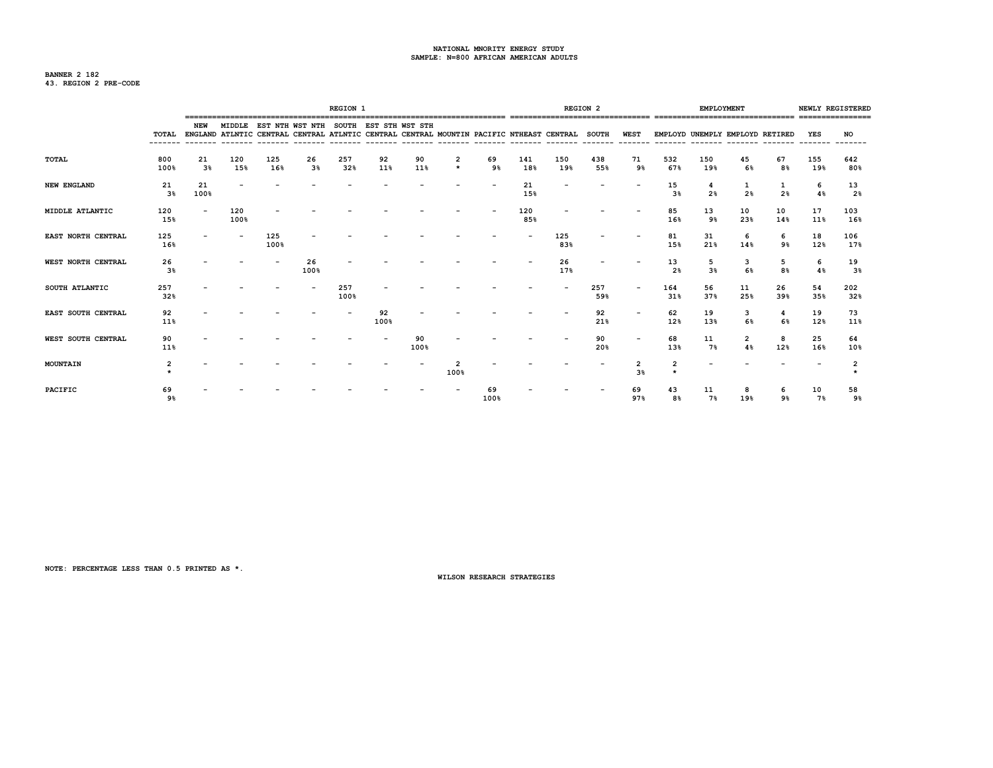# **BANNER 2 182 43. REGION 2 PRE-CODE**

|                           |                      |                      |             |             |                                                                                                                                                     | <b>REGION 1</b> |            |            |              |            |            |            | <b>REGION 2</b> |                  |                      | <b>EMPLOYMENT</b>   |                                 |                     |            | NEWLY REGISTERED     |
|---------------------------|----------------------|----------------------|-------------|-------------|-----------------------------------------------------------------------------------------------------------------------------------------------------|-----------------|------------|------------|--------------|------------|------------|------------|-----------------|------------------|----------------------|---------------------|---------------------------------|---------------------|------------|----------------------|
|                           |                      | NEW                  |             |             | MIDDLE EST NTH WST NTH SOUTH EST STH WST STH<br>TOTAL ENGLAND ATLNTIC CENTRAL CENTRAL ATLNTIC CENTRAL CENTRAL MOUNTIN PACIFIC NTHEAST CENTRAL SOUTH |                 |            |            |              |            | --------   | --------   | --------        | WEST<br>-------- | --------             |                     | EMPLOYD UNEMPLY EMPLOYD RETIRED |                     | YES        | NO.<br>-------       |
| <b>TOTAL</b>              | 800<br>100%          | 21<br>3 <sup>8</sup> | 120<br>15%  | 125<br>16%  | 26<br>3%                                                                                                                                            | 257<br>32%      | 92<br>11%  | 90<br>11%  | 2<br>$\star$ | 69<br>9%   | 141<br>18% | 150<br>19% | 438<br>55%      | 71<br>9%         | 532<br>67%           | 150<br>19%          | 45<br>6%                        | 67<br>8%            | 155<br>19% | 642<br>80%           |
| <b>NEW ENGLAND</b>        | 21<br>3%             | 21<br>100%           |             |             |                                                                                                                                                     |                 |            |            |              |            | 21<br>15%  |            |                 |                  | 15<br>3%             | 4<br>2 <sub>8</sub> | 1<br>2 <sup>8</sup>             | 2 <sup>8</sup>      | 6<br>4%    | 13<br>2 <sup>8</sup> |
| MIDDLE ATLANTIC           | 120<br>15%           |                      | 120<br>100% |             |                                                                                                                                                     |                 |            |            |              |            | 120<br>85% |            |                 |                  | 85<br>16%            | 13<br>9%            | 10<br>23%                       | 10<br>14%           | 17<br>11%  | 103<br>16%           |
| EAST NORTH CENTRAL        | 125<br>16%           |                      |             | 125<br>100% |                                                                                                                                                     |                 |            |            |              |            |            | 125<br>83% |                 |                  | 81<br>15%            | 31<br>21%           | 6<br>14%                        | 6<br>9%             | 18<br>12%  | 106<br>17%           |
| WEST NORTH CENTRAL        | 26<br>3 <sup>8</sup> |                      |             |             | 26<br>100%                                                                                                                                          |                 |            |            |              |            |            | 26<br>17%  |                 |                  | 13<br>2 <sup>8</sup> | 5<br>3 <sup>8</sup> | 3<br>6%                         | 5<br>8 <sup>°</sup> | 6<br>4%    | 19<br>3%             |
| SOUTH ATLANTIC            | 257<br>32%           |                      |             |             |                                                                                                                                                     | 257<br>100%     |            |            |              |            |            |            | 257<br>59%      |                  | 164<br>31%           | 56<br>37%           | 11<br>25%                       | 26<br>39%           | 54<br>35%  | 202<br>32%           |
| <b>EAST SOUTH CENTRAL</b> | 92<br>11%            |                      |             |             |                                                                                                                                                     |                 | 92<br>100% |            |              |            |            |            | 92<br>21%       |                  | 62<br>12%            | 19<br>13%           | 3<br>6%                         | 4<br>6%             | 19<br>12%  | 73<br>11%            |
| WEST SOUTH CENTRAL        | 90<br>11%            |                      |             |             |                                                                                                                                                     |                 |            | 90<br>100% |              |            |            |            | 90<br>20%       |                  | 68<br>13%            | 11<br>7%            | $\overline{2}$<br>4%            | 8<br>12%            | 25<br>16%  | 64<br>10%            |
| <b>MOUNTAIN</b>           | 2                    |                      |             |             |                                                                                                                                                     |                 |            |            | 100%         |            |            |            |                 | 3 <sup>8</sup>   |                      |                     |                                 |                     |            |                      |
| PACIFIC                   | 69<br>9%             |                      |             |             |                                                                                                                                                     |                 |            |            |              | 69<br>100% |            |            |                 | 69<br>97%        | 43<br>8%             | 11<br>$7\%$         | 8<br>19%                        | 9%                  | 10<br>7%   | 58<br>9%             |

**NOTE: PERCENTAGE LESS THAN 0.5 PRINTED AS \*.**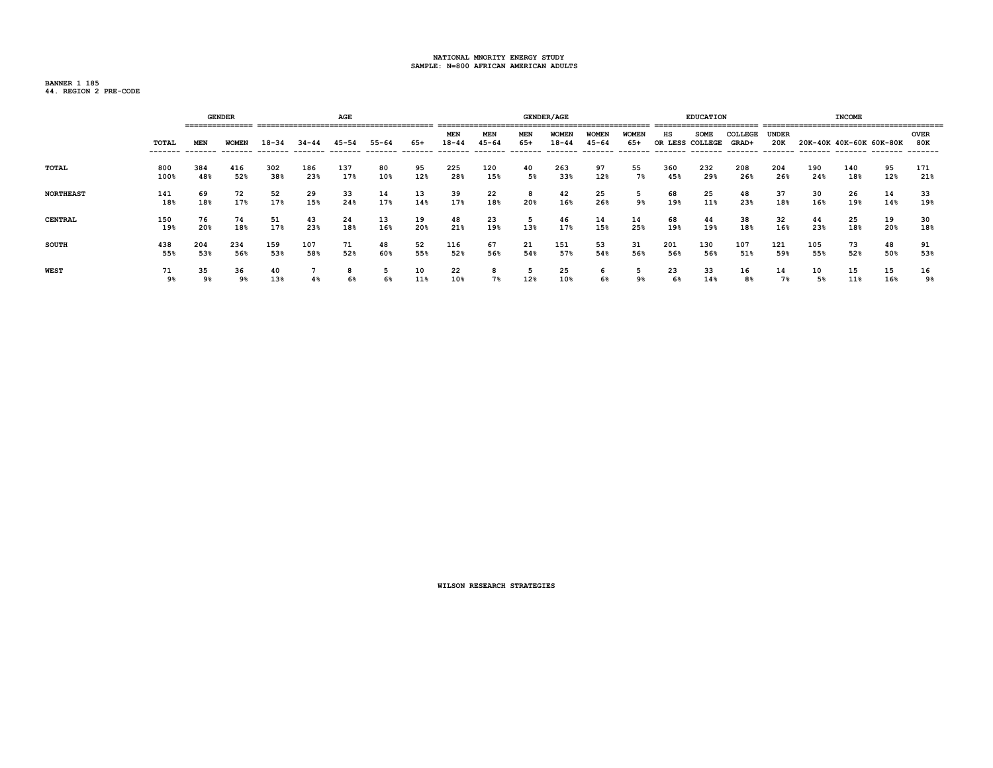**BANNER 1 185**

|  |  |  | 44. REGION 2 PRE-CODE |
|--|--|--|-----------------------|
|--|--|--|-----------------------|

|                  |             |            | <b>GENDER</b> |            |                | AGE        |           |           |                         |                         |            | <b>GENDER/AGE</b>         |                           |                     |            | <b>EDUCATION</b>               |                  |                     |            | <b>INCOME</b>           |           |                    |
|------------------|-------------|------------|---------------|------------|----------------|------------|-----------|-----------|-------------------------|-------------------------|------------|---------------------------|---------------------------|---------------------|------------|--------------------------------|------------------|---------------------|------------|-------------------------|-----------|--------------------|
|                  | TOTAL       | <b>MEN</b> | <b>WOMEN</b>  | $18 - 34$  | 34-44          | $45 - 54$  | $55 - 64$ | 65+       | <b>MEN</b><br>$18 - 44$ | <b>MEN</b><br>$45 - 64$ | MEN<br>65+ | <b>WOMEN</b><br>$18 - 44$ | <b>WOMEN</b><br>$45 - 64$ | <b>WOMEN</b><br>65+ | нs         | <b>SOME</b><br>OR LESS COLLEGE | COLLEGE<br>GRAD+ | <b>UNDER</b><br>20K |            | 20K-40K 40K-60K 60K-80K |           | <b>OVER</b><br>80K |
| TOTAL            | 800<br>100% | 384<br>48% | 416<br>52%    | 302<br>38% | 186<br>23%     | 137<br>17% | 80<br>10% | 95<br>12% | 225<br>28%              | 120<br>15%              | 40<br>5%   | 263<br>33%                | 97<br>12%                 | 55<br>$7\%$         | 360<br>45% | 232<br>29%                     | 208<br>26%       | 204<br>26%          | 190<br>24% | 140<br>18%              | 95<br>12% | 171<br>21%         |
| <b>NORTHEAST</b> | 141<br>18%  | 69<br>18%  | 72<br>17%     | 52<br>17%  | 29<br>15%      | 33<br>24%  | 14<br>17% | 13<br>14% | 39<br>17%               | 22<br>18%               | 8<br>20%   | 42<br>16%                 | 25<br>26%                 | 9%                  | 68<br>19%  | 25<br>11%                      | 48<br>23%        | 37<br>18%           | 30<br>16%  | 26<br>19%               | 14<br>14% | 33<br>19%          |
| <b>CENTRAL</b>   | 150<br>19%  | 76<br>20%  | 74<br>18%     | 51<br>17%  | 43<br>23%      | 24<br>18%  | 13<br>16% | 19<br>20% | 48<br>21%               | 23<br>19%               | -5<br>13%  | 46<br>17%                 | 14<br>15%                 | 14<br>25%           | 68<br>19%  | 44<br>19%                      | 38<br>18%        | 32<br>16%           | 44<br>23%  | 25<br>18%               | 19<br>20% | 30<br>18%          |
| <b>SOUTH</b>     | 438<br>55%  | 204<br>53% | 234<br>56%    | 159<br>53% | 107<br>58%     | 71<br>52%  | 48<br>60% | 52<br>55% | 116<br>52%              | 67<br>56%               | 21<br>54%  | 151<br>57%                | 53<br>54%                 | 31<br>56%           | 201<br>56% | 130<br>56%                     | 107<br>51%       | 121<br>59%          | 105<br>55% | 73<br>52%               | 48<br>50% | 91<br>53%          |
| <b>WEST</b>      | 71<br>9%    | 35<br>9%   | 36<br>9%      | 40<br>13%  | 4 <sup>8</sup> | 6%         | 5<br>6%   | 10<br>11% | 22<br>10%               | 7%                      | -5<br>12%  | 25<br>10%                 | 6<br>6%                   | 9%                  | 23<br>6%   | 33<br>14%                      | 16<br>8%         | 14<br>7%            | 10<br>5%   | 15<br>11%               | 15<br>16% | 16<br>9%           |